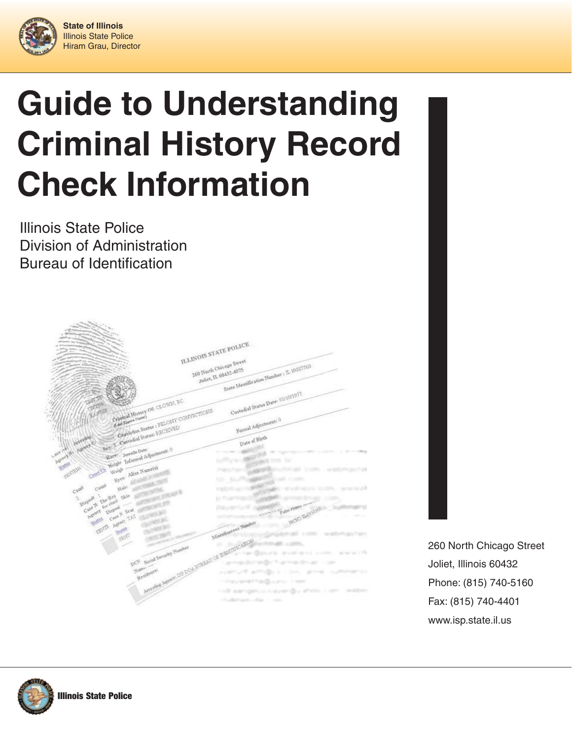

# **Guide to Understanding Criminal History Record Check Information**

Illinois State Police Division of Administration **Bureau of Identification** 



260 North Chicago Street Joliet, Illinois 60432 Phone: (815) 740-5160 Fax: (815) 740-4401 www.isp.state.il.us

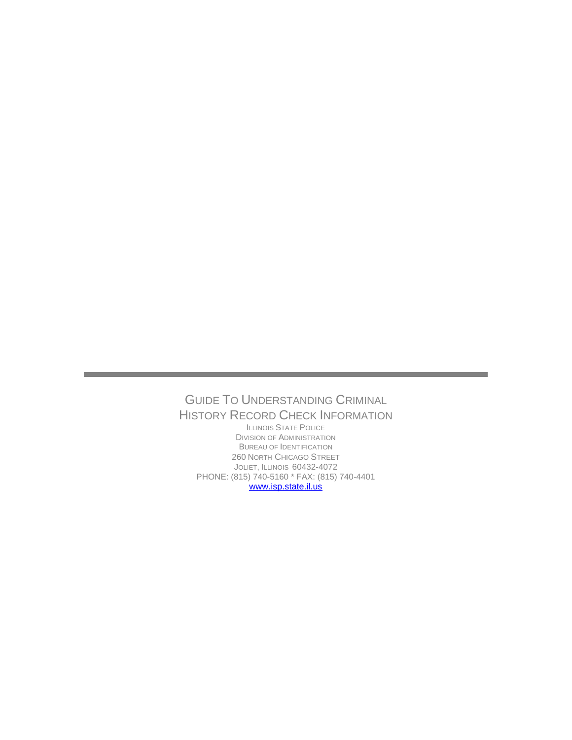# GUIDE TO UNDERSTANDING CRIMINAL

HISTORY RECORD CHECK INFORMATION ILLINOIS STATE POLICE DIVISION OF ADMINISTRATION BUREAU OF IDENTIFICATION 260 NORTH CHICAGO STREET JOLIET, ILLINOIS 60432-4072 PHONE: (815) 740-5160 \* FAX: (815) 740-4401 [www.isp.state.il.us](http://www.isp.state.il.us/)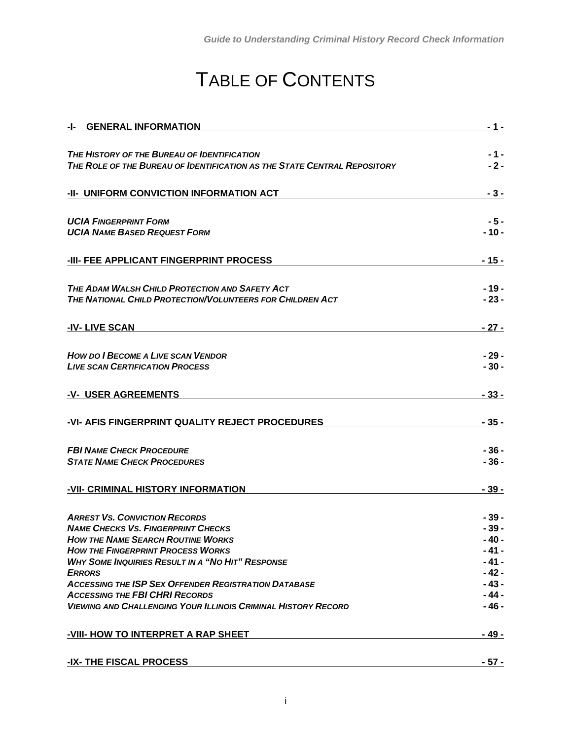# TABLE OF CONTENTS

| -I- GENERAL INFORMATION                                                                             | - 1 -            |
|-----------------------------------------------------------------------------------------------------|------------------|
| THE HISTORY OF THE BUREAU OF IDENTIFICATION                                                         | - 1 -            |
| THE ROLE OF THE BUREAU OF IDENTIFICATION AS THE STATE CENTRAL REPOSITORY                            | - 2 -            |
| -II- UNIFORM CONVICTION INFORMATION ACT                                                             | -3-              |
|                                                                                                     |                  |
| <b>UCIA FINGERPRINT FORM</b><br><b>UCIA NAME BASED REQUEST FORM</b>                                 | $-5-$<br>- 10 -  |
|                                                                                                     |                  |
| <b>-III- FEE APPLICANT FINGERPRINT PROCESS</b>                                                      | - 15 -           |
| THE ADAM WALSH CHILD PROTECTION AND SAFETY ACT                                                      | - 19 -           |
| THE NATIONAL CHILD PROTECTION/VOLUNTEERS FOR CHILDREN ACT                                           | $-23-$           |
|                                                                                                     |                  |
| <b>-IV-LIVE SCAN</b>                                                                                | - 27 -           |
|                                                                                                     |                  |
| <b>HOW DO I BECOME A LIVE SCAN VENDOR</b><br><b>LIVE SCAN CERTIFICATION PROCESS</b>                 | $-29-$<br>$-30-$ |
|                                                                                                     |                  |
| -V- USER AGREEMENTS                                                                                 | - 33 -           |
|                                                                                                     |                  |
| -VI- AFIS FINGERPRINT QUALITY REJECT PROCEDURES                                                     | - 35 -           |
| <b>FBI NAME CHECK PROCEDURE</b>                                                                     | $-36-$           |
| <b>STATE NAME CHECK PROCEDURES</b>                                                                  | $-36-$           |
| -VII- CRIMINAL HISTORY INFORMATION                                                                  | - 39 -           |
|                                                                                                     |                  |
| <b>ARREST VS. CONVICTION RECORDS</b>                                                                | $-39-$           |
| <b>NAME CHECKS VS. FINGERPRINT CHECKS</b>                                                           | $-39-$           |
| <b>HOW THE NAME SEARCH ROUTINE WORKS</b>                                                            | - 40 -           |
| <b>HOW THE FINGERPRINT PROCESS WORKS</b><br><b>WHY SOME INQUIRIES RESULT IN A "NO HIT" RESPONSE</b> | - 41 -<br>$-41-$ |
| <b>ERRORS</b>                                                                                       | - 42 -           |
| <b>ACCESSING THE ISP SEX OFFENDER REGISTRATION DATABASE</b>                                         | - 43 -           |
| <b>ACCESSING THE FBI CHRI RECORDS</b>                                                               | - 44 -           |
| <b>VIEWING AND CHALLENGING YOUR ILLINOIS CRIMINAL HISTORY RECORD</b>                                | - 46 -           |
| -VIII- HOW TO INTERPRET A RAP SHEET                                                                 | - 49 -           |
| <b>-IX- THE FISCAL PROCESS</b>                                                                      | - 57 -           |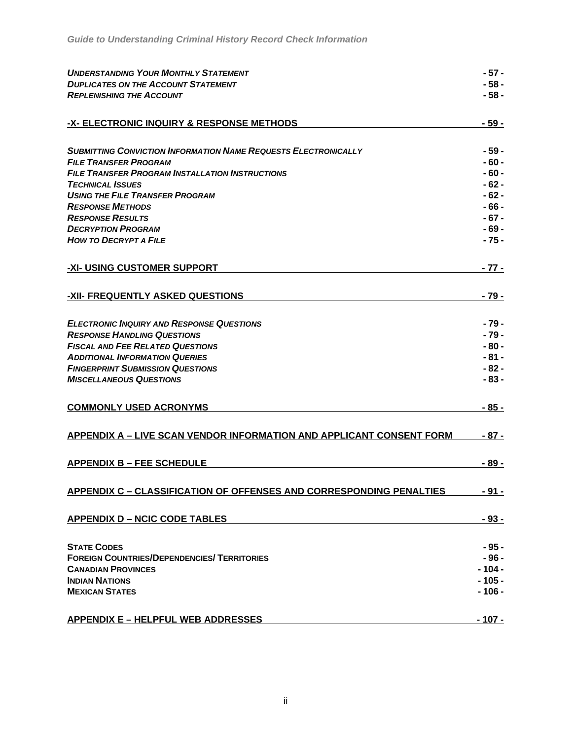| <b>UNDERSTANDING YOUR MONTHLY STATEMENT</b>                                 | - 57 -   |
|-----------------------------------------------------------------------------|----------|
| <b>DUPLICATES ON THE ACCOUNT STATEMENT</b>                                  | - 58 -   |
| <b>REPLENISHING THE ACCOUNT</b>                                             | - 58 -   |
| -X- ELECTRONIC INQUIRY & RESPONSE METHODS                                   | - 59 -   |
|                                                                             |          |
| <b>SUBMITTING CONVICTION INFORMATION NAME REQUESTS ELECTRONICALLY</b>       | - 59 -   |
| <b>FILE TRANSFER PROGRAM</b>                                                | $-60-$   |
| <b>FILE TRANSFER PROGRAM INSTALLATION INSTRUCTIONS</b>                      | $-60-$   |
| <b>TECHNICAL ISSUES</b>                                                     | $-62-$   |
| <b>USING THE FILE TRANSFER PROGRAM</b>                                      | $-62-$   |
| <b>RESPONSE METHODS</b>                                                     | - 66 -   |
| <b>RESPONSE RESULTS</b>                                                     | $-67-$   |
| <b>DECRYPTION PROGRAM</b>                                                   | - 69 -   |
| <b>HOW TO DECRYPT A FILE</b>                                                | - 75 -   |
| -XI- USING CUSTOMER SUPPORT                                                 | - 77 -   |
|                                                                             |          |
| -XII- FREQUENTLY ASKED QUESTIONS                                            | - 79 -   |
| <b>ELECTRONIC INQUIRY AND RESPONSE QUESTIONS</b>                            | - 79 -   |
| <b>RESPONSE HANDLING QUESTIONS</b>                                          | $-79-$   |
| <b>FISCAL AND FEE RELATED QUESTIONS</b>                                     | $-80-$   |
| <b>ADDITIONAL INFORMATION QUERIES</b>                                       | - 81 -   |
| <b>FINGERPRINT SUBMISSION QUESTIONS</b>                                     | $-82-$   |
| <b>MISCELLANEOUS QUESTIONS</b>                                              | $-83-$   |
| <b>COMMONLY USED ACRONYMS</b>                                               | - 85 -   |
| <b>APPENDIX A – LIVE SCAN VENDOR INFORMATION AND APPLICANT CONSENT FORM</b> | - 87 -   |
| <b>APPENDIX B - FEE SCHEDULE</b>                                            | - 89 -   |
| <b>APPENDIX C - CLASSIFICATION OF OFFENSES AND CORRESPONDING PENALTIES</b>  | $-91 -$  |
|                                                                             |          |
| <b>APPENDIX D – NCIC CODE TABLES</b>                                        | - 93 -   |
| <b>STATE CODES</b>                                                          | - 95 -   |
| <b>FOREIGN COUNTRIES/DEPENDENCIES/ TERRITORIES</b>                          | $-96-$   |
| <b>CANADIAN PROVINCES</b>                                                   | $-104-$  |
| <b>INDIAN NATIONS</b>                                                       | $-105 -$ |
| <b>MEXICAN STATES</b>                                                       | $-106 -$ |
| <b>APPENDIX E - HELPFUL WEB ADDRESSES</b>                                   | $-107 -$ |
|                                                                             |          |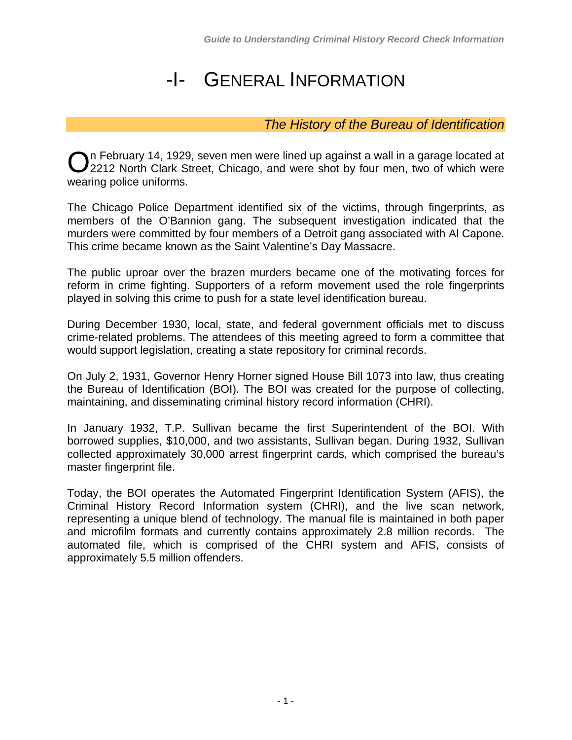# -I- GENERAL INFORMATION

#### *The History of the Bureau of Identification*

<span id="page-5-1"></span><span id="page-5-0"></span>On February 14, 1929, seven men were lined up against a wall in a garage located at 2212 North Clark Street, Chicago, and were shot by four men, two of which were 2212 North Clark Street, Chicago, and were shot by four men, two of which were wearing police uniforms.

The Chicago Police Department identified six of the victims, through fingerprints, as members of the O'Bannion gang. The subsequent investigation indicated that the murders were committed by four members of a Detroit gang associated with Al Capone. This crime became known as the Saint Valentine's Day Massacre.

The public uproar over the brazen murders became one of the motivating forces for reform in crime fighting. Supporters of a reform movement used the role fingerprints played in solving this crime to push for a state level identification bureau.

During December 1930, local, state, and federal government officials met to discuss crime-related problems. The attendees of this meeting agreed to form a committee that would support legislation, creating a state repository for criminal records.

On July 2, 1931, Governor Henry Horner signed House Bill 1073 into law, thus creating the Bureau of Identification (BOI). The BOI was created for the purpose of collecting, maintaining, and disseminating criminal history record information (CHRI).

In January 1932, T.P. Sullivan became the first Superintendent of the BOI. With borrowed supplies, \$10,000, and two assistants, Sullivan began. During 1932, Sullivan collected approximately 30,000 arrest fingerprint cards, which comprised the bureau's master fingerprint file.

Today, the BOI operates the Automated Fingerprint Identification System (AFIS), the Criminal History Record Information system (CHRI), and the live scan network, representing a unique blend of technology. The manual file is maintained in both paper and microfilm formats and currently contains approximately 2.8 million records. The automated file, which is comprised of the CHRI system and AFIS, consists of approximately 5.5 million offenders.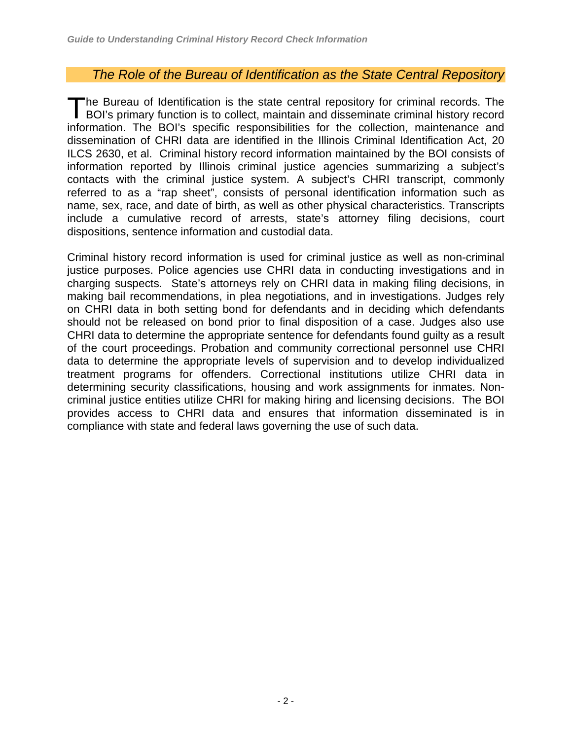#### <span id="page-6-0"></span>*The Role of the Bureau of Identification as the State Central Repository*

he Bureau of Identification is the state central repository for criminal records. The The Bureau of Identification is the state central repository for criminal records. The<br>BOI's primary function is to collect, maintain and disseminate criminal history record information. The BOI's specific responsibilities for the collection, maintenance and dissemination of CHRI data are identified in the Illinois Criminal Identification Act, 20 ILCS 2630, et al. Criminal history record information maintained by the BOI consists of information reported by Illinois criminal justice agencies summarizing a subject's contacts with the criminal justice system. A subject's CHRI transcript, commonly referred to as a "rap sheet", consists of personal identification information such as name, sex, race, and date of birth, as well as other physical characteristics. Transcripts include a cumulative record of arrests, state's attorney filing decisions, court dispositions, sentence information and custodial data.

Criminal history record information is used for criminal justice as well as non-criminal justice purposes. Police agencies use CHRI data in conducting investigations and in charging suspects. State's attorneys rely on CHRI data in making filing decisions, in making bail recommendations, in plea negotiations, and in investigations. Judges rely on CHRI data in both setting bond for defendants and in deciding which defendants should not be released on bond prior to final disposition of a case. Judges also use CHRI data to determine the appropriate sentence for defendants found guilty as a result of the court proceedings. Probation and community correctional personnel use CHRI data to determine the appropriate levels of supervision and to develop individualized treatment programs for offenders. Correctional institutions utilize CHRI data in determining security classifications, housing and work assignments for inmates. Noncriminal justice entities utilize CHRI for making hiring and licensing decisions. The BOI provides access to CHRI data and ensures that information disseminated is in compliance with state and federal laws governing the use of such data.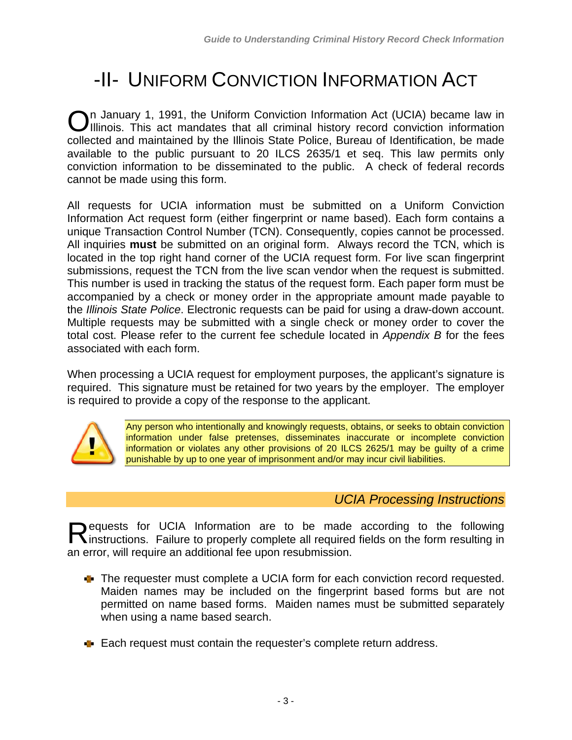# <span id="page-7-0"></span>-II- UNIFORM CONVICTION INFORMATION ACT

On January 1, 1991, the Uniform Conviction Information Act (UCIA) became law in Illinois. This act mandates that all criminal history record conviction information Illinois. This act mandates that all criminal history record conviction information collected and maintained by the Illinois State Police, Bureau of Identification, be made available to the public pursuant to 20 ILCS 2635/1 et seq. This law permits only conviction information to be disseminated to the public. A check of federal records cannot be made using this form.

All requests for UCIA information must be submitted on a Uniform Conviction Information Act request form (either fingerprint or name based). Each form contains a unique Transaction Control Number (TCN). Consequently, copies cannot be processed. All inquiries **must** be submitted on an original form. Always record the TCN, which is located in the top right hand corner of the UCIA request form. For live scan fingerprint submissions, request the TCN from the live scan vendor when the request is submitted. This number is used in tracking the status of the request form. Each paper form must be accompanied by a check or money order in the appropriate amount made payable to the *Illinois State Police*. Electronic requests can be paid for using a draw-down account. Multiple requests may be submitted with a single check or money order to cover the total cost. Please refer to the current fee schedule located in *Appendix B* for the fees associated with each form.

When processing a UCIA request for employment purposes, the applicant's signature is required. This signature must be retained for two years by the employer. The employer is required to provide a copy of the response to the applicant.



Any person who intentionally and knowingly requests, obtains, or seeks to obtain conviction information under false pretenses, disseminates inaccurate or incomplete conviction information or violates any other provisions of 20 ILCS 2625/1 may be guilty of a crime punishable by up to one year of imprisonment and/or may incur civil liabilities.

## *UCIA Processing Instructions*

equests for UCIA Information are to be made according to the following Requests for UCIA Information are to be made according to the following<br>
Rinstructions. Failure to properly complete all required fields on the form resulting in an error, will require an additional fee upon resubmission.

- The requester must complete a UCIA form for each conviction record requested. Maiden names may be included on the fingerprint based forms but are not permitted on name based forms. Maiden names must be submitted separately when using a name based search.
- Each request must contain the requester's complete return address.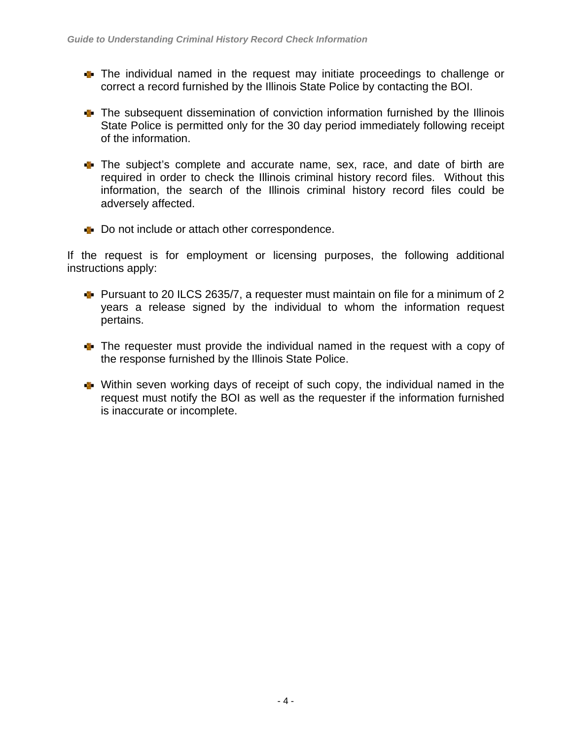- The individual named in the request may initiate proceedings to challenge or correct a record furnished by the Illinois State Police by contacting the BOI.
- The subsequent dissemination of conviction information furnished by the Illinois State Police is permitted only for the 30 day period immediately following receipt of the information.
- The subject's complete and accurate name, sex, race, and date of birth are required in order to check the Illinois criminal history record files. Without this information, the search of the Illinois criminal history record files could be adversely affected.
- Do not include or attach other correspondence.

If the request is for employment or licensing purposes, the following additional instructions apply:

- **Pursuant to 20 ILCS 2635/7, a requester must maintain on file for a minimum of 2** years a release signed by the individual to whom the information request pertains.
- The requester must provide the individual named in the request with a copy of the response furnished by the Illinois State Police.
- Within seven working days of receipt of such copy, the individual named in the request must notify the BOI as well as the requester if the information furnished is inaccurate or incomplete.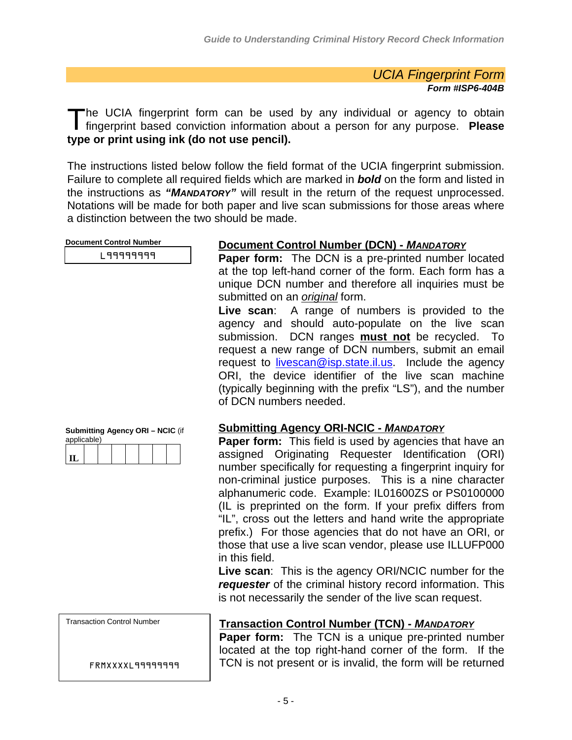*UCIA Fingerprint Form Form #ISP6-404B*

<span id="page-9-0"></span>The UCIA fingerprint form can be used by any individual or agency to obtain fingerprint based conviction information about a person for any purpose. **Please type or print using ink (do not use pencil).**  T

The instructions listed below follow the field format of the UCIA fingerprint submission. Failure to complete all required fields which are marked in *bold* on the form and listed in the instructions as *"MANDATORY"* will result in the return of the request unprocessed. Notations will be made for both paper and live scan submissions for those areas where a distinction between the two should be made.

| <b>Document Control Number</b> |          |  |
|--------------------------------|----------|--|
|                                | -------- |  |

| <b>Submitting Agency ORI – NCIC (if</b><br>applicable) |  |  |  |  |
|--------------------------------------------------------|--|--|--|--|
|                                                        |  |  |  |  |

|--|

Transaction Control Number

FRMXXXXL99999999

#### **Document Control Number (DCN) -** *MANDATORY*

**Paper form:** The DCN is a pre-printed number located at the top left-hand corner of the form. Each form has a unique DCN number and therefore all inquiries must be submitted on an *original* form.

**Live scan**: A range of numbers is provided to the agency and should auto-populate on the live scan submission. DCN ranges **must not** be recycled. To request a new range of DCN numbers, submit an email request to [livescan@isp.state.il.us.](mailto:livescan@isp.state.il.us) Include the agency ORI, the device identifier of the live scan machine (typically beginning with the prefix "LS"), and the number of DCN numbers needed.

#### **Submitting Agency ORI-NCIC -** *MANDATORY*

**Paper form:** This field is used by agencies that have an assigned Originating Requester Identification (ORI) number specifically for requesting a fingerprint inquiry for non-criminal justice purposes. This is a nine character alphanumeric code. Example: IL01600ZS or PS0100000 (IL is preprinted on the form. If your prefix differs from "IL", cross out the letters and hand write the appropriate prefix.) For those agencies that do not have an ORI, or those that use a live scan vendor, please use ILLUFP000 in this field.

**Live scan**: This is the agency ORI/NCIC number for the *requester* of the criminal history record information. This is not necessarily the sender of the live scan request.

#### **Transaction Control Number (TCN) -** *MANDATORY*

**Paper form:** The TCN is a unique pre-printed number located at the top right-hand corner of the form.If the TCN is not present or is invalid, the form will be returned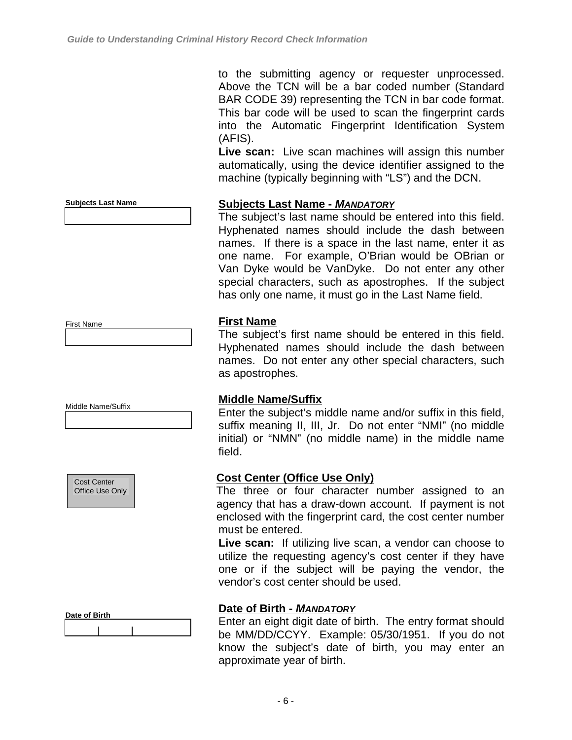to the submitting agency or requester unprocessed. Above the TCN will be a bar coded number (Standard BAR CODE 39) representing the TCN in bar code format. This bar code will be used to scan the fingerprint cards into the Automatic Fingerprint Identification System (AFIS).

**Live scan:** Live scan machines will assign this number automatically, using the device identifier assigned to the machine (typically beginning with "LS") and the DCN.

#### **Subjects Last Name -** *MANDATORY*

The subject's last name should be entered into this field. Hyphenated names should include the dash between names. If there is a space in the last name, enter it as one name. For example, O'Brian would be OBrian or Van Dyke would be VanDyke. Do not enter any other special characters, such as apostrophes. If the subject has only one name, it must go in the Last Name field.

#### **First Name**

The subject's first name should be entered in this field. Hyphenated names should include the dash between names. Do not enter any other special characters, such as apostrophes.

#### **Middle Name/Suffix**

Enter the subject's middle name and/or suffix in this field, suffix meaning II, III, Jr. Do not enter "NMI" (no middle initial) or "NMN" (no middle name) in the middle name field.

#### **Cost Center (Office Use Only)**

The three or four character number assigned to an agency that has a draw-down account. If payment is not enclosed with the fingerprint card, the cost center number must be entered.

**Live scan:** If utilizing live scan, a vendor can choose to utilize the requesting agency's cost center if they have one or if the subject will be paying the vendor, the vendor's cost center should be used.

# **Date of Birth -** *MANDATORY*

Enter an eight digit date of birth. The entry format should be MM/DD/CCYY. Example: 05/30/1951. If you do not know the subject's date of birth, you may enter an approximate year of birth.

**Subjects Last Name**

| <b>First Name</b> |  |  |
|-------------------|--|--|
|                   |  |  |

Middle Name/Suffix



**Date of Birth**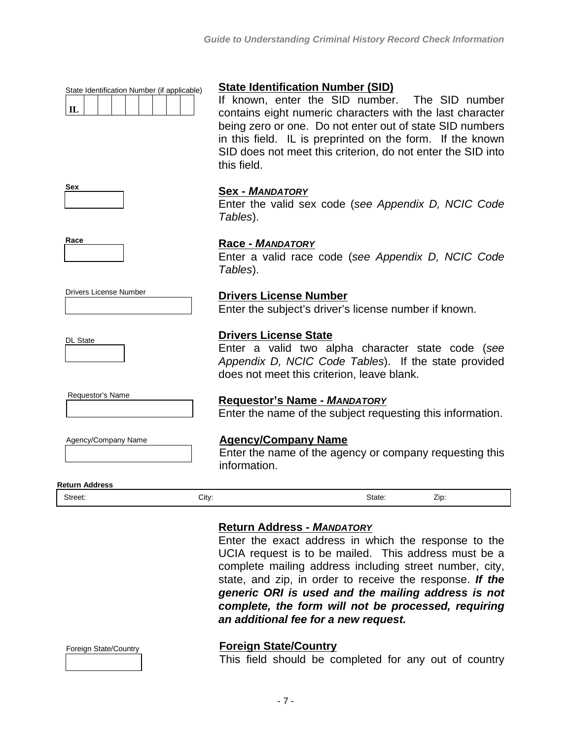| State Identification Number (if applicable) |  |
|---------------------------------------------|--|
|                                             |  |

#### **State Identification Number (SID)**

If known, enter the SID number. The SID number contains eight numeric characters with the last character being zero or one. Do not enter out of state SID numbers in this field. IL is preprinted on the form. If the known SID does not meet this criterion, do not enter the SID into this field.

Enter the valid sex code (*see Appendix D, NCIC Code* 

Enter a valid race code (*see Appendix D, NCIC Code* 

**Race**

Drivers License Number

| i State ה |  |
|-----------|--|
|           |  |

Requestor's Name

Agency/Company Name

# **Drivers License Number**

**Sex -** *MANDATORY*

**Race -** *MANDATORY*

*Tables*).

*Tables*).

Enter the subject's driver's license number if known.

#### **Drivers License State**

Enter a valid two alpha character state code (*see Appendix D, NCIC Code Tables*). If the state provided does not meet this criterion, leave blank.

#### **Requestor's Name -** *MANDATORY*

Enter the name of the subject requesting this information.

#### **Agency/Company Name**

Enter the name of the agency or company requesting this information.

**Return Address**

Street: City: State: Zip:

#### **Return Address -** *MANDATORY*

Enter the exact address in which the response to the UCIA request is to be mailed. This address must be a complete mailing address including street number, city, state, and zip, in order to receive the response. *If the generic ORI is used and the mailing address is not complete, the form will not be processed, requiring an additional fee for a new request.*

Foreign State/Country

#### **Foreign State/Country**

This field should be completed for any out of country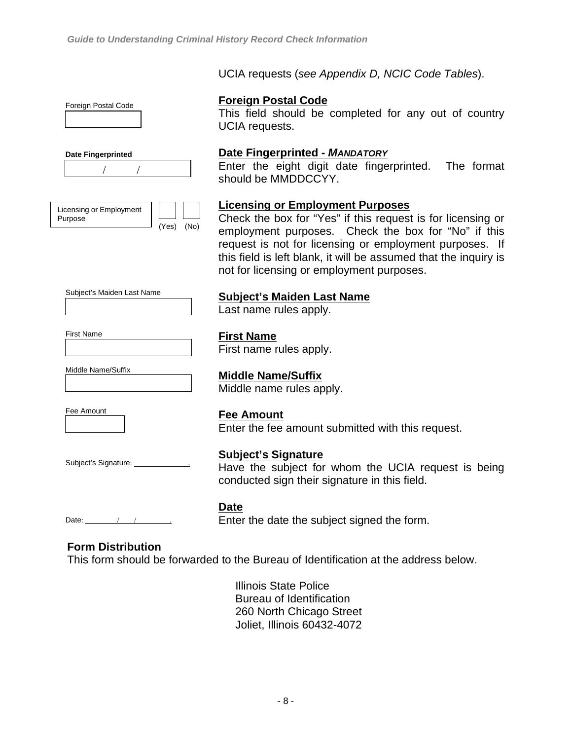Foreign Postal Code

| <b>Date Fingerprinted</b> |  |
|---------------------------|--|



Subject's Maiden Last Name

First Name

Fee Amount

Middle Name/Suffix

#### This field should be completed for any out of country UCIA requests.

**Foreign Postal Code**

**Date Fingerprinted -** *MANDATORY*

Enter the eight digit date fingerprinted. The format should be MMDDCCYY.

UCIA requests (*see Appendix D, NCIC Code Tables*).

#### **Licensing or Employment Purposes**

Check the box for "Yes" if this request is for licensing or employment purposes. Check the box for "No" if this request is not for licensing or employment purposes. If this field is left blank, it will be assumed that the inquiry is not for licensing or employment purposes.

#### **Subject's Maiden Last Name**

Last name rules apply.

#### **First Name**

First name rules apply.

### **Middle Name/Suffix**

Middle name rules apply.

#### **Fee Amount**

Enter the fee amount submitted with this request.

#### Subject's Signature:

Date:  $\frac{1}{2}$  /  $\frac{1}{2}$ 

#### **Subject's Signature**

Have the subject for whom the UCIA request is being conducted sign their signature in this field.

#### **Date**

Enter the date the subject signed the form.

### **Form Distribution**

This form should be forwarded to the Bureau of Identification at the address below.

Illinois State Police Bureau of Identification 260 North Chicago Street Joliet, Illinois 60432-4072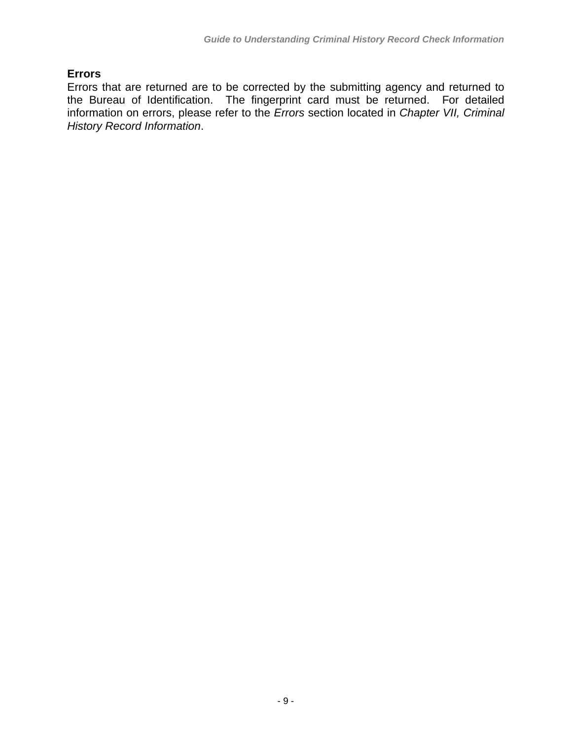#### **Errors**

Errors that are returned are to be corrected by the submitting agency and returned to the Bureau of Identification. The fingerprint card must be returned. For detailed information on errors, please refer to the *Errors* section located in *Chapter VII, Criminal History Record Information*.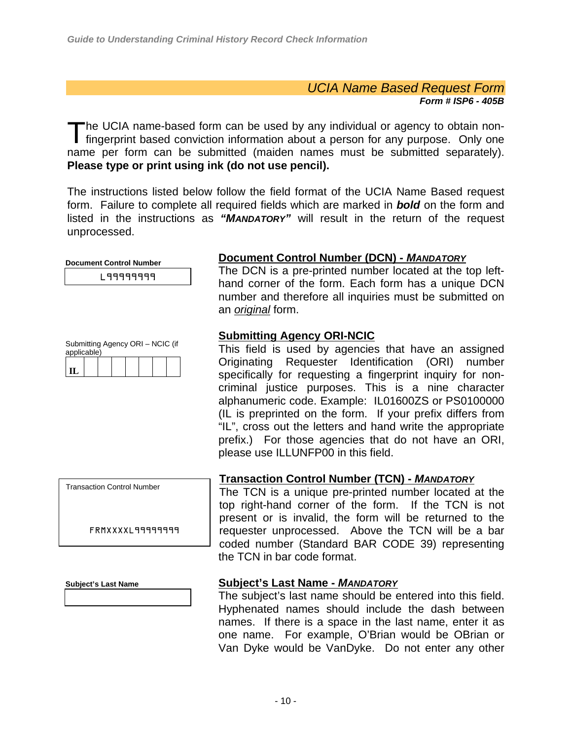#### *UCIA Name Based Request Form Form # ISP6 - 405B*

<span id="page-14-0"></span>he UCIA name-based form can be used by any individual or agency to obtain non-The UCIA name-based form can be used by any individual or agency to obtain non-<br>fingerprint based conviction information about a person for any purpose. Only one name per form can be submitted (maiden names must be submitted separately). **Please type or print using ink (do not use pencil).** 

The instructions listed below follow the field format of the UCIA Name Based request form. Failure to complete all required fields which are marked in *bold* on the form and listed in the instructions as *"MANDATORY"* will result in the return of the request unprocessed.

**Document Control Number**

L99999999

| Submitting Agency ORI - NCIC (if<br>applicable) |  |  |  |  |  |  |  |  |
|-------------------------------------------------|--|--|--|--|--|--|--|--|
| ЧL.                                             |  |  |  |  |  |  |  |  |

#### **Document Control Number (DCN) -** *MANDATORY*

The DCN is a pre-printed number located at the top lefthand corner of the form. Each form has a unique DCN number and therefore all inquiries must be submitted on an *original* form.

#### **Submitting Agency ORI-NCIC**

This field is used by agencies that have an assigned Originating Requester Identification (ORI) number specifically for requesting a fingerprint inquiry for noncriminal justice purposes. This is a nine character alphanumeric code. Example: IL01600ZS or PS0100000 (IL is preprinted on the form. If your prefix differs from "IL", cross out the letters and hand write the appropriate prefix.) For those agencies that do not have an ORI, please use ILLUNFP00 in this field.

Transaction Control Number

FRMXXXXL99999999

**Subject's Last Name**

#### **Transaction Control Number (TCN) -** *MANDATORY*

The TCN is a unique pre-printed number located at the top right-hand corner of the form.If the TCN is not present or is invalid, the form will be returned to the requester unprocessed. Above the TCN will be a bar coded number (Standard BAR CODE 39) representing the TCN in bar code format.

#### **Subject's Last Name -** *MANDATORY*

The subject's last name should be entered into this field. Hyphenated names should include the dash between names. If there is a space in the last name, enter it as one name. For example, O'Brian would be OBrian or Van Dyke would be VanDyke. Do not enter any other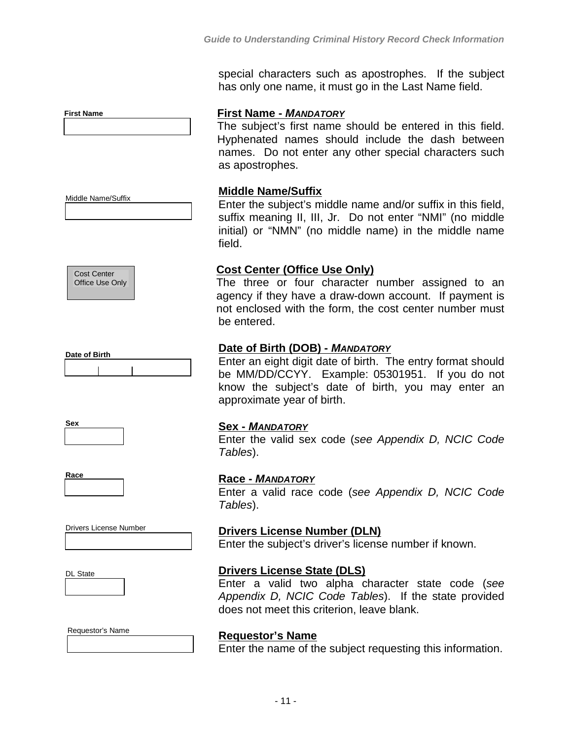special characters such as apostrophes. If the subject has only one name, it must go in the Last Name field.

**First Name**

Middle Name/Suffix



| Date of Birth |  |  |
|---------------|--|--|
|               |  |  |

**Race**

Drivers License Number

DL State

Requestor's Name

#### **First Name -** *MANDATORY*

The subject's first name should be entered in this field. Hyphenated names should include the dash between names. Do not enter any other special characters such as apostrophes.

#### **Middle Name/Suffix**

Enter the subject's middle name and/or suffix in this field, suffix meaning II, III, Jr. Do not enter "NMI" (no middle initial) or "NMN" (no middle name) in the middle name field.

#### **Cost Center (Office Use Only)**

The three or four character number assigned to an agency if they have a draw-down account. If payment is not enclosed with the form, the cost center number must be entered.

#### **Date of Birth (DOB) -** *MANDATORY*

Enter an eight digit date of birth. The entry format should be MM/DD/CCYY. Example: 05301951. If you do not know the subject's date of birth, you may enter an approximate year of birth.

#### **Sex -** *MANDATORY*

Enter the valid sex code (*see Appendix D, NCIC Code Tables*).

#### **Race -** *MANDATORY*

Enter a valid race code (*see Appendix D, NCIC Code Tables*).

#### **Drivers License Number (DLN)**

Enter the subject's driver's license number if known.

#### **Drivers License State (DLS)**

Enter a valid two alpha character state code (*see Appendix D, NCIC Code Tables*). If the state provided does not meet this criterion, leave blank.

#### **Requestor's Name**

Enter the name of the subject requesting this information.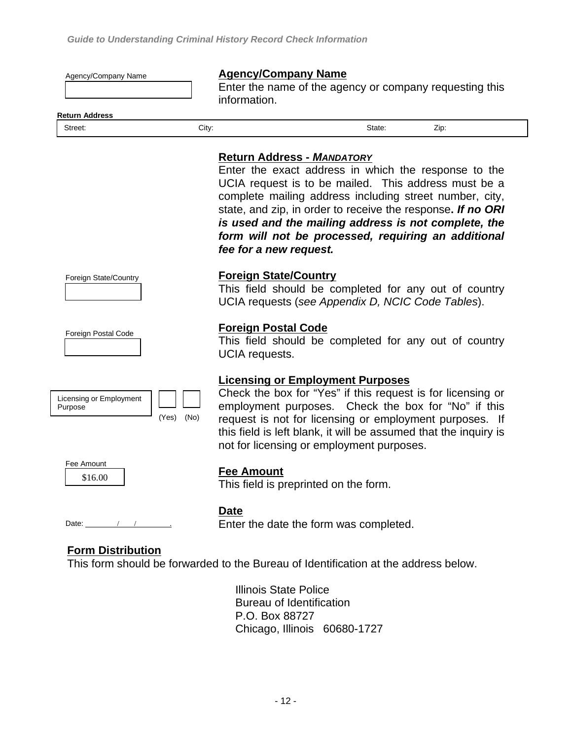| Agency/Company Name                                 | <b>Agency/Company Name</b><br>Enter the name of the agency or company requesting this<br>information.                                                                                                                                                                                                                                                                                                                |
|-----------------------------------------------------|----------------------------------------------------------------------------------------------------------------------------------------------------------------------------------------------------------------------------------------------------------------------------------------------------------------------------------------------------------------------------------------------------------------------|
| <b>Return Address</b><br>City:<br>Street:           | State:<br>Zip:                                                                                                                                                                                                                                                                                                                                                                                                       |
|                                                     | <b>Return Address - MANDATORY</b><br>Enter the exact address in which the response to the<br>UCIA request is to be mailed. This address must be a<br>complete mailing address including street number, city,<br>state, and zip, in order to receive the response. If no ORI<br>is used and the mailing address is not complete, the<br>form will not be processed, requiring an additional<br>fee for a new request. |
| Foreign State/Country                               | <b>Foreign State/Country</b><br>This field should be completed for any out of country<br>UCIA requests (see Appendix D, NCIC Code Tables).                                                                                                                                                                                                                                                                           |
| Foreign Postal Code                                 | <b>Foreign Postal Code</b><br>This field should be completed for any out of country<br><b>UCIA</b> requests.                                                                                                                                                                                                                                                                                                         |
| Licensing or Employment<br>Purpose<br>(Yes)<br>(No) | <b>Licensing or Employment Purposes</b><br>Check the box for "Yes" if this request is for licensing or<br>employment purposes. Check the box for "No" if this<br>request is not for licensing or employment purposes. If<br>this field is left blank, it will be assumed that the inquiry is<br>not for licensing or employment purposes.                                                                            |
| Fee Amount<br>\$16.00                               | <b>Fee Amount</b><br>This field is preprinted on the form.                                                                                                                                                                                                                                                                                                                                                           |
| Date: $\sqrt{1 + 1}$                                | Date<br>Enter the date the form was completed.                                                                                                                                                                                                                                                                                                                                                                       |
| <b>Form Distribution</b>                            | This form should be forwarded to the Bureau of Identification at the address below.                                                                                                                                                                                                                                                                                                                                  |

Illinois State Police Bureau of Identification P.O. Box 88727 Chicago, Illinois 60680-1727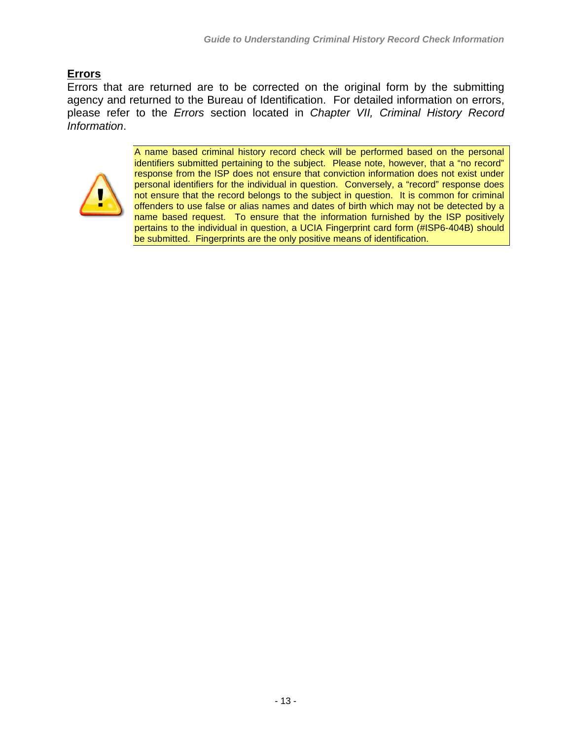### **Errors**

Errors that are returned are to be corrected on the original form by the submitting agency and returned to the Bureau of Identification. For detailed information on errors, please refer to the *Errors* section located in *Chapter VII, Criminal History Record Information*.



A name based criminal history record check will be performed based on the personal identifiers submitted pertaining to the subject. Please note, however, that a "no record" response from the ISP does not ensure that conviction information does not exist under personal identifiers for the individual in question. Conversely, a "record" response does not ensure that the record belongs to the subject in question. It is common for criminal offenders to use false or alias names and dates of birth which may not be detected by a name based request. To ensure that the information furnished by the ISP positively pertains to the individual in question, a UCIA Fingerprint card form (#ISP6-404B) should be submitted. Fingerprints are the only positive means of identification.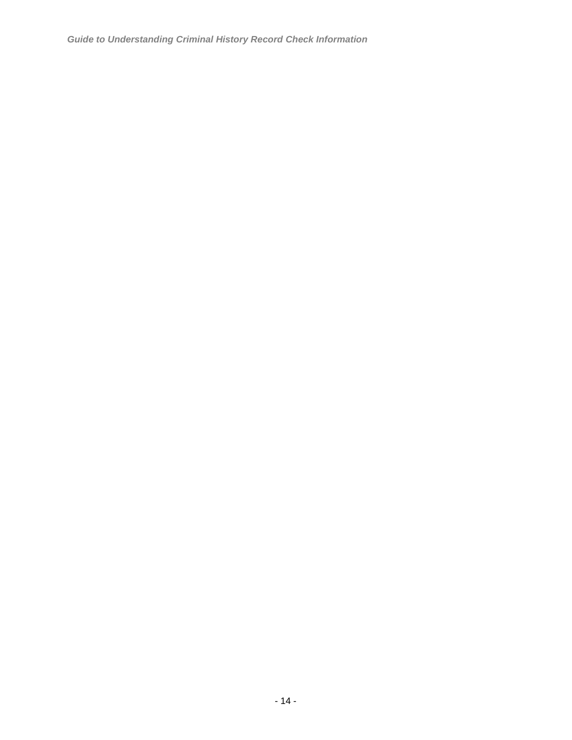*Guide to Understanding Criminal History Record Check Information*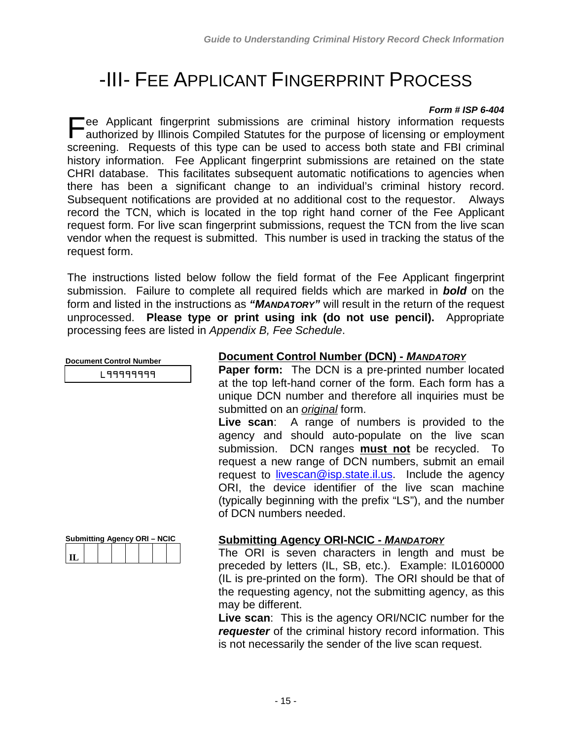# <span id="page-19-0"></span>-III- FEE APPLICANT FINGERPRINT PROCESS

#### *Form # ISP 6-404*

ee Applicant fingerprint submissions are criminal history information requests Fee Applicant fingerprint submissions are criminal history information requests<br>authorized by Illinois Compiled Statutes for the purpose of licensing or employment screening. Requests of this type can be used to access both state and FBI criminal history information. Fee Applicant fingerprint submissions are retained on the state CHRI database. This facilitates subsequent automatic notifications to agencies when there has been a significant change to an individual's criminal history record. Subsequent notifications are provided at no additional cost to the requestor. Always record the TCN, which is located in the top right hand corner of the Fee Applicant request form. For live scan fingerprint submissions, request the TCN from the live scan vendor when the request is submitted. This number is used in tracking the status of the request form.

The instructions listed below follow the field format of the Fee Applicant fingerprint submission. Failure to complete all required fields which are marked in *bold* on the form and listed in the instructions as *"MANDATORY"* will result in the return of the request unprocessed. **Please type or print using ink (do not use pencil).** Appropriate processing fees are listed in *Appendix B, Fee Schedule*.

**Document Control Number**

L99999999

| <b>Submitting Agency ORI - NCIC</b> |  |  |  |  |
|-------------------------------------|--|--|--|--|
|                                     |  |  |  |  |

|--|

#### **Document Control Number (DCN) -** *MANDATORY*

**Paper form:** The DCN is a pre-printed number located at the top left-hand corner of the form. Each form has a unique DCN number and therefore all inquiries must be submitted on an *original* form.

**Live scan**: A range of numbers is provided to the agency and should auto-populate on the live scan submission. DCN ranges **must not** be recycled. To request a new range of DCN numbers, submit an email request to [livescan@isp.state.il.us.](mailto:livescan@isp.state.il.us) Include the agency ORI, the device identifier of the live scan machine (typically beginning with the prefix "LS"), and the number of DCN numbers needed.

#### **Submitting Agency ORI-NCIC -** *MANDATORY*

The ORI is seven characters in length and must be preceded by letters (IL, SB, etc.). Example: IL0160000 (IL is pre-printed on the form). The ORI should be that of the requesting agency, not the submitting agency, as this may be different.

**Live scan**: This is the agency ORI/NCIC number for the *requester* of the criminal history record information. This is not necessarily the sender of the live scan request.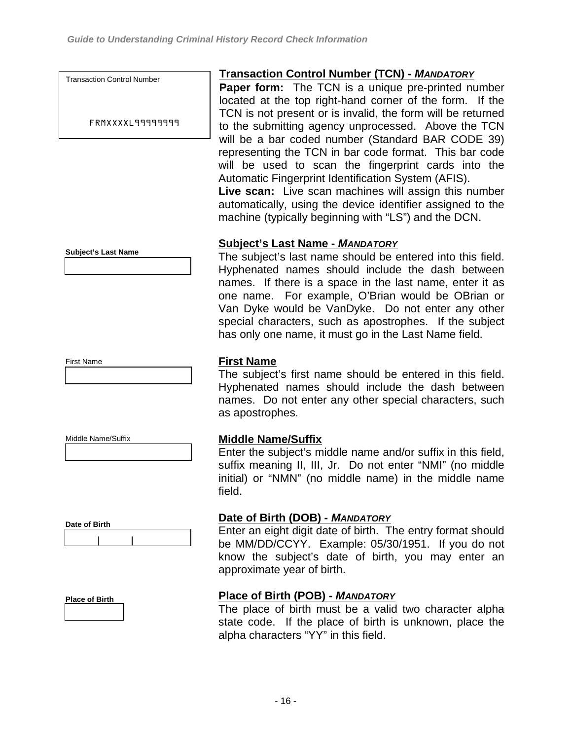Transaction Control Number

FRMXXXXL99999999

**Subject's Last Name**

First Name

Middle Name/Suffix



| <b>Place of Birth</b> |  |
|-----------------------|--|
|                       |  |

#### **Transaction Control Number (TCN) -** *MANDATORY*

**Paper form:** The TCN is a unique pre-printed number located at the top right-hand corner of the form.If the TCN is not present or is invalid, the form will be returned to the submitting agency unprocessed. Above the TCN will be a bar coded number (Standard BAR CODE 39) representing the TCN in bar code format. This bar code will be used to scan the fingerprint cards into the Automatic Fingerprint Identification System (AFIS).

**Live scan:** Live scan machines will assign this number automatically, using the device identifier assigned to the machine (typically beginning with "LS") and the DCN.

#### **Subject's Last Name -** *MANDATORY*

The subject's last name should be entered into this field. Hyphenated names should include the dash between names. If there is a space in the last name, enter it as one name. For example, O'Brian would be OBrian or Van Dyke would be VanDyke. Do not enter any other special characters, such as apostrophes. If the subject has only one name, it must go in the Last Name field.

#### **First Name**

The subject's first name should be entered in this field. Hyphenated names should include the dash between names. Do not enter any other special characters, such as apostrophes.

#### **Middle Name/Suffix**

Enter the subject's middle name and/or suffix in this field, suffix meaning II, III, Jr. Do not enter "NMI" (no middle initial) or "NMN" (no middle name) in the middle name field.

#### **Date of Birth (DOB) -** *MANDATORY*

Enter an eight digit date of birth. The entry format should be MM/DD/CCYY. Example: 05/30/1951. If you do not know the subject's date of birth, you may enter an approximate year of birth.

#### **Place of Birth (POB) -** *MANDATORY*

The place of birth must be a valid two character alpha state code. If the place of birth is unknown, place the alpha characters "YY" in this field.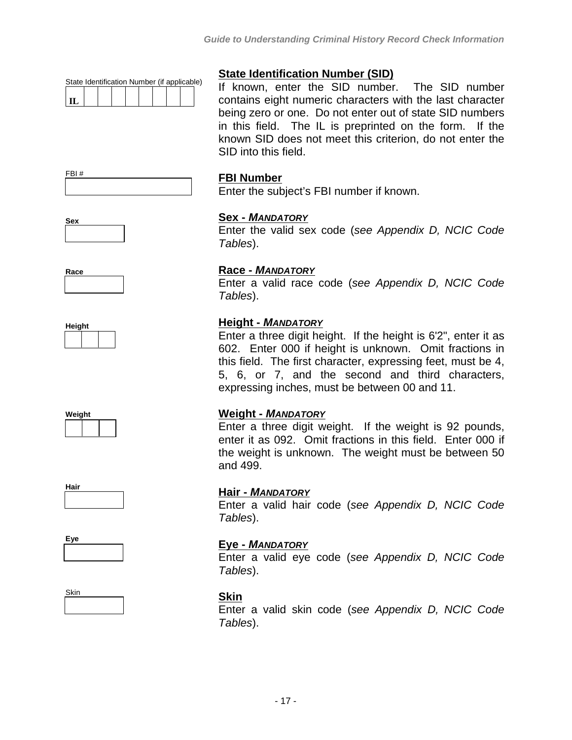| State Identification Number (if applicable) |  |  |  |  |  |  |  |  |
|---------------------------------------------|--|--|--|--|--|--|--|--|
|                                             |  |  |  |  |  |  |  |  |
|                                             |  |  |  |  |  |  |  |  |

#### **State Identification Number (SID)**

If known, enter the SID number. The SID number contains eight numeric characters with the last character being zero or one. Do not enter out of state SID numbers in this field. The IL is preprinted on the form. If the known SID does not meet this criterion, do not enter the SID into this field.

| г<br>- 1<br><br>. . |  |  |  |
|---------------------|--|--|--|
|                     |  |  |  |
|                     |  |  |  |

| ۰. |  |
|----|--|
|    |  |

| Race |  |  |
|------|--|--|
|      |  |  |
|      |  |  |

**Height**





| ≏ |  |  |
|---|--|--|
|   |  |  |
|   |  |  |

| ∍<br>ì<br>۱،<br>Ξ |  |
|-------------------|--|
|                   |  |

#### **FBI Number**

Enter the subject's FBI number if known.

#### **Sex -** *MANDATORY*

Enter the valid sex code (*see Appendix D, NCIC Code Tables*).

#### **Race -** *MANDATORY*

Enter a valid race code (*see Appendix D, NCIC Code Tables*).

#### **Height -** *MANDATORY*

Enter a three digit height. If the height is 6'2", enter it as 602. Enter 000 if height is unknown. Omit fractions in this field.The first character, expressing feet, must be 4, 5, 6, or 7, and the second and third characters, expressing inches, must be between 00 and 11.

#### **Weight -** *MANDATORY*

Enter a three digit weight. If the weight is 92 pounds, enter it as 092. Omit fractions in this field. Enter 000 if the weight is unknown. The weight must be between 50 and 499.

#### **Hair -** *MANDATORY*

Enter a valid hair code (*see Appendix D, NCIC Code Tables*).

#### **Eye -** *MANDATORY*

Enter a valid eye code (*see Appendix D, NCIC Code Tables*).

#### **Skin**

Enter a valid skin code (*see Appendix D, NCIC Code Tables*).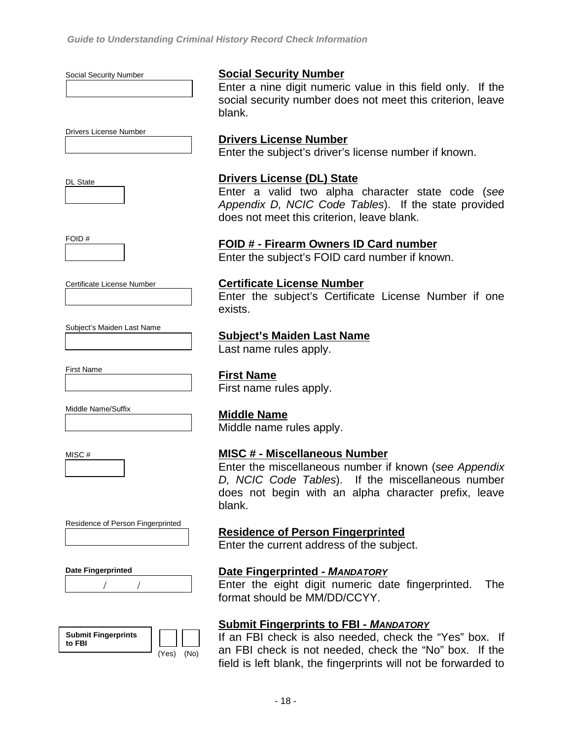Social Security Number Drivers License Number DL State First Name Middle Name/Suffix Residence of Person Fingerprinted **Date Fingerprinted** / / FOID # MISC # Certificate License Number Subject's Maiden Last Name **Submit Fingerprints to FBI**

(Yes) (No)

#### **Social Security Number**

Enter a nine digit numeric value in this field only. If the social security number does not meet this criterion, leave blank.

#### **Drivers License Number**

Enter the subject's driver's license number if known.

#### **Drivers License (DL) State**

Enter a valid two alpha character state code (*see Appendix D, NCIC Code Tables*). If the state provided does not meet this criterion, leave blank.

#### **FOID # - Firearm Owners ID Card number**

Enter the subject's FOID card number if known.

#### **Certificate License Number**

Enter the subject's Certificate License Number if one exists.

#### **Subject's Maiden Last Name**

Last name rules apply.

#### **First Name**

First name rules apply.

#### **Middle Name**

Middle name rules apply.

#### **MISC # - Miscellaneous Number**

Enter the miscellaneous number if known (*see Appendix D, NCIC Code Tables*). If the miscellaneous number does not begin with an alpha character prefix, leave blank.

#### **Residence of Person Fingerprinted**

Enter the current address of the subject.

#### **Date Fingerprinted -** *MANDATORY*

Enter the eight digit numeric date fingerprinted. The format should be MM/DD/CCYY.

#### **Submit Fingerprints to FBI -** *MANDATORY*

If an FBI check is also needed, check the "Yes" box. If an FBI check is not needed, check the "No" box.If the field is left blank, the fingerprints will not be forwarded to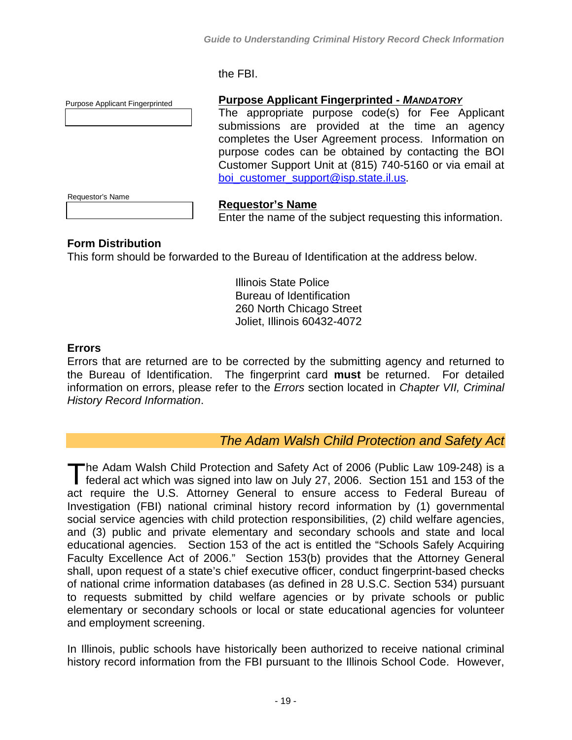the FBI.

Purpose Applicant Fingerprinted

#### **Purpose Applicant Fingerprinted -** *MANDATORY*

The appropriate purpose code(s) for Fee Applicant submissions are provided at the time an agency completes the User Agreement process. Information on purpose codes can be obtained by contacting the BOI Customer Support Unit at (815) 740-5160 or via email at boi customer support@isp.state.il.us.

Requestor's Name

#### **Requestor's Name**

Enter the name of the subject requesting this information.

#### **Form Distribution**

This form should be forwarded to the Bureau of Identification at the address below.

Illinois State Police Bureau of Identification 260 North Chicago Street Joliet, Illinois 60432-4072

#### **Errors**

Errors that are returned are to be corrected by the submitting agency and returned to the Bureau of Identification. The fingerprint card **must** be returned. For detailed information on errors, please refer to the *Errors* section located in *Chapter VII, Criminal History Record Information*.

### *The Adam Walsh Child Protection and Safety Act*

<span id="page-23-0"></span>he Adam Walsh Child Protection and Safety Act of 2006 (Public Law 109-248) is a The Adam Walsh Child Protection and Safety Act of 2006 (Public Law 109-248) is a<br>federal act which was signed into law on July 27, 2006. Section 151 and 153 of the act require the U.S. Attorney General to ensure access to Federal Bureau of Investigation (FBI) national criminal history record information by (1) governmental social service agencies with child protection responsibilities, (2) child welfare agencies, and (3) public and private elementary and secondary schools and state and local educational agencies. Section 153 of the act is entitled the "Schools Safely Acquiring Faculty Excellence Act of 2006." Section 153(b) provides that the Attorney General shall, upon request of a state's chief executive officer, conduct fingerprint-based checks of national crime information databases (as defined in 28 U.S.C. Section 534) pursuant to requests submitted by child welfare agencies or by private schools or public elementary or secondary schools or local or state educational agencies for volunteer and employment screening.

In Illinois, public schools have historically been authorized to receive national criminal history record information from the FBI pursuant to the Illinois School Code. However,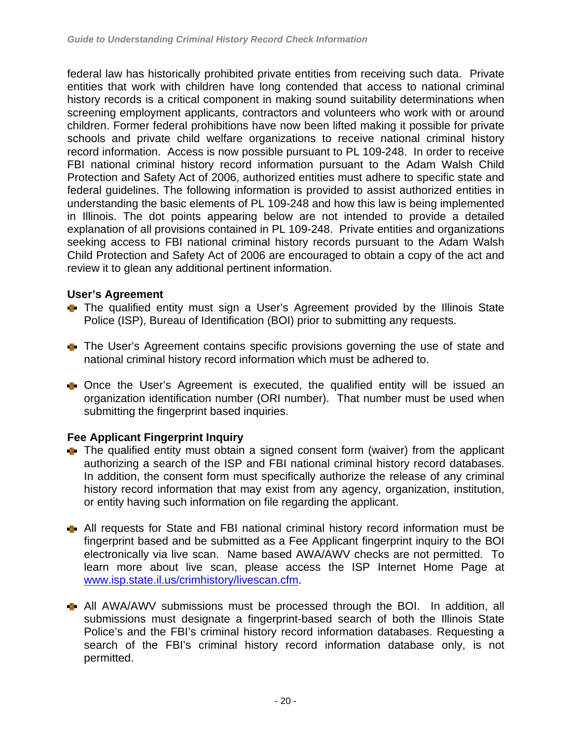federal law has historically prohibited private entities from receiving such data. Private entities that work with children have long contended that access to national criminal history records is a critical component in making sound suitability determinations when screening employment applicants, contractors and volunteers who work with or around children. Former federal prohibitions have now been lifted making it possible for private schools and private child welfare organizations to receive national criminal history record information. Access is now possible pursuant to PL 109-248. In order to receive FBI national criminal history record information pursuant to the Adam Walsh Child Protection and Safety Act of 2006, authorized entities must adhere to specific state and federal guidelines. The following information is provided to assist authorized entities in understanding the basic elements of PL 109-248 and how this law is being implemented in Illinois. The dot points appearing below are not intended to provide a detailed explanation of all provisions contained in PL 109-248. Private entities and organizations seeking access to FBI national criminal history records pursuant to the Adam Walsh Child Protection and Safety Act of 2006 are encouraged to obtain a copy of the act and review it to glean any additional pertinent information.

#### **User's Agreement**

- The qualified entity must sign a User's Agreement provided by the Illinois State Police (ISP), Bureau of Identification (BOI) prior to submitting any requests.
- The User's Agreement contains specific provisions governing the use of state and national criminal history record information which must be adhered to.
- **E** Once the User's Agreement is executed, the qualified entity will be issued an organization identification number (ORI number). That number must be used when submitting the fingerprint based inquiries.

#### **Fee Applicant Fingerprint Inquiry**

- $\blacksquare$  The qualified entity must obtain a signed consent form (waiver) from the applicant authorizing a search of the ISP and FBI national criminal history record databases. In addition, the consent form must specifically authorize the release of any criminal history record information that may exist from any agency, organization, institution, or entity having such information on file regarding the applicant.
- All requests for State and FBI national criminal history record information must be fingerprint based and be submitted as a Fee Applicant fingerprint inquiry to the BOI electronically via live scan. Name based AWA/AWV checks are not permitted. To learn more about live scan, please access the ISP Internet Home Page at [www.isp.state.il.us/crimhistory/livescan.cfm.](http://www.isp.state.il.us/crimhistory/livescan.cfm)
- All AWA/AWV submissions must be processed through the BOI. In addition, all submissions must designate a fingerprint-based search of both the Illinois State Police's and the FBI's criminal history record information databases. Requesting a search of the FBI's criminal history record information database only, is not permitted.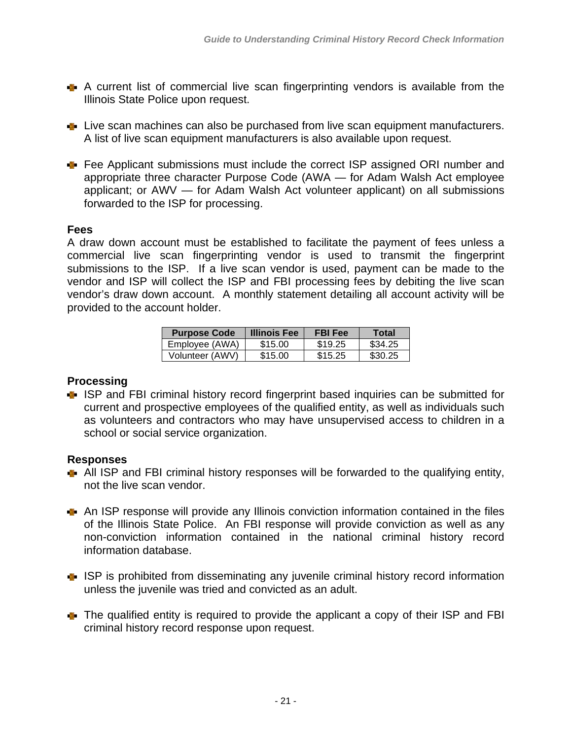- A current list of commercial live scan fingerprinting vendors is available from the Illinois State Police upon request.
- Live scan machines can also be purchased from live scan equipment manufacturers. A list of live scan equipment manufacturers is also available upon request.
- Fee Applicant submissions must include the correct ISP assigned ORI number and appropriate three character Purpose Code (AWA — for Adam Walsh Act employee applicant; or AWV — for Adam Walsh Act volunteer applicant) on all submissions forwarded to the ISP for processing.

#### **Fees**

A draw down account must be established to facilitate the payment of fees unless a commercial live scan fingerprinting vendor is used to transmit the fingerprint submissions to the ISP. If a live scan vendor is used, payment can be made to the vendor and ISP will collect the ISP and FBI processing fees by debiting the live scan vendor's draw down account. A monthly statement detailing all account activity will be provided to the account holder.

| <b>Purpose Code</b> | <b>Illinois Fee</b> | <b>FBI</b> Fee | <b>Total</b> |
|---------------------|---------------------|----------------|--------------|
| Employee (AWA)      | \$15.00             | \$19.25        | \$34.25      |
| Volunteer (AWV)     | \$15.00             | \$15.25        | \$30.25      |

#### **Processing**

**ISP** and FBI criminal history record fingerprint based inquiries can be submitted for current and prospective employees of the qualified entity, as well as individuals such as volunteers and contractors who may have unsupervised access to children in a school or social service organization.

#### **Responses**

- All ISP and FBI criminal history responses will be forwarded to the qualifying entity, not the live scan vendor.
- An ISP response will provide any Illinois conviction information contained in the files of the Illinois State Police. An FBI response will provide conviction as well as any non-conviction information contained in the national criminal history record information database.
- **IF** ISP is prohibited from disseminating any juvenile criminal history record information unless the juvenile was tried and convicted as an adult.
- The qualified entity is required to provide the applicant a copy of their ISP and FBI criminal history record response upon request.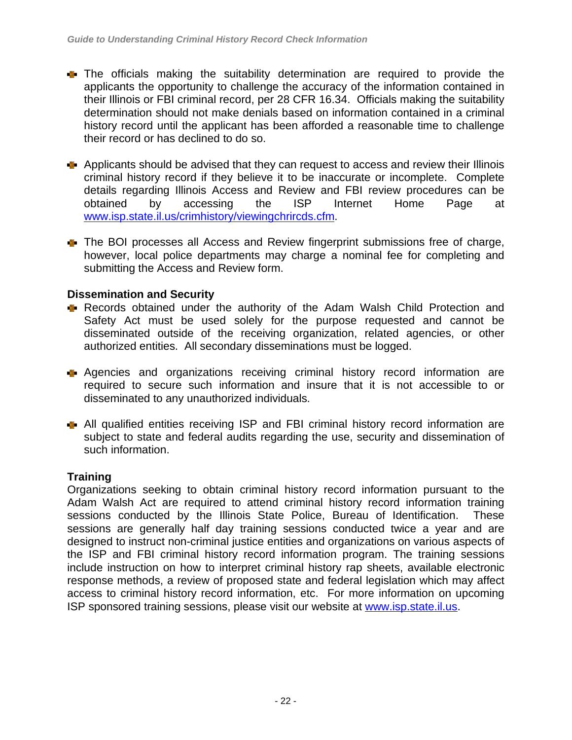- The officials making the suitability determination are required to provide the applicants the opportunity to challenge the accuracy of the information contained in their Illinois or FBI criminal record, per 28 CFR 16.34. Officials making the suitability determination should not make denials based on information contained in a criminal history record until the applicant has been afforded a reasonable time to challenge their record or has declined to do so.
- Applicants should be advised that they can request to access and review their Illinois criminal history record if they believe it to be inaccurate or incomplete. Complete details regarding Illinois Access and Review and FBI review procedures can be obtained by accessing the ISP Internet Home Page at [www.isp.state.il.us/crimhistory/viewingchrircds.cfm.](http://www.isp.state.il.us/crimhistory/viewingchrircds.cfm)
- The BOI processes all Access and Review fingerprint submissions free of charge, however, local police departments may charge a nominal fee for completing and submitting the Access and Review form.

#### **Dissemination and Security**

- **Records obtained under the authority of the Adam Walsh Child Protection and** Safety Act must be used solely for the purpose requested and cannot be disseminated outside of the receiving organization, related agencies, or other authorized entities. All secondary disseminations must be logged.
- Agencies and organizations receiving criminal history record information are required to secure such information and insure that it is not accessible to or disseminated to any unauthorized individuals.
- All qualified entities receiving ISP and FBI criminal history record information are subject to state and federal audits regarding the use, security and dissemination of such information.

#### **Training**

Organizations seeking to obtain criminal history record information pursuant to the Adam Walsh Act are required to attend criminal history record information training sessions conducted by the Illinois State Police, Bureau of Identification. These sessions are generally half day training sessions conducted twice a year and are designed to instruct non-criminal justice entities and organizations on various aspects of the ISP and FBI criminal history record information program. The training sessions include instruction on how to interpret criminal history rap sheets, available electronic response methods, a review of proposed state and federal legislation which may affect access to criminal history record information, etc. For more information on upcoming ISP sponsored training sessions, please visit our website at [www.isp.state.il.us.](http://www.isp.state.il.us/)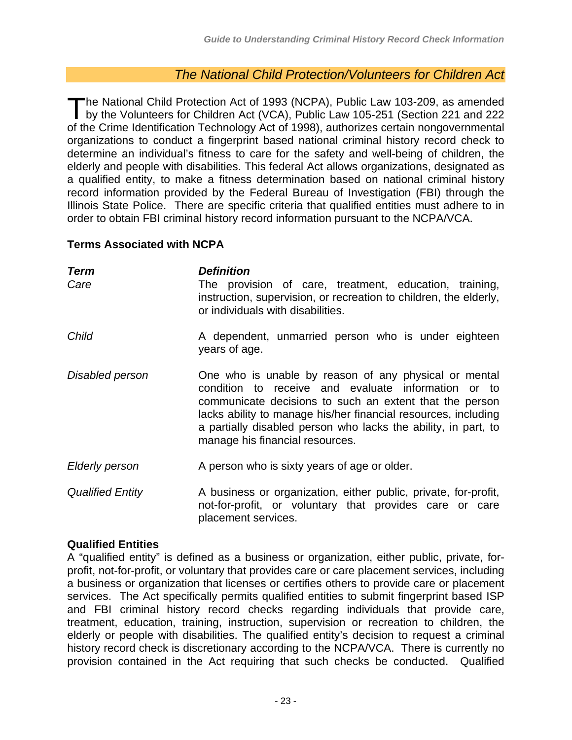#### *The National Child Protection/Volunteers for Children Act*

<span id="page-27-0"></span>he National Child Protection Act of 1993 (NCPA), Public Law 103-209, as amended The National Child Protection Act of 1993 (NCPA), Public Law 103-209, as amended<br>by the Volunteers for Children Act (VCA), Public Law 105-251 (Section 221 and 222 of the Crime Identification Technology Act of 1998), authorizes certain nongovernmental organizations to conduct a fingerprint based national criminal history record check to determine an individual's fitness to care for the safety and well-being of children, the elderly and people with disabilities. This federal Act allows organizations, designated as a qualified entity, to make a fitness determination based on national criminal history record information provided by the Federal Bureau of Investigation (FBI) through the Illinois State Police. There are specific criteria that qualified entities must adhere to in order to obtain FBI criminal history record information pursuant to the NCPA/VCA.

#### **Terms Associated with NCPA**

| <b>Term</b>             | <b>Definition</b>                                                                                                                                                                                                                                                                                                                              |
|-------------------------|------------------------------------------------------------------------------------------------------------------------------------------------------------------------------------------------------------------------------------------------------------------------------------------------------------------------------------------------|
| Care                    | The provision of care, treatment, education, training,<br>instruction, supervision, or recreation to children, the elderly,<br>or individuals with disabilities.                                                                                                                                                                               |
| Child                   | A dependent, unmarried person who is under eighteen<br>years of age.                                                                                                                                                                                                                                                                           |
| Disabled person         | One who is unable by reason of any physical or mental<br>condition to receive and evaluate information or to<br>communicate decisions to such an extent that the person<br>lacks ability to manage his/her financial resources, including<br>a partially disabled person who lacks the ability, in part, to<br>manage his financial resources. |
| Elderly person          | A person who is sixty years of age or older.                                                                                                                                                                                                                                                                                                   |
| <b>Qualified Entity</b> | A business or organization, either public, private, for-profit,<br>not-for-profit, or voluntary that provides care or care<br>placement services.                                                                                                                                                                                              |

#### **Qualified Entities**

A "qualified entity" is defined as a business or organization, either public, private, forprofit, not-for-profit, or voluntary that provides care or care placement services, including a business or organization that licenses or certifies others to provide care or placement services. The Act specifically permits qualified entities to submit fingerprint based ISP and FBI criminal history record checks regarding individuals that provide care, treatment, education, training, instruction, supervision or recreation to children, the elderly or people with disabilities. The qualified entity's decision to request a criminal history record check is discretionary according to the NCPA/VCA. There is currently no provision contained in the Act requiring that such checks be conducted. Qualified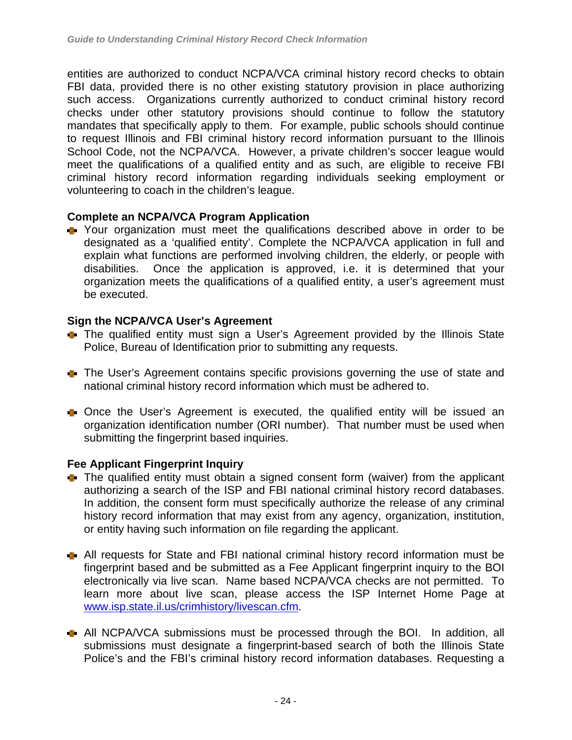entities are authorized to conduct NCPA/VCA criminal history record checks to obtain FBI data, provided there is no other existing statutory provision in place authorizing such access. Organizations currently authorized to conduct criminal history record checks under other statutory provisions should continue to follow the statutory mandates that specifically apply to them. For example, public schools should continue to request Illinois and FBI criminal history record information pursuant to the Illinois School Code, not the NCPA/VCA. However, a private children's soccer league would meet the qualifications of a qualified entity and as such, are eligible to receive FBI criminal history record information regarding individuals seeking employment or volunteering to coach in the children's league.

#### **Complete an NCPA/VCA Program Application**

Your organization must meet the qualifications described above in order to be designated as a 'qualified entity'. Complete the NCPA/VCA application in full and explain what functions are performed involving children, the elderly, or people with disabilities. Once the application is approved, i.e. it is determined that your organization meets the qualifications of a qualified entity, a user's agreement must be executed.

#### **Sign the NCPA/VCA User's Agreement**

- The qualified entity must sign a User's Agreement provided by the Illinois State Police, Bureau of Identification prior to submitting any requests.
- The User's Agreement contains specific provisions governing the use of state and national criminal history record information which must be adhered to.
- **E.** Once the User's Agreement is executed, the qualified entity will be issued an organization identification number (ORI number). That number must be used when submitting the fingerprint based inquiries.

#### **Fee Applicant Fingerprint Inquiry**

- The qualified entity must obtain a signed consent form (waiver) from the applicant authorizing a search of the ISP and FBI national criminal history record databases. In addition, the consent form must specifically authorize the release of any criminal history record information that may exist from any agency, organization, institution, or entity having such information on file regarding the applicant.
- All requests for State and FBI national criminal history record information must be fingerprint based and be submitted as a Fee Applicant fingerprint inquiry to the BOI electronically via live scan. Name based NCPA/VCA checks are not permitted. To learn more about live scan, please access the ISP Internet Home Page at [www.isp.state.il.us/crimhistory/livescan.cfm.](http://www.isp.state.il.us/crimhistory/livescan.cfm)
- All NCPA/VCA submissions must be processed through the BOI. In addition, all submissions must designate a fingerprint-based search of both the Illinois State Police's and the FBI's criminal history record information databases. Requesting a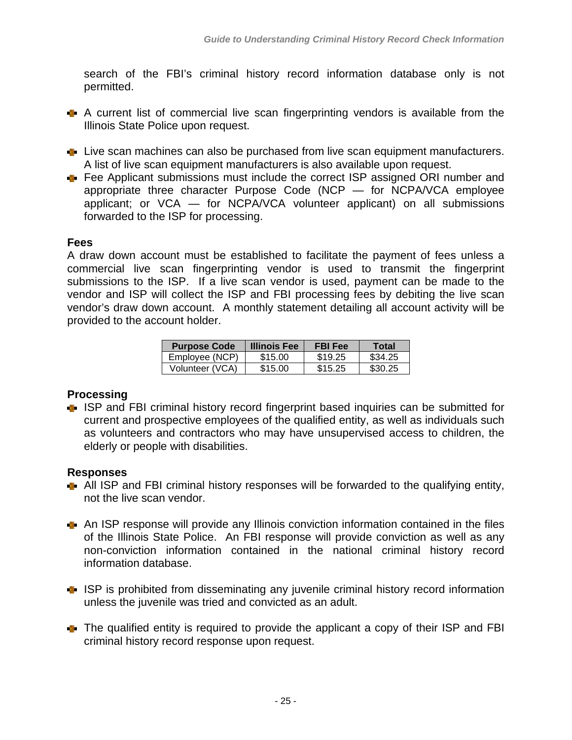search of the FBI's criminal history record information database only is not permitted.

- A current list of commercial live scan fingerprinting vendors is available from the Illinois State Police upon request.
- Live scan machines can also be purchased from live scan equipment manufacturers. A list of live scan equipment manufacturers is also available upon request.
- Fee Applicant submissions must include the correct ISP assigned ORI number and appropriate three character Purpose Code (NCP — for NCPA/VCA employee applicant; or VCA — for NCPA/VCA volunteer applicant) on all submissions forwarded to the ISP for processing.

#### **Fees**

A draw down account must be established to facilitate the payment of fees unless a commercial live scan fingerprinting vendor is used to transmit the fingerprint submissions to the ISP. If a live scan vendor is used, payment can be made to the vendor and ISP will collect the ISP and FBI processing fees by debiting the live scan vendor's draw down account. A monthly statement detailing all account activity will be provided to the account holder.

| <b>Purpose Code</b> | <b>Illinois Fee</b> | <b>FBI</b> Fee | <b>Total</b> |
|---------------------|---------------------|----------------|--------------|
| Employee (NCP)      | \$15.00             | \$19.25        | \$34.25      |
| Volunteer (VCA)     | \$15.00             | \$15.25        | \$30.25      |

#### **Processing**

**ISP** and FBI criminal history record fingerprint based inquiries can be submitted for current and prospective employees of the qualified entity, as well as individuals such as volunteers and contractors who may have unsupervised access to children, the elderly or people with disabilities.

#### **Responses**

- All ISP and FBI criminal history responses will be forwarded to the qualifying entity, not the live scan vendor.
- An ISP response will provide any Illinois conviction information contained in the files of the Illinois State Police. An FBI response will provide conviction as well as any non-conviction information contained in the national criminal history record information database.
- **ISP** ISP is prohibited from disseminating any juvenile criminal history record information unless the juvenile was tried and convicted as an adult.
- The qualified entity is required to provide the applicant a copy of their ISP and FBI criminal history record response upon request.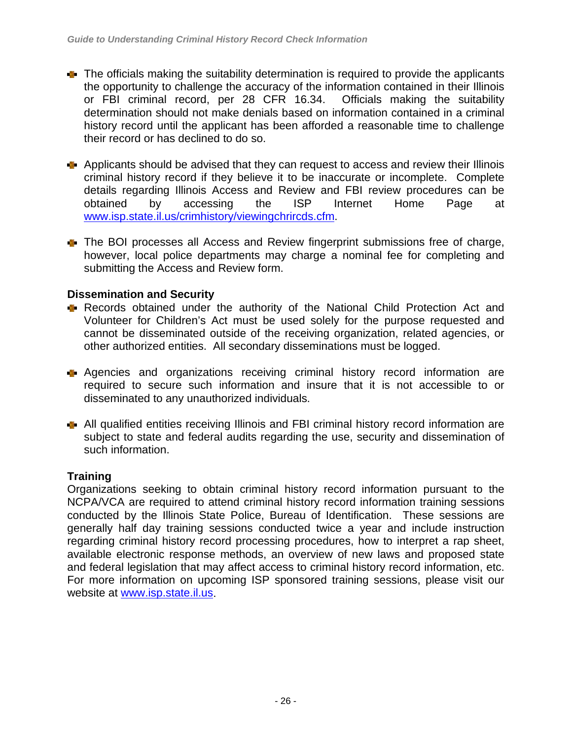- $\blacksquare$  The officials making the suitability determination is required to provide the applicants the opportunity to challenge the accuracy of the information contained in their Illinois or FBI criminal record, per 28 CFR 16.34. Officials making the suitability determination should not make denials based on information contained in a criminal history record until the applicant has been afforded a reasonable time to challenge their record or has declined to do so.
- Applicants should be advised that they can request to access and review their Illinois criminal history record if they believe it to be inaccurate or incomplete. Complete details regarding Illinois Access and Review and FBI review procedures can be obtained by accessing the ISP Internet Home Page at [www.isp.state.il.us/crimhistory/viewingchrircds.cfm.](http://www.isp.state.il.us/crimhistory/viewingchrircds.cfm)
- The BOI processes all Access and Review fingerprint submissions free of charge, however, local police departments may charge a nominal fee for completing and submitting the Access and Review form.

#### **Dissemination and Security**

- **Records obtained under the authority of the National Child Protection Act and** Volunteer for Children's Act must be used solely for the purpose requested and cannot be disseminated outside of the receiving organization, related agencies, or other authorized entities. All secondary disseminations must be logged.
- Agencies and organizations receiving criminal history record information are required to secure such information and insure that it is not accessible to or disseminated to any unauthorized individuals.
- All qualified entities receiving Illinois and FBI criminal history record information are subject to state and federal audits regarding the use, security and dissemination of such information.

#### **Training**

Organizations seeking to obtain criminal history record information pursuant to the NCPA/VCA are required to attend criminal history record information training sessions conducted by the Illinois State Police, Bureau of Identification. These sessions are generally half day training sessions conducted twice a year and include instruction regarding criminal history record processing procedures, how to interpret a rap sheet, available electronic response methods, an overview of new laws and proposed state and federal legislation that may affect access to criminal history record information, etc. For more information on upcoming ISP sponsored training sessions, please visit our website at [www.isp.state.il.us.](http://www.isp.state.il.us/)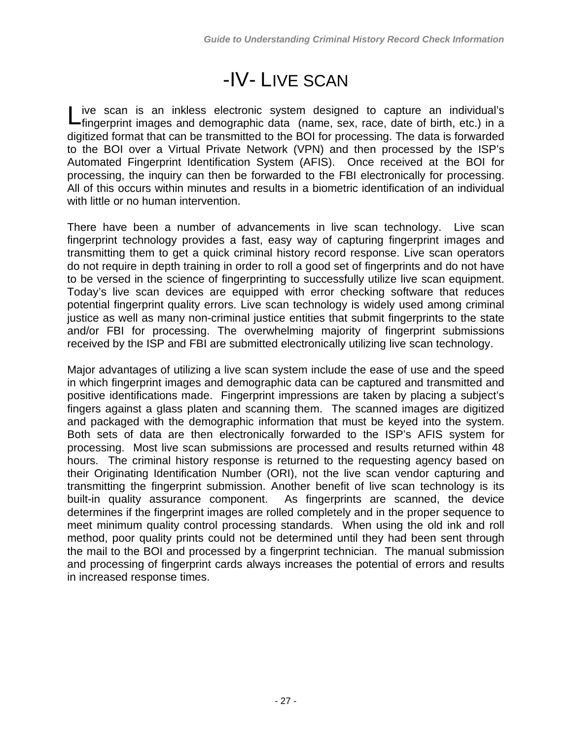# -IV- LIVE SCAN

<span id="page-31-0"></span>ive scan is an inkless electronic system designed to capture an individual's Live scan is an inkless electronic system designed to capture an individual's fingerprint images and demographic data (name, sex, race, date of birth, etc.) in a digitized format that can be transmitted to the BOI for processing. The data is forwarded to the BOI over a Virtual Private Network (VPN) and then processed by the ISP's Automated Fingerprint Identification System (AFIS). Once received at the BOI for processing, the inquiry can then be forwarded to the FBI electronically for processing. All of this occurs within minutes and results in a biometric identification of an individual with little or no human intervention.

There have been a number of advancements in live scan technology. Live scan fingerprint technology provides a fast, easy way of capturing fingerprint images and transmitting them to get a quick criminal history record response. Live scan operators do not require in depth training in order to roll a good set of fingerprints and do not have to be versed in the science of fingerprinting to successfully utilize live scan equipment. Today's live scan devices are equipped with error checking software that reduces potential fingerprint quality errors. Live scan technology is widely used among criminal justice as well as many non-criminal justice entities that submit fingerprints to the state and/or FBI for processing. The overwhelming majority of fingerprint submissions received by the ISP and FBI are submitted electronically utilizing live scan technology.

Major advantages of utilizing a live scan system include the ease of use and the speed in which fingerprint images and demographic data can be captured and transmitted and positive identifications made. Fingerprint impressions are taken by placing a subject's fingers against a glass platen and scanning them. The scanned images are digitized and packaged with the demographic information that must be keyed into the system. Both sets of data are then electronically forwarded to the ISP's AFIS system for processing. Most live scan submissions are processed and results returned within 48 hours. The criminal history response is returned to the requesting agency based on their Originating Identification Number (ORI), not the live scan vendor capturing and transmitting the fingerprint submission. Another benefit of live scan technology is its built-in quality assurance component. As fingerprints are scanned, the device determines if the fingerprint images are rolled completely and in the proper sequence to meet minimum quality control processing standards. When using the old ink and roll method, poor quality prints could not be determined until they had been sent through the mail to the BOI and processed by a fingerprint technician. The manual submission and processing of fingerprint cards always increases the potential of errors and results in increased response times.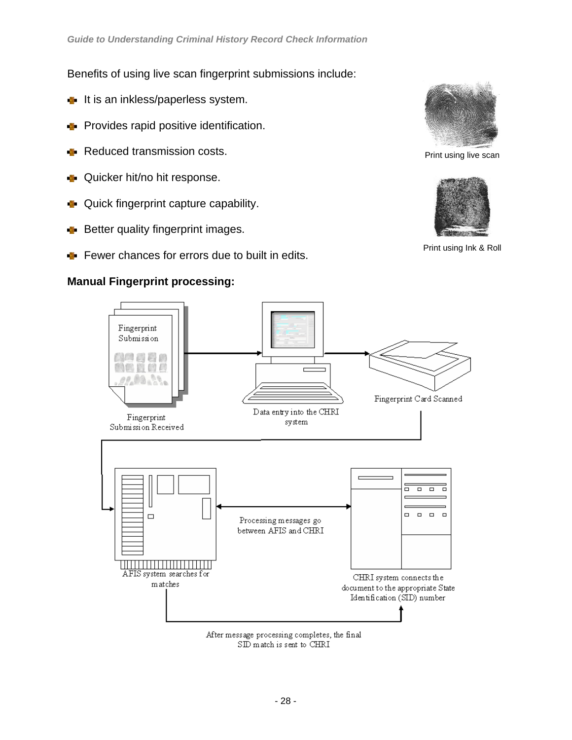Benefits of using live scan fingerprint submissions include:

- It is an inkless/paperless system.  $\mathcal{L}_{\mathcal{A}}$
- Provides rapid positive identification.  $\mathcal{L}_{\mathcal{A}}$
- Reduced transmission costs. **Co**
- Quicker hit/no hit response. **Co**
- Quick fingerprint capture capability. **Co**
- Better quality fingerprint images.  $\mathcal{L}_{\mathcal{A}}$
- Fewer chances for errors due to built in edits. **Co**

#### **Manual Fingerprint processing:**



Print using live scan



Print using Ink & Roll



After message processing completes, the final SID match is sent to CHRI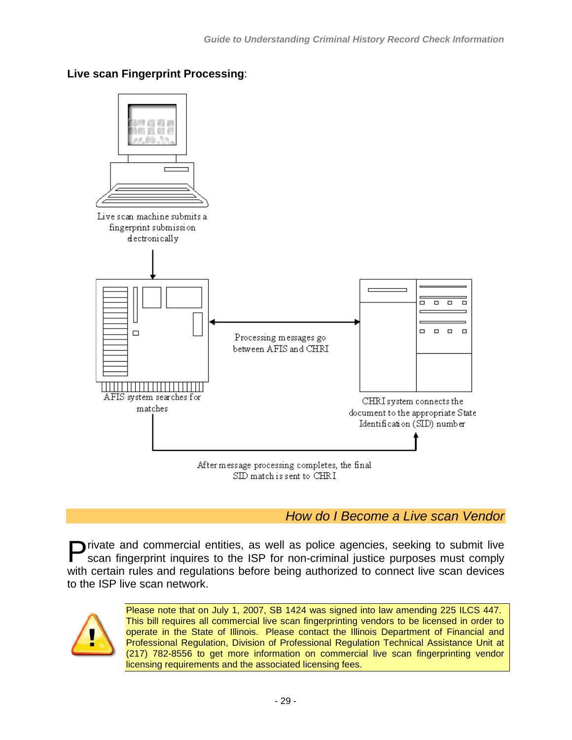



## *How do I Become a Live scan Vendor*

<span id="page-33-0"></span>Private and commercial entities, as well as police agencies, seeking to submit live<br>scan fingerprint inquires to the ISP for non-criminal justice purposes must comply scan fingerprint inquires to the ISP for non-criminal justice purposes must comply with certain rules and regulations before being authorized to connect live scan devices to the ISP live scan network.



Please note that on July 1, 2007, SB 1424 was signed into law amending 225 ILCS 447. This bill requires all commercial live scan fingerprinting vendors to be licensed in order to operate in the State of Illinois. Please contact the Illinois Department of Financial and Professional Regulation, Division of Professional Regulation Technical Assistance Unit at (217) 782-8556 to get more information on commercial live scan fingerprinting vendor licensing requirements and the associated licensing fees.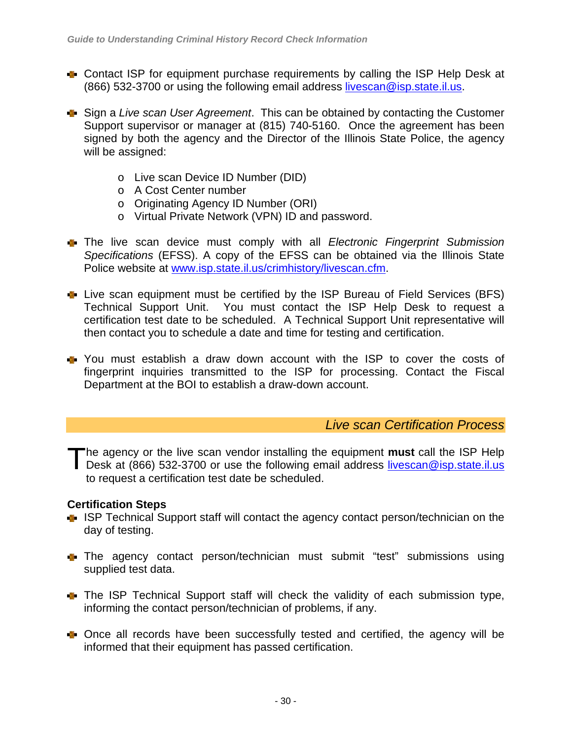- **E** Contact ISP for equipment purchase requirements by calling the ISP Help Desk at (866) 532-3700 or using the following email address [livescan@isp.state.il.us.](mailto:livescan@isp.state.il.us)
- Sign a *Live scan User Agreement*. This can be obtained by contacting the Customer Support supervisor or manager at (815) 740-5160. Once the agreement has been signed by both the agency and the Director of the Illinois State Police, the agency will be assigned:
	- o Live scan Device ID Number (DID)
	- o A Cost Center number
	- o Originating Agency ID Number (ORI)
	- o Virtual Private Network (VPN) ID and password.
- The live scan device must comply with all *Electronic Fingerprint Submission Specifications* (EFSS). A copy of the EFSS can be obtained via the Illinois State Police website at [www.isp.state.il.us/crimhistory/livescan.cfm.](http://www.isp.state.il.us/crimhistory/livescan.cfm)
- Live scan equipment must be certified by the ISP Bureau of Field Services (BFS) Technical Support Unit. You must contact the ISP Help Desk to request a certification test date to be scheduled. A Technical Support Unit representative will then contact you to schedule a date and time for testing and certification.
- You must establish a draw down account with the ISP to cover the costs of fingerprint inquiries transmitted to the ISP for processing. Contact the Fiscal Department at the BOI to establish a draw-down account.

*Live scan Certification Process*

<span id="page-34-0"></span>he agency or the live scan vendor installing the equipment **must** call the ISP Help The agency or the live scan vendor installing the equipment must call the ISP Help<br>Desk at (866) 532-3700 or use the following email address [livescan@isp.state.il.us](mailto:livescan@isp.state.il.us) to request a certification test date be scheduled.

#### **Certification Steps**

- ISP Technical Support staff will contact the agency contact person/technician on the day of testing.
- The agency contact person/technician must submit "test" submissions using supplied test data.
- The ISP Technical Support staff will check the validity of each submission type, informing the contact person/technician of problems, if any.
- **D** Once all records have been successfully tested and certified, the agency will be informed that their equipment has passed certification.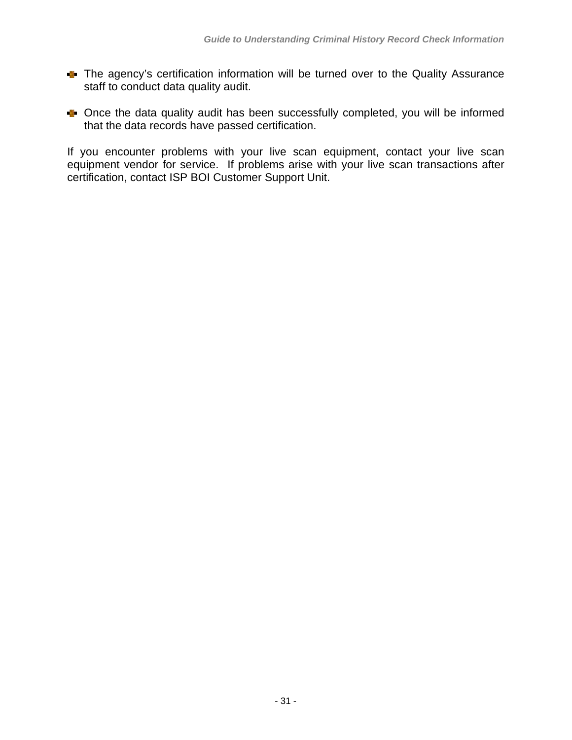- The agency's certification information will be turned over to the Quality Assurance staff to conduct data quality audit.
- $\blacksquare$  Once the data quality audit has been successfully completed, you will be informed that the data records have passed certification.

If you encounter problems with your live scan equipment, contact your live scan equipment vendor for service. If problems arise with your live scan transactions after certification, contact ISP BOI Customer Support Unit.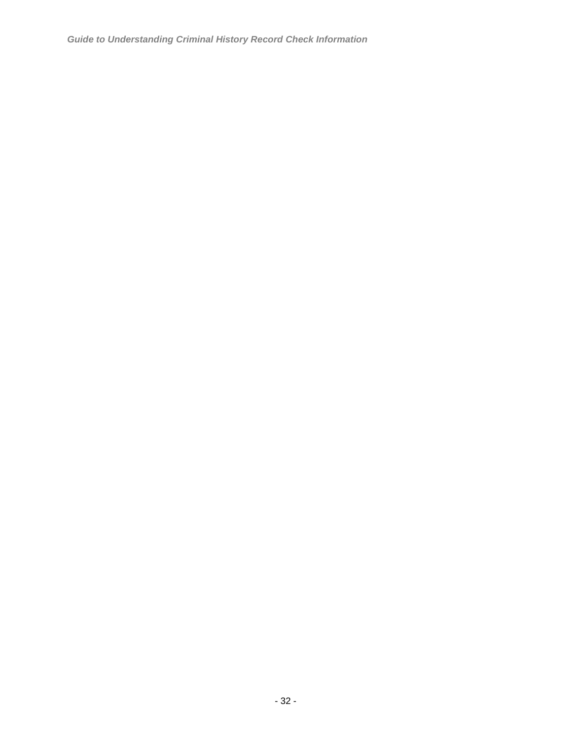*Guide to Understanding Criminal History Record Check Information*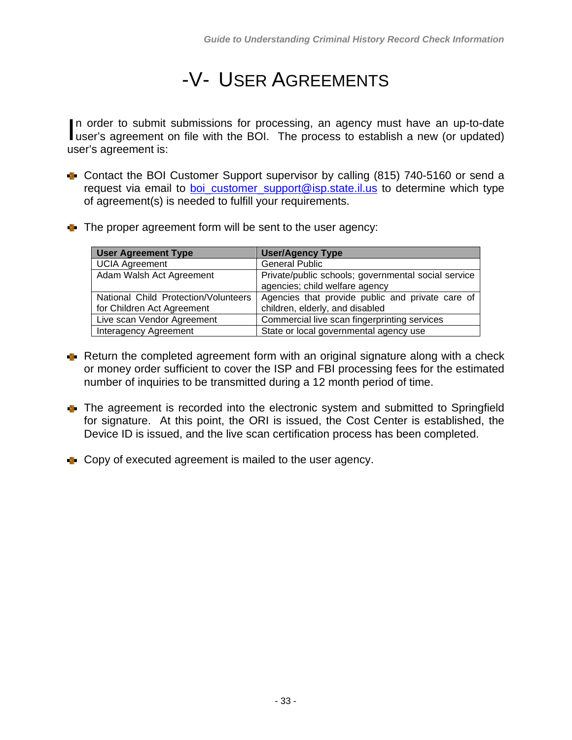# -V- USER AGREEMENTS

n order to submit submissions for processing, an agency must have an up-to-date In order to submit submissions for processing, an agency must have an up-to-date<br>user's agreement on file with the BOI. The process to establish a new (or updated) user's agreement is:

- **Contact the BOI Customer Support supervisor by calling (815) 740-5160 or send a** request via email to **boi\_customer\_support@isp.state.il.us** to determine which type of agreement(s) is needed to fulfill your requirements.
- The proper agreement form will be sent to the user agency:

| <b>User Agreement Type</b>           | <b>User/Agency Type</b>                             |
|--------------------------------------|-----------------------------------------------------|
| <b>UCIA Agreement</b>                | <b>General Public</b>                               |
| Adam Walsh Act Agreement             | Private/public schools; governmental social service |
|                                      | agencies; child welfare agency                      |
| National Child Protection/Volunteers | Agencies that provide public and private care of    |
| for Children Act Agreement           | children, elderly, and disabled                     |
| Live scan Vendor Agreement           | Commercial live scan fingerprinting services        |
| Interagency Agreement                | State or local governmental agency use              |

- Return the completed agreement form with an original signature along with a check or money order sufficient to cover the ISP and FBI processing fees for the estimated number of inquiries to be transmitted during a 12 month period of time.
- The agreement is recorded into the electronic system and submitted to Springfield for signature. At this point, the ORI is issued, the Cost Center is established, the Device ID is issued, and the live scan certification process has been completed.
- **Copy of executed agreement is mailed to the user agency.**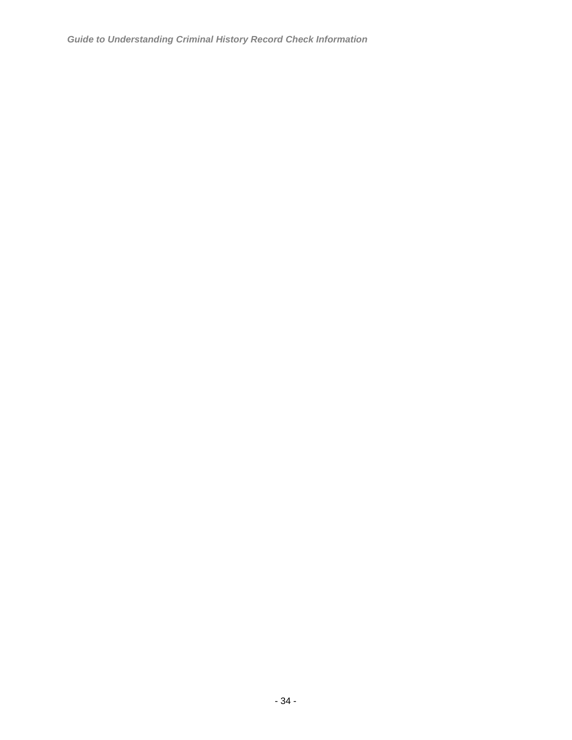*Guide to Understanding Criminal History Record Check Information*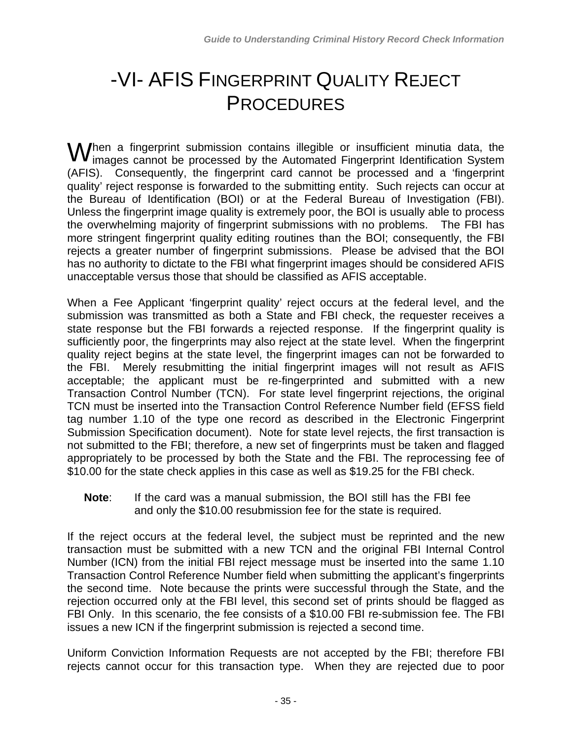# -VI- AFIS FINGERPRINT QUALITY REJECT **PROCEDURES**

When a fingerprint submission contains illegible or insufficient minutia data, the indigens cannot be processed by the Automated Fingerprint Identification System images cannot be processed by the Automated Fingerprint Identification System (AFIS). Consequently, the fingerprint card cannot be processed and a 'fingerprint quality' reject response is forwarded to the submitting entity. Such rejects can occur at the Bureau of Identification (BOI) or at the Federal Bureau of Investigation (FBI). Unless the fingerprint image quality is extremely poor, the BOI is usually able to process the overwhelming majority of fingerprint submissions with no problems. The FBI has more stringent fingerprint quality editing routines than the BOI; consequently, the FBI rejects a greater number of fingerprint submissions. Please be advised that the BOI has no authority to dictate to the FBI what fingerprint images should be considered AFIS unacceptable versus those that should be classified as AFIS acceptable.

When a Fee Applicant 'fingerprint quality' reject occurs at the federal level, and the submission was transmitted as both a State and FBI check, the requester receives a state response but the FBI forwards a rejected response. If the fingerprint quality is sufficiently poor, the fingerprints may also reject at the state level. When the fingerprint quality reject begins at the state level, the fingerprint images can not be forwarded to the FBI. Merely resubmitting the initial fingerprint images will not result as AFIS acceptable; the applicant must be re-fingerprinted and submitted with a new Transaction Control Number (TCN). For state level fingerprint rejections, the original TCN must be inserted into the Transaction Control Reference Number field (EFSS field tag number 1.10 of the type one record as described in the Electronic Fingerprint Submission Specification document). Note for state level rejects, the first transaction is not submitted to the FBI; therefore, a new set of fingerprints must be taken and flagged appropriately to be processed by both the State and the FBI. The reprocessing fee of \$10.00 for the state check applies in this case as well as \$19.25 for the FBI check.

**Note**: If the card was a manual submission, the BOI still has the FBI fee and only the \$10.00 resubmission fee for the state is required.

If the reject occurs at the federal level, the subject must be reprinted and the new transaction must be submitted with a new TCN and the original FBI Internal Control Number (ICN) from the initial FBI reject message must be inserted into the same 1.10 Transaction Control Reference Number field when submitting the applicant's fingerprints the second time. Note because the prints were successful through the State, and the rejection occurred only at the FBI level, this second set of prints should be flagged as FBI Only. In this scenario, the fee consists of a \$10.00 FBI re-submission fee. The FBI issues a new ICN if the fingerprint submission is rejected a second time.

Uniform Conviction Information Requests are not accepted by the FBI; therefore FBI rejects cannot occur for this transaction type. When they are rejected due to poor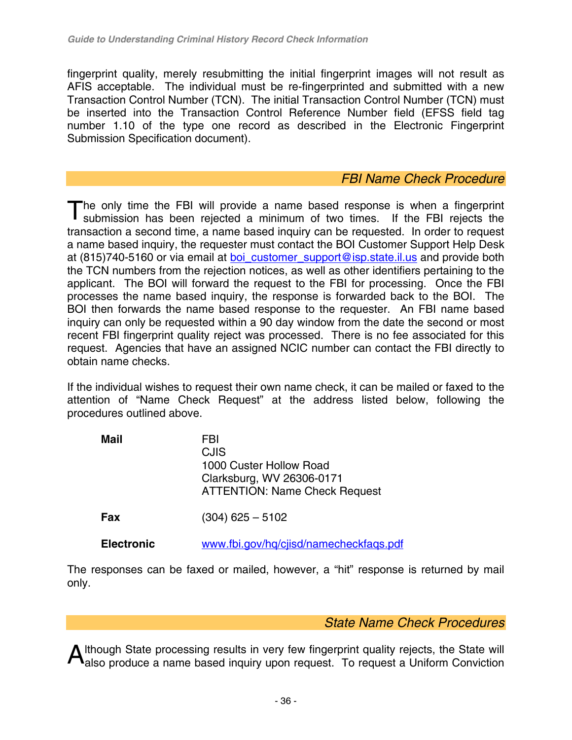fingerprint quality, merely resubmitting the initial fingerprint images will not result as AFIS acceptable. The individual must be re-fingerprinted and submitted with a new Transaction Control Number (TCN). The initial Transaction Control Number (TCN) must be inserted into the Transaction Control Reference Number field (EFSS field tag number 1.10 of the type one record as described in the Electronic Fingerprint Submission Specification document).

# *FBI Name Check Procedure*

The only time the FBI will provide a name based response is when a fingerprint submission has been rejected a minimum of two times. If the FBI rejects the submission has been rejected a minimum of two times. If the FBI rejects the transaction a second time, a name based inquiry can be requested. In order to request a name based inquiry, the requester must contact the BOI Customer Support Help Desk at (815)740-5160 or via email at boi customer support@isp.state.il.us and provide both the TCN numbers from the rejection notices, as well as other identifiers pertaining to the applicant. The BOI will forward the request to the FBI for processing. Once the FBI processes the name based inquiry, the response is forwarded back to the BOI. The BOI then forwards the name based response to the requester. An FBI name based inquiry can only be requested within a 90 day window from the date the second or most recent FBI fingerprint quality reject was processed. There is no fee associated for this request. Agencies that have an assigned NCIC number can contact the FBI directly to obtain name checks.

If the individual wishes to request their own name check, it can be mailed or faxed to the attention of "Name Check Request" at the address listed below, following the procedures outlined above.

| Mail | FBI                                  |
|------|--------------------------------------|
|      | <b>CJIS</b>                          |
|      | 1000 Custer Hollow Road              |
|      | Clarksburg, WV 26306-0171            |
|      | <b>ATTENTION: Name Check Request</b> |
|      |                                      |

**Fax** (304) 625 – 5102

**Electronic** [www.fbi.gov/hq/cjisd/namecheckfaqs.pdf](http://www.fbi.gov/hq/cjisd/namecheckfaqs.pdf) 

The responses can be faxed or mailed, however, a "hit" response is returned by mail only.

# *State Name Check Procedures*

lthough State processing results in very few fingerprint quality rejects, the State will Although State processing results in very few fingerprint quality rejects, the State will also produce a name based inquiry upon request. To request a Uniform Conviction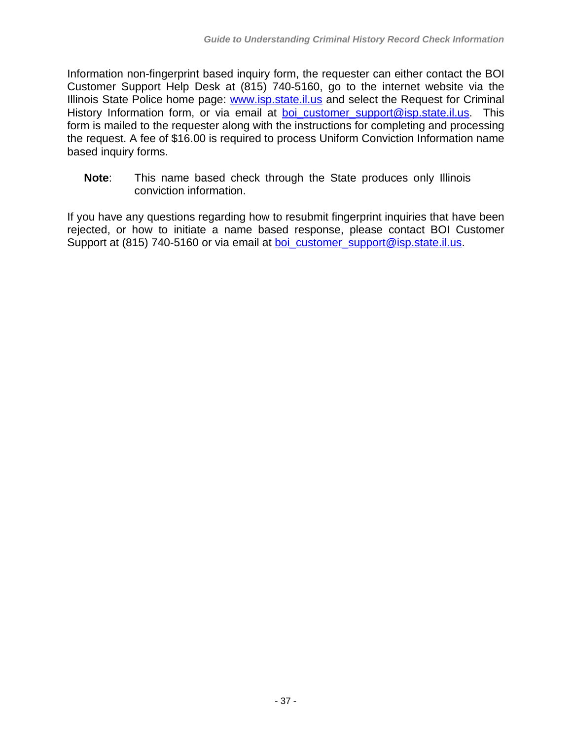Information non-fingerprint based inquiry form, the requester can either contact the BOI Customer Support Help Desk at (815) 740-5160, go to the internet website via the Illinois State Police home page: [www.isp.state.il.us](http://www.isp.state.il.us/) and select the Request for Criminal History Information form, or via email at [boi\\_customer\\_support@isp.state.il.us.](mailto:boi_customer_support@isp.state.il.us) This form is mailed to the requester along with the instructions for completing and processing the request. A fee of \$16.00 is required to process Uniform Conviction Information name based inquiry forms.

**Note**: This name based check through the State produces only Illinois conviction information.

If you have any questions regarding how to resubmit fingerprint inquiries that have been rejected, or how to initiate a name based response, please contact BOI Customer Support at (815) 740-5160 or via email at [boi\\_customer\\_support@isp.state.il.us.](mailto:boi_customer_support@isp.state.il.us)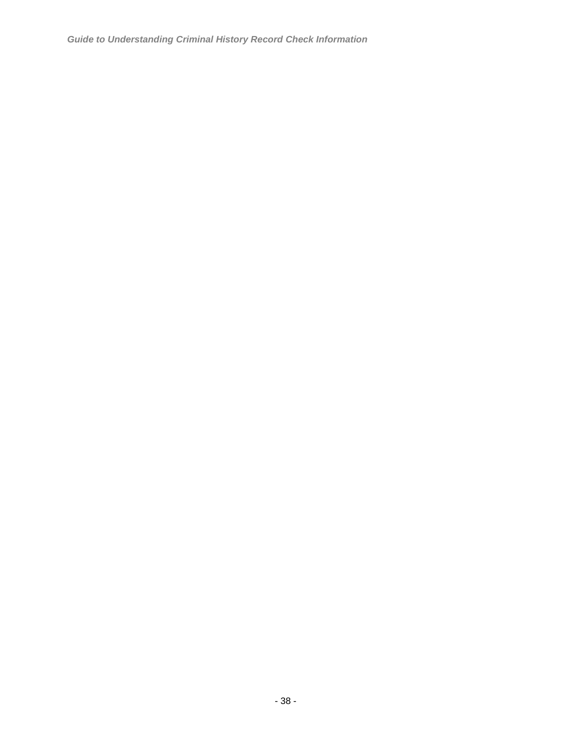*Guide to Understanding Criminal History Record Check Information*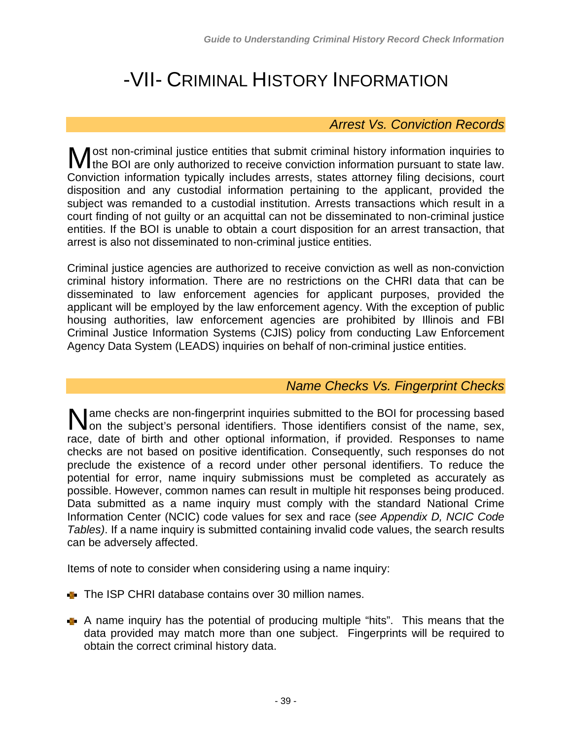# -VII- CRIMINAL HISTORY INFORMATION

# *Arrest Vs. Conviction Records*

ost non-criminal justice entities that submit criminal history information inquiries to Most non-criminal justice entities that submit criminal history information inquiries to<br>the BOI are only authorized to receive conviction information pursuant to state law. Conviction information typically includes arrests, states attorney filing decisions, court disposition and any custodial information pertaining to the applicant, provided the subject was remanded to a custodial institution. Arrests transactions which result in a court finding of not guilty or an acquittal can not be disseminated to non-criminal justice entities. If the BOI is unable to obtain a court disposition for an arrest transaction, that arrest is also not disseminated to non-criminal justice entities.

Criminal justice agencies are authorized to receive conviction as well as non-conviction criminal history information. There are no restrictions on the CHRI data that can be disseminated to law enforcement agencies for applicant purposes, provided the applicant will be employed by the law enforcement agency. With the exception of public housing authorities, law enforcement agencies are prohibited by Illinois and FBI Criminal Justice Information Systems (CJIS) policy from conducting Law Enforcement Agency Data System (LEADS) inquiries on behalf of non-criminal justice entities.

# *Name Checks Vs. Fingerprint Checks*

I ame checks are non-fingerprint inquiries submitted to the BOI for processing based Name checks are non-fingerprint inquiries submitted to the BOI for processing based<br>
on the subject's personal identifiers. Those identifiers consist of the name, sex, race, date of birth and other optional information, if provided. Responses to name checks are not based on positive identification. Consequently, such responses do not preclude the existence of a record under other personal identifiers. To reduce the potential for error, name inquiry submissions must be completed as accurately as possible. However, common names can result in multiple hit responses being produced. Data submitted as a name inquiry must comply with the standard National Crime Information Center (NCIC) code values for sex and race (*see Appendix D, NCIC Code Tables)*. If a name inquiry is submitted containing invalid code values, the search results can be adversely affected.

Items of note to consider when considering using a name inquiry:

- **The ISP CHRI database contains over 30 million names.**
- A name inquiry has the potential of producing multiple "hits". This means that the data provided may match more than one subject. Fingerprints will be required to obtain the correct criminal history data.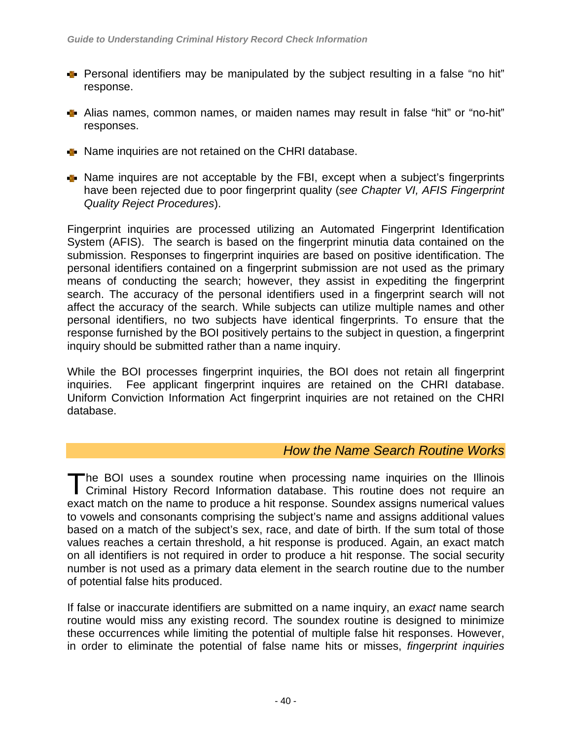- **Personal identifiers may be manipulated by the subject resulting in a false "no hit"** response.
- Alias names, common names, or maiden names may result in false "hit" or "no-hit" responses.
- Name inquiries are not retained on the CHRI database.
- •• Name inquires are not acceptable by the FBI, except when a subject's fingerprints have been rejected due to poor fingerprint quality (*see Chapter VI, AFIS Fingerprint Quality Reject Procedures*).

Fingerprint inquiries are processed utilizing an Automated Fingerprint Identification System (AFIS). The search is based on the fingerprint minutia data contained on the submission. Responses to fingerprint inquiries are based on positive identification. The personal identifiers contained on a fingerprint submission are not used as the primary means of conducting the search; however, they assist in expediting the fingerprint search. The accuracy of the personal identifiers used in a fingerprint search will not affect the accuracy of the search. While subjects can utilize multiple names and other personal identifiers, no two subjects have identical fingerprints. To ensure that the response furnished by the BOI positively pertains to the subject in question, a fingerprint inquiry should be submitted rather than a name inquiry.

While the BOI processes fingerprint inquiries, the BOI does not retain all fingerprint inquiries. Fee applicant fingerprint inquires are retained on the CHRI database. Uniform Conviction Information Act fingerprint inquiries are not retained on the CHRI database.

# *How the Name Search Routine Works*

The BOI uses a soundex routine when processing name inquiries on the Illinois The BOI uses a soundex routine when processing name inquiries on the Illinois<br>Criminal History Record Information database. This routine does not require an exact match on the name to produce a hit response. Soundex assigns numerical values to vowels and consonants comprising the subject's name and assigns additional values based on a match of the subject's sex, race, and date of birth. If the sum total of those values reaches a certain threshold, a hit response is produced. Again, an exact match on all identifiers is not required in order to produce a hit response. The social security number is not used as a primary data element in the search routine due to the number of potential false hits produced.

If false or inaccurate identifiers are submitted on a name inquiry, an *exact* name search routine would miss any existing record. The soundex routine is designed to minimize these occurrences while limiting the potential of multiple false hit responses. However, in order to eliminate the potential of false name hits or misses, *fingerprint inquiries*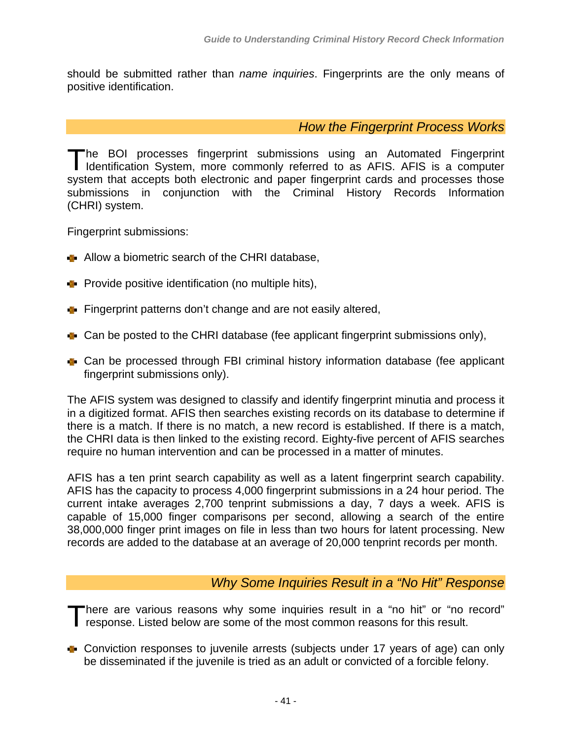should be submitted rather than *name inquiries*. Fingerprints are the only means of positive identification.

*How the Fingerprint Process Works*

he BOI processes fingerprint submissions using an Automated Fingerprint The BOI processes fingerprint submissions using an Automated Fingerprint<br>Identification System, more commonly referred to as AFIS. AFIS is a computer system that accepts both electronic and paper fingerprint cards and processes those submissions in conjunction with the Criminal History Records Information (CHRI) system.

Fingerprint submissions:

- Allow a biometric search of the CHRI database,
- **Provide positive identification (no multiple hits),**
- Fingerprint patterns don't change and are not easily altered,
- $\blacksquare$  Can be posted to the CHRI database (fee applicant fingerprint submissions only),
- **E** Can be processed through FBI criminal history information database (fee applicant fingerprint submissions only).

The AFIS system was designed to classify and identify fingerprint minutia and process it in a digitized format. AFIS then searches existing records on its database to determine if there is a match. If there is no match, a new record is established. If there is a match, the CHRI data is then linked to the existing record. Eighty-five percent of AFIS searches require no human intervention and can be processed in a matter of minutes.

AFIS has a ten print search capability as well as a latent fingerprint search capability. AFIS has the capacity to process 4,000 fingerprint submissions in a 24 hour period. The current intake averages 2,700 tenprint submissions a day, 7 days a week. AFIS is capable of 15,000 finger comparisons per second, allowing a search of the entire 38,000,000 finger print images on file in less than two hours for latent processing. New records are added to the database at an average of 20,000 tenprint records per month.

*Why Some Inquiries Result in a "No Hit" Response*

- There are various reasons why some inquiries result in a "no hit" or "no record" There are various reasons why some inquiries result in a "no hit" or "no response. Listed below are some of the most common reasons for this result.
- **E** Conviction responses to juvenile arrests (subjects under 17 years of age) can only be disseminated if the juvenile is tried as an adult or convicted of a forcible felony.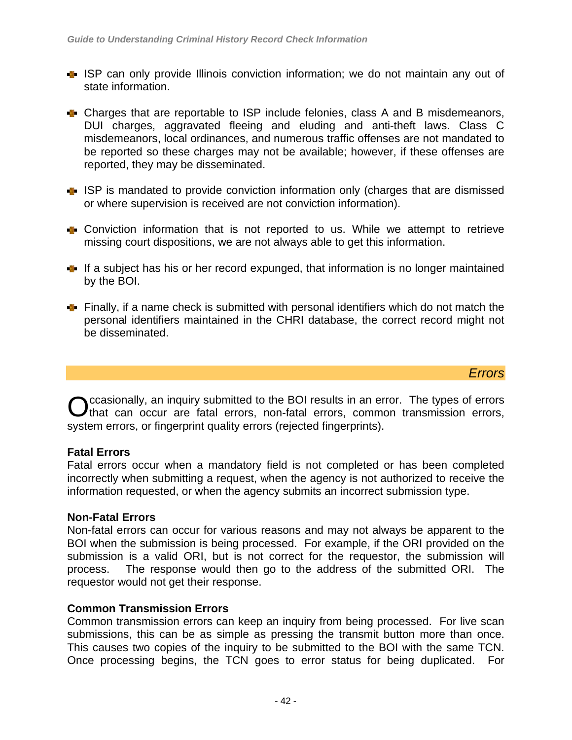- ISP can only provide Illinois conviction information; we do not maintain any out of state information.
- **E** Charges that are reportable to ISP include felonies, class A and B misdemeanors, DUI charges, aggravated fleeing and eluding and anti-theft laws. Class C misdemeanors, local ordinances, and numerous traffic offenses are not mandated to be reported so these charges may not be available; however, if these offenses are reported, they may be disseminated.
- ISP is mandated to provide conviction information only (charges that are dismissed or where supervision is received are not conviction information).
- **Conviction information that is not reported to us. While we attempt to retrieve** missing court dispositions, we are not always able to get this information.
- If a subject has his or her record expunged, that information is no longer maintained by the BOI.
- $\blacksquare$  Finally, if a name check is submitted with personal identifiers which do not match the personal identifiers maintained in the CHRI database, the correct record might not be disseminated.

*Errors*

Occasionally, an inquiry submitted to the BOI results in an error. The types of errors (b) that can occur are fatal errors, non-fatal errors, common transmission errors, Ithat can occur are fatal errors, non-fatal errors, common transmission errors, system errors, or fingerprint quality errors (rejected fingerprints).

### **Fatal Errors**

Fatal errors occur when a mandatory field is not completed or has been completed incorrectly when submitting a request, when the agency is not authorized to receive the information requested, or when the agency submits an incorrect submission type.

### **Non-Fatal Errors**

Non-fatal errors can occur for various reasons and may not always be apparent to the BOI when the submission is being processed. For example, if the ORI provided on the submission is a valid ORI, but is not correct for the requestor, the submission will process. The response would then go to the address of the submitted ORI. The requestor would not get their response.

### **Common Transmission Errors**

Common transmission errors can keep an inquiry from being processed. For live scan submissions, this can be as simple as pressing the transmit button more than once. This causes two copies of the inquiry to be submitted to the BOI with the same TCN. Once processing begins, the TCN goes to error status for being duplicated. For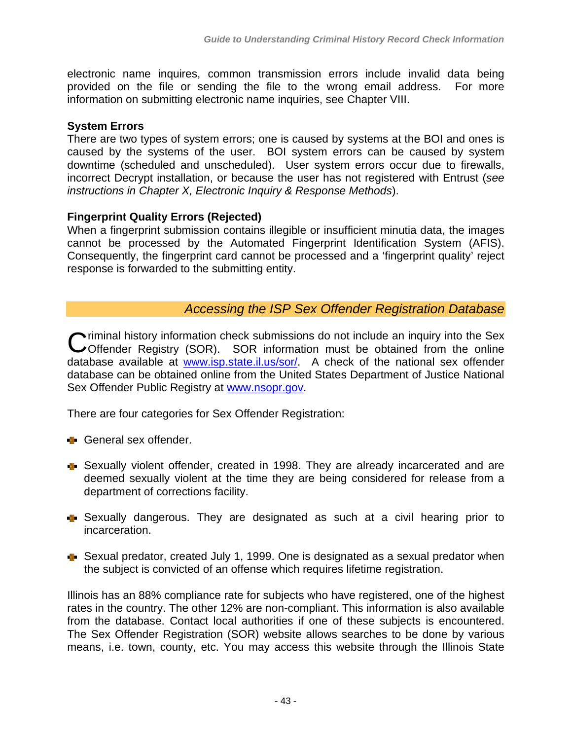electronic name inquires, common transmission errors include invalid data being provided on the file or sending the file to the wrong email address. For more information on submitting electronic name inquiries, see Chapter VIII.

## **System Errors**

There are two types of system errors; one is caused by systems at the BOI and ones is caused by the systems of the user. BOI system errors can be caused by system downtime (scheduled and unscheduled). User system errors occur due to firewalls, incorrect Decrypt installation, or because the user has not registered with Entrust (*see instructions in Chapter X, Electronic Inquiry & Response Methods*).

## **Fingerprint Quality Errors (Rejected)**

When a fingerprint submission contains illegible or insufficient minutia data, the images cannot be processed by the Automated Fingerprint Identification System (AFIS). Consequently, the fingerprint card cannot be processed and a 'fingerprint quality' reject response is forwarded to the submitting entity.

# *Accessing the ISP Sex Offender Registration Database*

**Triminal history information check submissions do not include an inquiry into the Sex** Criminal history information check submissions do not include an inquiry into the Sex<br>Coffender Registry (SOR). SOR information must be obtained from the online database available at [www.isp.state.il.us/sor/.](http://www.isp.state.il.us/sor/) A check of the national sex offender database can be obtained online from the United States Department of Justice National Sex Offender Public Registry at [www.nsopr.gov.](http://www.nsopr.gov/)

There are four categories for Sex Offender Registration:

- General sex offender.
- Sexually violent offender, created in 1998. They are already incarcerated and are deemed sexually violent at the time they are being considered for release from a department of corrections facility.
- Sexually dangerous. They are designated as such at a civil hearing prior to incarceration.
- Sexual predator, created July 1, 1999. One is designated as a sexual predator when the subject is convicted of an offense which requires lifetime registration.

Illinois has an 88% compliance rate for subjects who have registered, one of the highest rates in the country. The other 12% are non-compliant. This information is also available from the database. Contact local authorities if one of these subjects is encountered. The Sex Offender Registration (SOR) website allows searches to be done by various means, i.e. town, county, etc. You may access this website through the Illinois State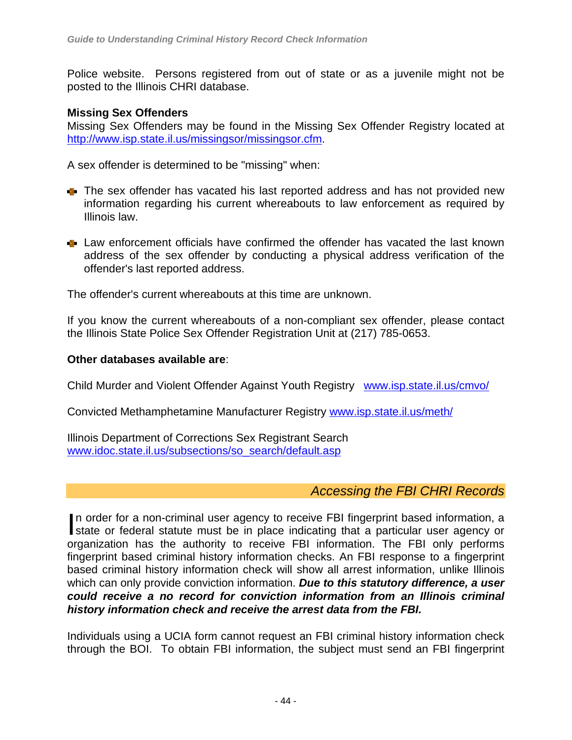Police website. Persons registered from out of state or as a juvenile might not be posted to the Illinois CHRI database.

### **Missing Sex Offenders**

Missing Sex Offenders may be found in the Missing Sex Offender Registry located at [http://www.isp.state.il.us/missingsor/missingsor.cfm.](http://www.isp.state.il.us/missingsor/missingsor.cfm)

A sex offender is determined to be "missing" when:

- The sex offender has vacated his last reported address and has not provided new information regarding his current whereabouts to law enforcement as required by Illinois law.
- Law enforcement officials have confirmed the offender has vacated the last known address of the sex offender by conducting a physical address verification of the offender's last reported address.

The offender's current whereabouts at this time are unknown.

If you know the current whereabouts of a non-compliant sex offender, please contact the Illinois State Police Sex Offender Registration Unit at (217) 785-0653.

#### **Other databases available are**:

Child Murder and Violent Offender Against Youth Registry[www.isp.state.il.us/cmvo/](http://www.isp.state.il.us/cmvo/)

Convicted Methamphetamine Manufacturer Registry [www.isp.state.il.us/meth/](http://www.isp.state.il.us/meth/)

Illinois Department of Corrections Sex Registrant Search [www.idoc.state.il.us/subsections/so\\_search/default.asp](http://www.idoc.state.il.us/subsections/so_search/default.asp)

### *Accessing the FBI CHRI Records*

n order for a non-criminal user agency to receive FBI fingerprint based information, a In order for a non-criminal user agency to receive FBI fingerprint based information, a<br>state or federal statute must be in place indicating that a particular user agency or organization has the authority to receive FBI information. The FBI only performs fingerprint based criminal history information checks. An FBI response to a fingerprint based criminal history information check will show all arrest information, unlike Illinois which can only provide conviction information. *Due to this statutory difference, a user could receive a no record for conviction information from an Illinois criminal history information check and receive the arrest data from the FBI.*

Individuals using a UCIA form cannot request an FBI criminal history information check through the BOI. To obtain FBI information, the subject must send an FBI fingerprint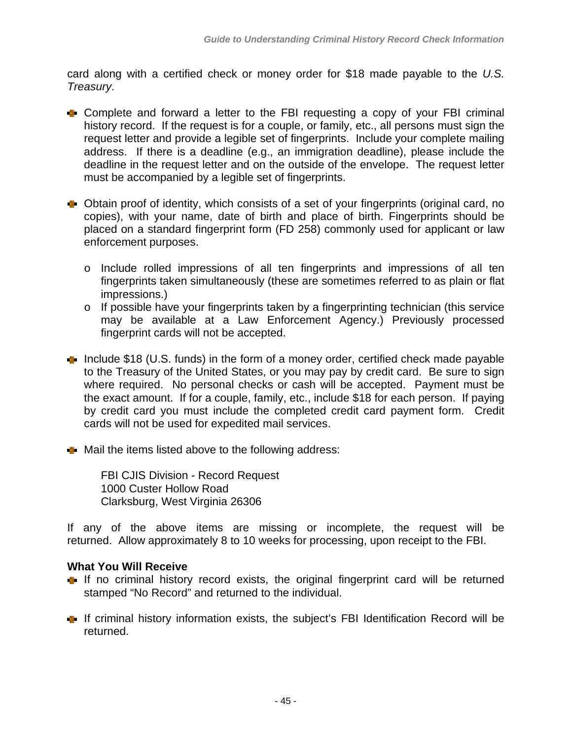card along with a certified check or money order for \$18 made payable to the *U.S. Treasury*.

- Complete and forward a letter to the FBI requesting a copy of your FBI criminal history record. If the request is for a couple, or family, etc., all persons must sign the request letter and provide a legible set of fingerprints. Include your complete mailing address. If there is a deadline (e.g., an immigration deadline), please include the deadline in the request letter and on the outside of the envelope. The request letter must be accompanied by a legible set of fingerprints.
- Obtain proof of identity, which consists of a set of your fingerprints (original card, no copies), with your name, date of birth and place of birth. Fingerprints should be placed on a standard fingerprint form (FD 258) commonly used for applicant or law enforcement purposes.
	- o Include rolled impressions of all ten fingerprints and impressions of all ten fingerprints taken simultaneously (these are sometimes referred to as plain or flat impressions.)
	- o If possible have your fingerprints taken by a fingerprinting technician (this service may be available at a Law Enforcement Agency.) Previously processed fingerprint cards will not be accepted.
- Include \$18 (U.S. funds) in the form of a money order, certified check made payable to the Treasury of the United States, or you may pay by credit card. Be sure to sign where required. No personal checks or cash will be accepted. Payment must be the exact amount. If for a couple, family, etc., include \$18 for each person. If paying by credit card you must include the completed credit card payment form. Credit cards will not be used for expedited mail services.
- **Mail the items listed above to the following address:**

 FBI CJIS Division - Record Request 1000 Custer Hollow Road Clarksburg, West Virginia 26306

If any of the above items are missing or incomplete, the request will be returned. Allow approximately 8 to 10 weeks for processing, upon receipt to the FBI.

### **What You Will Receive**

- If no criminal history record exists, the original fingerprint card will be returned stamped "No Record" and returned to the individual.
- If criminal history information exists, the subject's FBI Identification Record will be returned.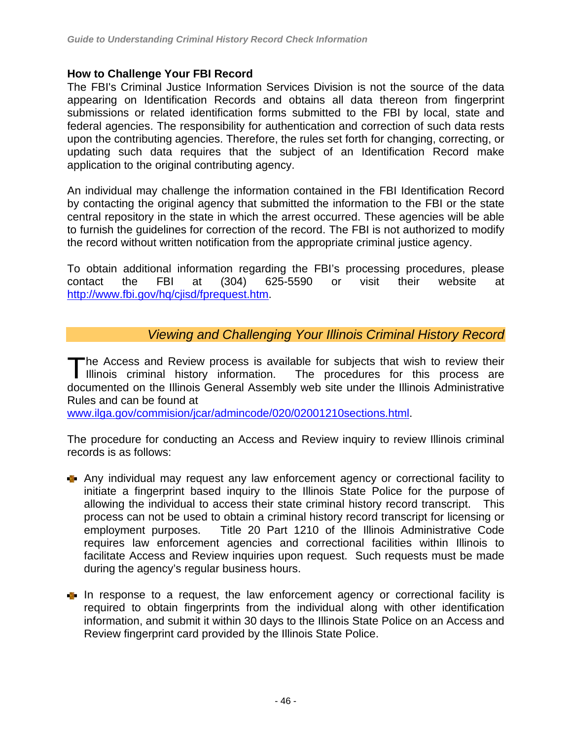#### **How to Challenge Your FBI Record**

The FBI's Criminal Justice Information Services Division is not the source of the data appearing on Identification Records and obtains all data thereon from fingerprint submissions or related identification forms submitted to the FBI by local, state and federal agencies. The responsibility for authentication and correction of such data rests upon the contributing agencies. Therefore, the rules set forth for changing, correcting, or updating such data requires that the subject of an Identification Record make application to the original contributing agency.

An individual may challenge the information contained in the FBI Identification Record by contacting the original agency that submitted the information to the FBI or the state central repository in the state in which the arrest occurred. These agencies will be able to furnish the guidelines for correction of the record. The FBI is not authorized to modify the record without written notification from the appropriate criminal justice agency.

To obtain additional information regarding the FBI's processing procedures, please contact the FBI at (304) 625-5590 or visit their website at [http://www.fbi.gov/hq/cjisd/fprequest.htm.](http://www.fbi.gov/hq/cjisd/fprequest.htm)

*Viewing and Challenging Your Illinois Criminal History Record*

he Access and Review process is available for subjects that wish to review their Illinois criminal history information. The procedures for this process are documented on the Illinois General Assembly web site under the Illinois Administrative Rules and can be found at T

[www.ilga.gov/commision/jcar/admincode/020/02001210sections.html.](http://www.ilga.gov/commision/jcar/admincode/020/02001210sections.html)

The procedure for conducting an Access and Review inquiry to review Illinois criminal records is as follows:

- Any individual may request any law enforcement agency or correctional facility to initiate a fingerprint based inquiry to the Illinois State Police for the purpose of allowing the individual to access their state criminal history record transcript. This process can not be used to obtain a criminal history record transcript for licensing or employment purposes. Title 20 Part 1210 of the Illinois Administrative Code requires law enforcement agencies and correctional facilities within Illinois to facilitate Access and Review inquiries upon request. Such requests must be made during the agency's regular business hours.
- In response to a request, the law enforcement agency or correctional facility is required to obtain fingerprints from the individual along with other identification information, and submit it within 30 days to the Illinois State Police on an Access and Review fingerprint card provided by the Illinois State Police.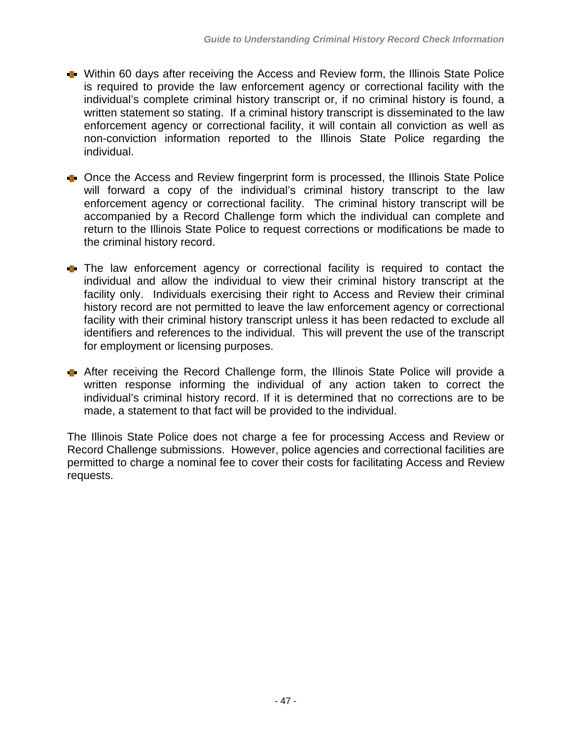- Within 60 days after receiving the Access and Review form, the Illinois State Police is required to provide the law enforcement agency or correctional facility with the individual's complete criminal history transcript or, if no criminal history is found, a written statement so stating. If a criminal history transcript is disseminated to the law enforcement agency or correctional facility, it will contain all conviction as well as non-conviction information reported to the Illinois State Police regarding the individual.
- **•** Once the Access and Review fingerprint form is processed, the Illinois State Police will forward a copy of the individual's criminal history transcript to the law enforcement agency or correctional facility. The criminal history transcript will be accompanied by a Record Challenge form which the individual can complete and return to the Illinois State Police to request corrections or modifications be made to the criminal history record.
- The law enforcement agency or correctional facility is required to contact the individual and allow the individual to view their criminal history transcript at the facility only. Individuals exercising their right to Access and Review their criminal history record are not permitted to leave the law enforcement agency or correctional facility with their criminal history transcript unless it has been redacted to exclude all identifiers and references to the individual. This will prevent the use of the transcript for employment or licensing purposes.
- After receiving the Record Challenge form, the Illinois State Police will provide a written response informing the individual of any action taken to correct the individual's criminal history record. If it is determined that no corrections are to be made, a statement to that fact will be provided to the individual.

The Illinois State Police does not charge a fee for processing Access and Review or Record Challenge submissions. However, police agencies and correctional facilities are permitted to charge a nominal fee to cover their costs for facilitating Access and Review requests.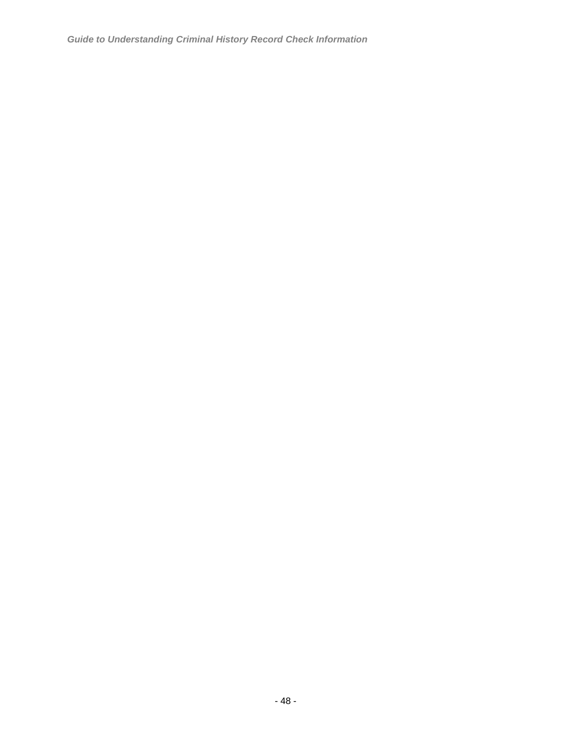*Guide to Understanding Criminal History Record Check Information*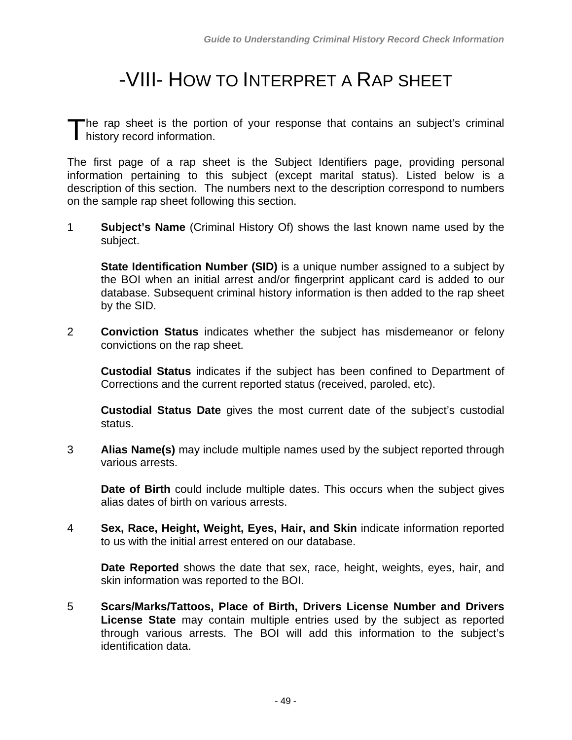# -VIII- HOW TO INTERPRET A RAP SHEET

he rap sheet is the portion of your response that contains an subject's criminal The rap sheet is the portinistory record information.

The first page of a rap sheet is the Subject Identifiers page, providing personal information pertaining to this subject (except marital status). Listed below is a description of this section. The numbers next to the description correspond to numbers on the sample rap sheet following this section.

1 **Subject's Name** (Criminal History Of) shows the last known name used by the subject.

**State Identification Number (SID)** is a unique number assigned to a subject by the BOI when an initial arrest and/or fingerprint applicant card is added to our database. Subsequent criminal history information is then added to the rap sheet by the SID.

2 **Conviction Status** indicates whether the subject has misdemeanor or felony convictions on the rap sheet.

**Custodial Status** indicates if the subject has been confined to Department of Corrections and the current reported status (received, paroled, etc).

**Custodial Status Date** gives the most current date of the subject's custodial status.

3 **Alias Name(s)** may include multiple names used by the subject reported through various arrests.

**Date of Birth** could include multiple dates. This occurs when the subject gives alias dates of birth on various arrests.

4 **Sex, Race, Height, Weight, Eyes, Hair, and Skin** indicate information reported to us with the initial arrest entered on our database.

**Date Reported** shows the date that sex, race, height, weights, eyes, hair, and skin information was reported to the BOI.

5 **Scars/Marks/Tattoos, Place of Birth, Drivers License Number and Drivers License State** may contain multiple entries used by the subject as reported through various arrests. The BOI will add this information to the subject's identification data.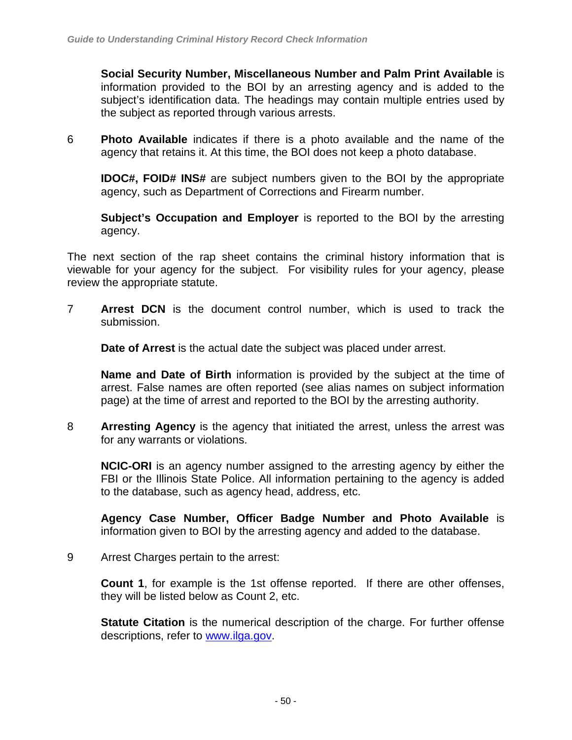**Social Security Number, Miscellaneous Number and Palm Print Available** is information provided to the BOI by an arresting agency and is added to the subject's identification data. The headings may contain multiple entries used by the subject as reported through various arrests.

6 **Photo Available** indicates if there is a photo available and the name of the agency that retains it. At this time, the BOI does not keep a photo database.

**IDOC#, FOID# INS#** are subject numbers given to the BOI by the appropriate agency, such as Department of Corrections and Firearm number.

**Subject's Occupation and Employer** is reported to the BOI by the arresting agency.

The next section of the rap sheet contains the criminal history information that is viewable for your agency for the subject. For visibility rules for your agency, please review the appropriate statute.

7 **Arrest DCN** is the document control number, which is used to track the submission.

**Date of Arrest** is the actual date the subject was placed under arrest.

**Name and Date of Birth** information is provided by the subject at the time of arrest. False names are often reported (see alias names on subject information page) at the time of arrest and reported to the BOI by the arresting authority.

8 **Arresting Agency** is the agency that initiated the arrest, unless the arrest was for any warrants or violations.

**NCIC-ORI** is an agency number assigned to the arresting agency by either the FBI or the Illinois State Police. All information pertaining to the agency is added to the database, such as agency head, address, etc.

**Agency Case Number, Officer Badge Number and Photo Available** is information given to BOI by the arresting agency and added to the database.

9 Arrest Charges pertain to the arrest:

**Count 1**, for example is the 1st offense reported. If there are other offenses, they will be listed below as Count 2, etc.

**Statute Citation** is the numerical description of the charge. For further offense descriptions, refer to [www.ilga.gov.](http://www.ilga.gov/)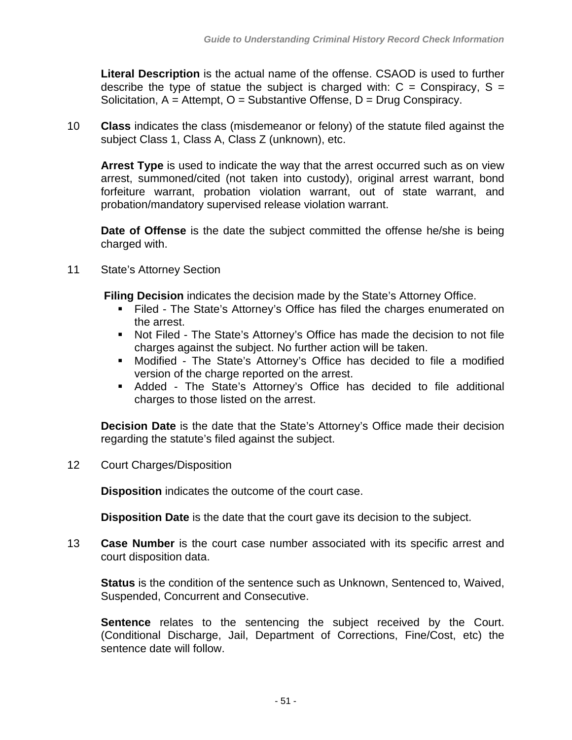**Literal Description** is the actual name of the offense. CSAOD is used to further describe the type of statue the subject is charged with:  $C =$  Conspiracy, S = Solicitation,  $A =$  Attempt,  $O =$  Substantive Offense,  $D =$  Drug Conspiracy.

10 **Class** indicates the class (misdemeanor or felony) of the statute filed against the subject Class 1, Class A, Class Z (unknown), etc.

**Arrest Type** is used to indicate the way that the arrest occurred such as on view arrest, summoned/cited (not taken into custody), original arrest warrant, bond forfeiture warrant, probation violation warrant, out of state warrant, and probation/mandatory supervised release violation warrant.

**Date of Offense** is the date the subject committed the offense he/she is being charged with.

11 State's Attorney Section

**Filing Decision** indicates the decision made by the State's Attorney Office.

- **Filed The State's Attorney's Office has filed the charges enumerated on** the arrest.
- Not Filed The State's Attorney's Office has made the decision to not file charges against the subject. No further action will be taken.
- Modified The State's Attorney's Office has decided to file a modified version of the charge reported on the arrest.
- Added The State's Attorney's Office has decided to file additional charges to those listed on the arrest.

**Decision Date** is the date that the State's Attorney's Office made their decision regarding the statute's filed against the subject.

12 Court Charges/Disposition

**Disposition** indicates the outcome of the court case.

**Disposition Date** is the date that the court gave its decision to the subject.

13 **Case Number** is the court case number associated with its specific arrest and court disposition data.

**Status** is the condition of the sentence such as Unknown, Sentenced to, Waived, Suspended, Concurrent and Consecutive.

**Sentence** relates to the sentencing the subject received by the Court. (Conditional Discharge, Jail, Department of Corrections, Fine/Cost, etc) the sentence date will follow.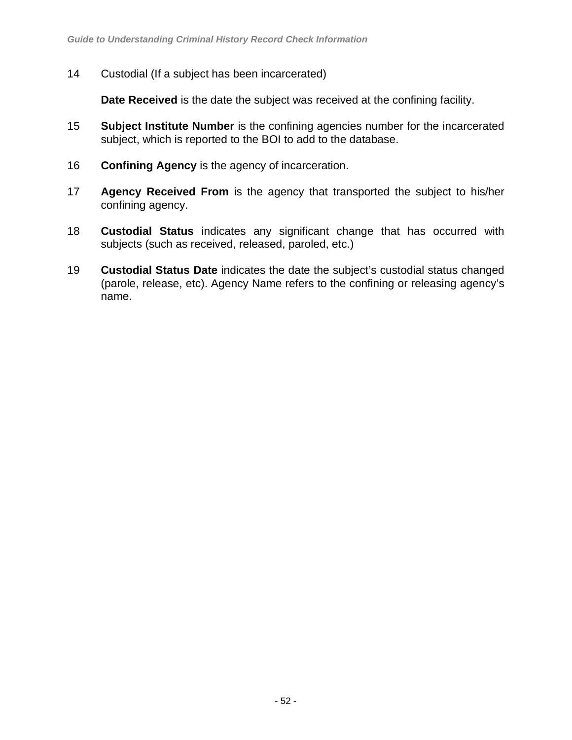14 Custodial (If a subject has been incarcerated)

**Date Received** is the date the subject was received at the confining facility.

- 15 **Subject Institute Number** is the confining agencies number for the incarcerated subject, which is reported to the BOI to add to the database.
- 16 **Confining Agency** is the agency of incarceration.
- 17 **Agency Received From** is the agency that transported the subject to his/her confining agency.
- 18 **Custodial Status** indicates any significant change that has occurred with subjects (such as received, released, paroled, etc.)
- 19 **Custodial Status Date** indicates the date the subject's custodial status changed (parole, release, etc). Agency Name refers to the confining or releasing agency's name.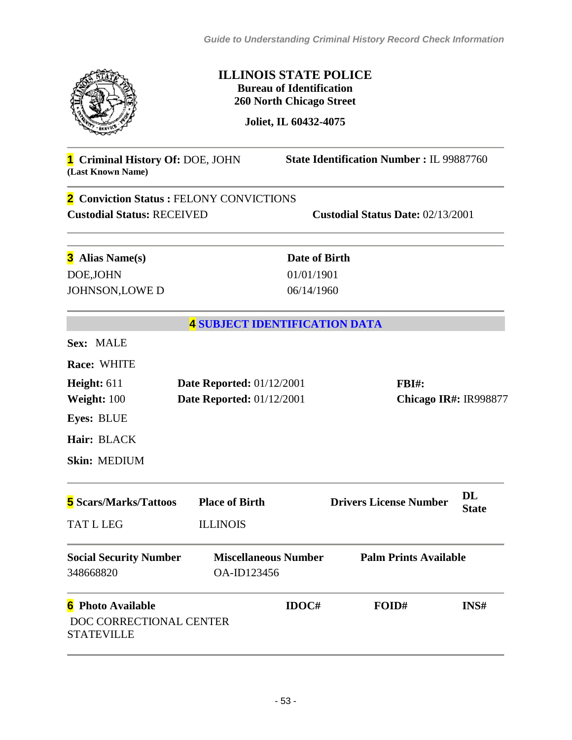|                                                                          | <b>ILLINOIS STATE POLICE</b>         | <b>Bureau of Identification</b><br><b>260 North Chicago Street</b> |                                                 |                           |
|--------------------------------------------------------------------------|--------------------------------------|--------------------------------------------------------------------|-------------------------------------------------|---------------------------|
|                                                                          |                                      | Joliet, IL 60432-4075                                              |                                                 |                           |
| <b>Criminal History Of: DOE, JOHN</b><br>(Last Known Name)               |                                      |                                                                    | <b>State Identification Number: IL 99887760</b> |                           |
| <b>2 Conviction Status: FELONY CONVICTIONS</b>                           |                                      |                                                                    |                                                 |                           |
| <b>Custodial Status: RECEIVED</b>                                        |                                      |                                                                    | <b>Custodial Status Date: 02/13/2001</b>        |                           |
| <b>3</b> Alias Name(s)                                                   |                                      | Date of Birth                                                      |                                                 |                           |
| DOE, JOHN                                                                |                                      | 01/01/1901                                                         |                                                 |                           |
| JOHNSON, LOWE D                                                          |                                      | 06/14/1960                                                         |                                                 |                           |
|                                                                          | <b>4 SUBJECT IDENTIFICATION DATA</b> |                                                                    |                                                 |                           |
| Sex: MALE                                                                |                                      |                                                                    |                                                 |                           |
| Race: WHITE                                                              |                                      |                                                                    |                                                 |                           |
| Height: $611$                                                            | <b>Date Reported: 01/12/2001</b>     |                                                                    | <b>FBI#:</b>                                    |                           |
| Weight: 100                                                              | <b>Date Reported: 01/12/2001</b>     |                                                                    | Chicago IR#: IR998877                           |                           |
| <b>Eyes: BLUE</b>                                                        |                                      |                                                                    |                                                 |                           |
| Hair: BLACK                                                              |                                      |                                                                    |                                                 |                           |
| Skin: MEDIUM                                                             |                                      |                                                                    |                                                 |                           |
| <b>5</b> Scars/Marks/Tattoos                                             | <b>Place of Birth</b>                |                                                                    | <b>Drivers License Number</b>                   | <b>DL</b><br><b>State</b> |
| <b>TAT L LEG</b>                                                         | <b>ILLINOIS</b>                      |                                                                    |                                                 |                           |
| <b>Social Security Number</b>                                            | <b>Miscellaneous Number</b>          |                                                                    | <b>Palm Prints Available</b>                    |                           |
| 348668820                                                                | OA-ID123456                          |                                                                    |                                                 |                           |
| <b>6</b> Photo Available<br>DOC CORRECTIONAL CENTER<br><b>STATEVILLE</b> |                                      | <b>IDOC#</b>                                                       | FOID#                                           | INS#                      |
|                                                                          |                                      |                                                                    |                                                 |                           |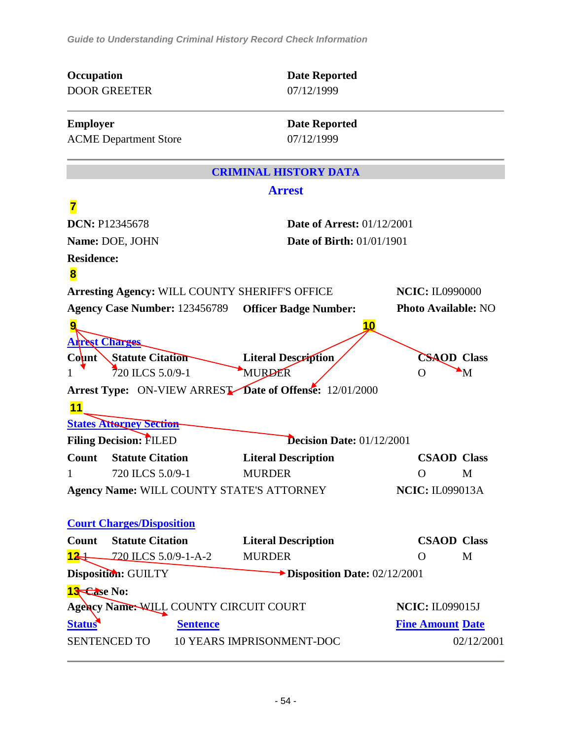| Occupation                                              | <b>Date Reported</b>              |                            |
|---------------------------------------------------------|-----------------------------------|----------------------------|
| <b>DOOR GREETER</b>                                     | 07/12/1999                        |                            |
| <b>Employer</b>                                         | <b>Date Reported</b>              |                            |
| <b>ACME Department Store</b>                            | 07/12/1999                        |                            |
|                                                         | <b>CRIMINAL HISTORY DATA</b>      |                            |
|                                                         | <b>Arrest</b>                     |                            |
| $\overline{\mathbf{7}}$                                 |                                   |                            |
| <b>DCN: P12345678</b>                                   | <b>Date of Arrest: 01/12/2001</b> |                            |
| Name: DOE, JOHN                                         | <b>Date of Birth: 01/01/1901</b>  |                            |
| <b>Residence:</b>                                       |                                   |                            |
| $\bf{8}$                                                |                                   |                            |
| <b>Arresting Agency: WILL COUNTY SHERIFF'S OFFICE</b>   |                                   | <b>NCIC: IL0990000</b>     |
| <b>Agency Case Number: 123456789</b>                    | <b>Officer Badge Number:</b>      | <b>Photo Available: NO</b> |
| 9                                                       | 10                                |                            |
| <b>Arrest Charges</b>                                   |                                   |                            |
| $C$ ount<br><b>Statute Citation</b>                     | <b>Literal Description</b>        | <b>CSAOD Class</b>         |
| 720 ILCS 5.0/9-1<br>1                                   | MURDER                            | `M<br>O                    |
| Arrest Type: ON-VIEW ARREST Date of Offense: 12/01/2000 |                                   |                            |
| 11                                                      |                                   |                            |
| <b>States Attorney Section</b>                          |                                   |                            |
| <b>Filing Decision: FILED</b>                           | Decision Date: 01/12/2001         |                            |
| <b>Statute Citation</b><br>Count                        | <b>Literal Description</b>        | <b>CSAOD Class</b>         |
| 720 ILCS 5.0/9-1<br>1                                   | <b>MURDER</b>                     | O<br>M                     |
| Agency Name: WILL COUNTY STATE'S ATTORNEY               |                                   | <b>NCIC: IL099013A</b>     |
| <b>Court Charges/Disposition</b>                        |                                   |                            |
| <b>Statute Citation</b><br>Count                        | <b>Literal Description</b>        | <b>CSAOD Class</b>         |
| $12 \leftarrow 720$ ILCS 5.0/9-1-A-2                    | <b>MURDER</b>                     | M<br>O                     |
| Disposition: GUILTY                                     | Disposition Date: $02/12/2001$    |                            |
| 13 Case No:                                             |                                   |                            |
| <b>Agency Name: WILL COUNTY CIRCUIT COURT</b>           |                                   | <b>NCIC: IL099015J</b>     |
| <b>Status</b><br><b>Sentence</b>                        |                                   | <b>Fine Amount Date</b>    |
| <b>SENTENCED TO</b>                                     | 10 YEARS IMPRISONMENT-DOC         | 02/12/2001                 |
|                                                         |                                   |                            |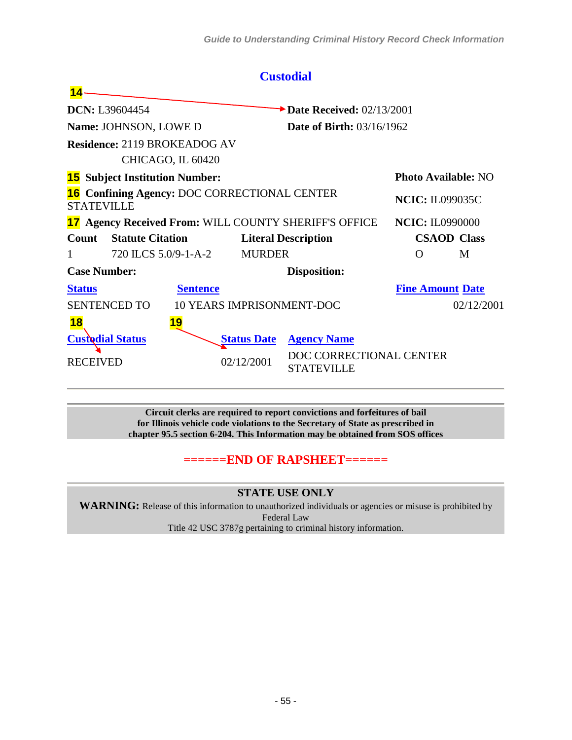| 14                  |                                                     |                                  |                                                       |                         |                            |
|---------------------|-----------------------------------------------------|----------------------------------|-------------------------------------------------------|-------------------------|----------------------------|
|                     | <b>DCN: L39604454</b>                               |                                  | $\rightarrow$ Date Received: 02/13/2001               |                         |                            |
|                     | Name: JOHNSON, LOWE D                               |                                  | <b>Date of Birth: 03/16/1962</b>                      |                         |                            |
|                     | <b>Residence: 2119 BROKEADOG AV</b>                 |                                  |                                                       |                         |                            |
|                     | CHICAGO, IL 60420                                   |                                  |                                                       |                         |                            |
| <b>15</b>           | <b>Subject Institution Number:</b>                  |                                  |                                                       |                         | <b>Photo Available: NO</b> |
| <b>STATEVILLE</b>   | <b>16</b> Confining Agency: DOC CORRECTIONAL CENTER |                                  |                                                       | <b>NCIC: IL099035C</b>  |                            |
|                     |                                                     |                                  | 17 Agency Received From: WILL COUNTY SHERIFF'S OFFICE | <b>NCIC: IL0990000</b>  |                            |
| Count               | <b>Statute Citation</b>                             |                                  | <b>Literal Description</b>                            |                         | <b>CSAOD Class</b>         |
|                     | 720 ILCS 5.0/9-1-A-2                                | <b>MURDER</b>                    |                                                       | O                       | M                          |
| <b>Case Number:</b> |                                                     |                                  | Disposition:                                          |                         |                            |
| <b>Status</b>       | <b>Sentence</b>                                     |                                  |                                                       | <b>Fine Amount Date</b> |                            |
|                     | <b>SENTENCED TO</b>                                 | <b>10 YEARS IMPRISONMENT-DOC</b> |                                                       |                         | 02/12/2001                 |
| 18                  | <b>19</b>                                           |                                  |                                                       |                         |                            |
|                     | <b>Custodial Status</b>                             | <b>Status Date</b>               | <b>Agency Name</b>                                    |                         |                            |
| <b>RECEIVED</b>     |                                                     | 02/12/2001                       | DOC CORRECTIONAL CENTER<br><b>STATEVILLE</b>          |                         |                            |

**Custodial**

**Circuit clerks are required to report convictions and forfeitures of bail for Illinois vehicle code violations to the Secretary of State as prescribed in chapter 95.5 section 6-204. This Information may be obtained from SOS offices**

# **======END OF RAPSHEET======**

# **STATE USE ONLY**

WARNING: Release of this information to unauthorized individuals or agencies or misuse is prohibited by Federal Law Title 42 USC 3787g pertaining to criminal history information.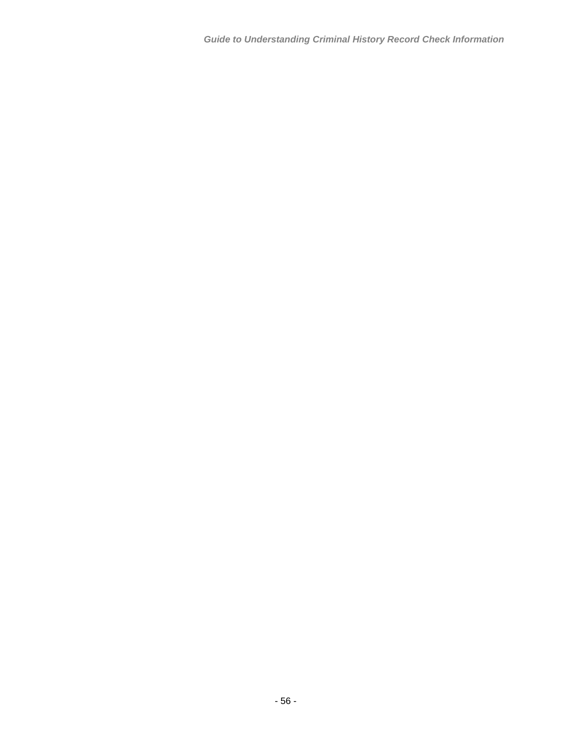*Guide to Understanding Criminal History Record Check Information*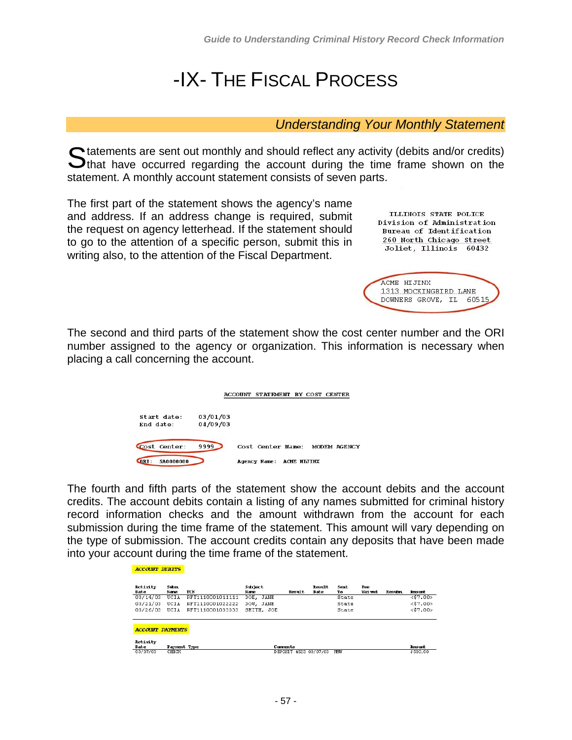# -IX- THE FISCAL PROCESS

## *Understanding Your Monthly Statement*

 $\bigcap$  tatements are sent out monthly and should reflect any activity (debits and/or credits) Statements are sent out monthly and should reflect any activity (debits and/or credits)<br>
Sthat have occurred regarding the account during the time frame shown on the statement. A monthly account statement consists of seven parts.

The first part of the statement shows the agency's name and address. If an address change is required, submit the request on agency letterhead. If the statement should to go to the attention of a specific person, submit this in writing also, to the attention of the Fiscal Department.

ILLINOIS STATE POLICE Division of Administration Bureau of Identification 260 North Chicago Street Joliet, Illinois 60432



The second and third parts of the statement show the cost center number and the ORI number assigned to the agency or organization. This information is necessary when placing a call concerning the account.

|                  |          | ACCOUNT STATEMENT | BY COST CENTER |              |
|------------------|----------|-------------------|----------------|--------------|
| Start date:      | 03/01/03 |                   |                |              |
| End date:        | 04/09/03 |                   |                |              |
| Cost Center:     | 9999     | Cost Center Name: |                | MODEM AGENCY |
| <b>SA0000000</b> |          | Agency Name:      | AGLE HIJINX    |              |

**ACCOUNT DEBITS** 

The fourth and fifth parts of the statement show the account debits and the account credits. The account debits contain a listing of any names submitted for criminal history record information checks and the amount withdrawn from the account for each submission during the time frame of the statement. This amount will vary depending on the type of submission. The account credits contain any deposits that have been made into your account during the time frame of the statement.

| 03/14/03<br>03/21/03<br>03/26/03            | UCIA<br><b>UCTA</b><br>UCIA | RFT1110001011111<br>RFT1110001022222<br>RFT1110001033333 | DOE, JANE<br>DOW, JANE<br>SMITH, JOE |          | State<br>State |  | $<$ \$7.00 $>$<br>$<$ \$7.00 > |
|---------------------------------------------|-----------------------------|----------------------------------------------------------|--------------------------------------|----------|----------------|--|--------------------------------|
|                                             |                             |                                                          |                                      |          |                |  |                                |
|                                             |                             |                                                          |                                      |          |                |  |                                |
|                                             |                             |                                                          |                                      |          | State          |  | $<$ \$7.00 $>$                 |
| <b>ACCOUNT PAYMENTS</b><br>Activity<br>Date | Payment Type                |                                                          |                                      | Compents |                |  | Rmount.                        |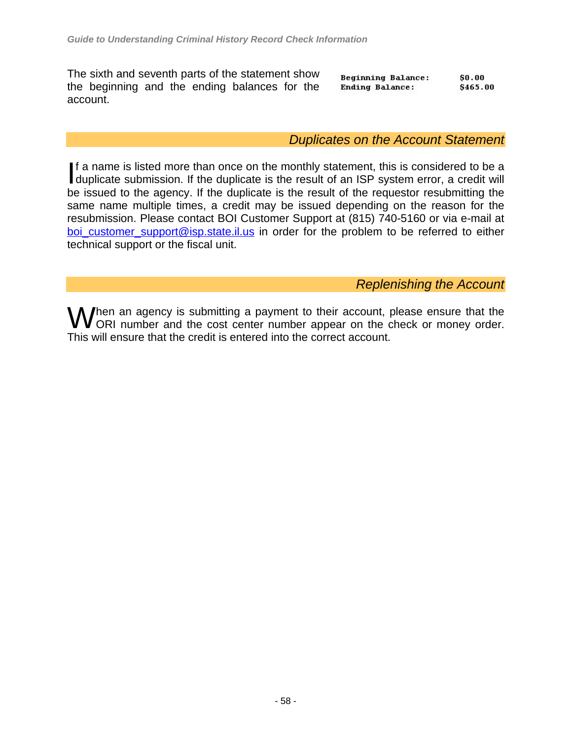The sixth and seventh parts of the statement show the beginning and the ending balances for the account.

\$0.00 **Beginning Balance: Ending Balance:** \$465.00

*Duplicates on the Account Statement*

If a name is listed more than once on the monthly statement, this is considered to be a If a name is listed more than once on the monthly statement, this is considered to be a duplicate submission. If the duplicate is the result of an ISP system error, a credit will be issued to the agency. If the duplicate is the result of the requestor resubmitting the same name multiple times, a credit may be issued depending on the reason for the resubmission. Please contact BOI Customer Support at (815) 740-5160 or via e-mail at boi customer support@isp.state.il.us in order for the problem to be referred to either technical support or the fiscal unit.

*Replenishing the Account*

When an agency is submitting a payment to their account, please ensure that the ORI number and the cost center number appear on the check or money order. ORI number and the cost center number appear on the check or money order. This will ensure that the credit is entered into the correct account.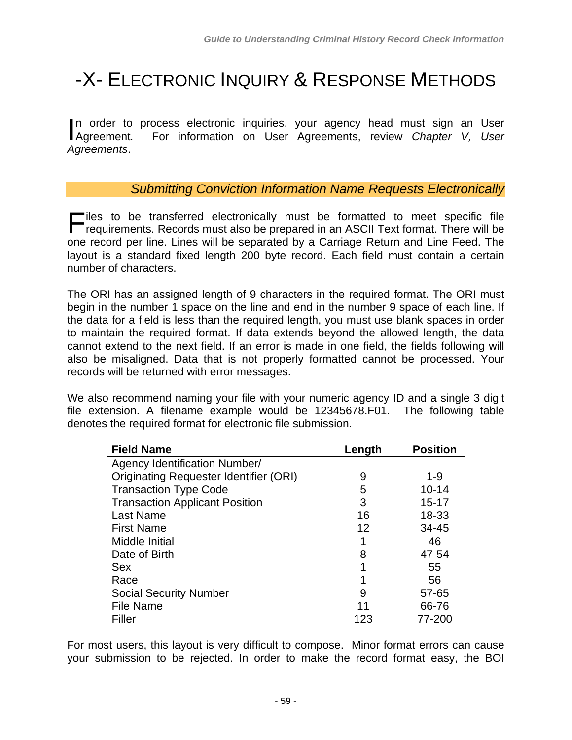# -X- ELECTRONIC INQUIRY & RESPONSE METHODS

In order to process electronic inquiries, your agency head must sign an User In order to process electronic inquiries, your agency head must sign an User<br>Agreement. For information on User Agreements, review Chapter V, User *Agreements*.

# *Submitting Conviction Information Name Requests Electronically*

 $\blacksquare$ iles to be transferred electronically must be formatted to meet specific file Tiles to be transferred electronically must be formatted to meet specific file<br>requirements. Records must also be prepared in an ASCII Text format. There will be one record per line. Lines will be separated by a Carriage Return and Line Feed. The layout is a standard fixed length 200 byte record. Each field must contain a certain number of characters.

The ORI has an assigned length of 9 characters in the required format. The ORI must begin in the number 1 space on the line and end in the number 9 space of each line. If the data for a field is less than the required length, you must use blank spaces in order to maintain the required format. If data extends beyond the allowed length, the data cannot extend to the next field. If an error is made in one field, the fields following will also be misaligned. Data that is not properly formatted cannot be processed. Your records will be returned with error messages.

We also recommend naming your file with your numeric agency ID and a single 3 digit file extension. A filename example would be 12345678.F01. The following table denotes the required format for electronic file submission.

| <b>Field Name</b>                             | Length | <b>Position</b> |
|-----------------------------------------------|--------|-----------------|
| Agency Identification Number/                 |        |                 |
| <b>Originating Requester Identifier (ORI)</b> | 9      | $1 - 9$         |
| <b>Transaction Type Code</b>                  | 5      | $10 - 14$       |
| <b>Transaction Applicant Position</b>         | 3      | $15 - 17$       |
| <b>Last Name</b>                              | 16     | 18-33           |
| <b>First Name</b>                             | 12     | 34-45           |
| Middle Initial                                |        | 46              |
| Date of Birth                                 | 8      | 47-54           |
| <b>Sex</b>                                    | 1      | 55              |
| Race                                          | 1      | 56              |
| <b>Social Security Number</b>                 | 9      | 57-65           |
| <b>File Name</b>                              | 11     | 66-76           |
| Filler                                        | 123    | 77-200          |

For most users, this layout is very difficult to compose. Minor format errors can cause your submission to be rejected. In order to make the record format easy, the BOI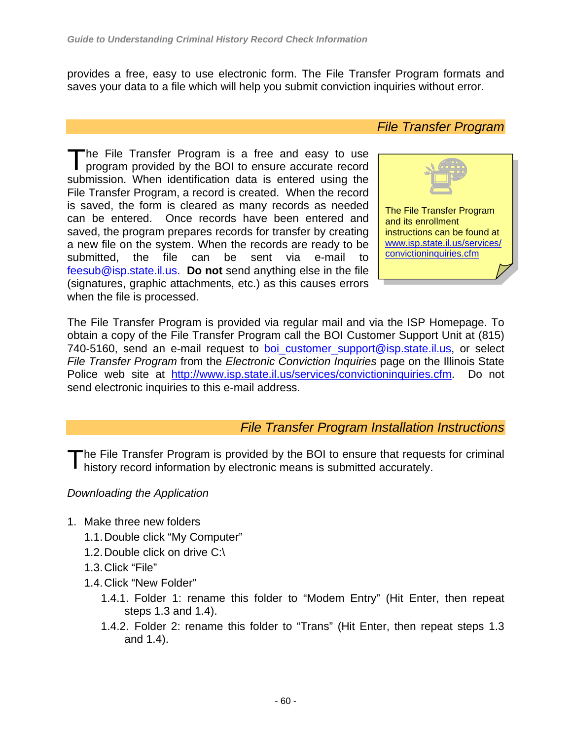provides a free, easy to use electronic form. The File Transfer Program formats and saves your data to a file which will help you submit conviction inquiries without error.

The File Transfer Program is a free and easy to use program provided by the BOI to ensure accurate record submission. When identification data is entered using the File Transfer Program, a record is created. When the record is saved, the form is cleared as many records as needed can be entered. Once records have been entered and saved, the program prepares records for transfer by creating a new file on the system. When the records are ready to be submitted, the file can be sent via e-mail to [feesub@isp.state.il.us.](mailto:feesub@isp.state.il.us) **Do not** send anything else in the file (signatures, graphic attachments, etc.) as this causes errors when the file is processed. T





The File Transfer Program is provided via regular mail and via the ISP Homepage. To obtain a copy of the File Transfer Program call the BOI Customer Support Unit at (815) 740-5160, send an e-mail request to [boi\\_customer\\_support@isp.state.il.us,](mailto:boi_customer_support@isp.state.il.us) or select *File Transfer Program* from the *Electronic Conviction Inquiries* page on the Illinois State Police web site at [http://www.isp.state.il.us/services/convictioninquiries.cfm.](http://www.isp.state.il.us/services/convictioninquiries.cfm) Do not send electronic inquiries to this e-mail address.

# *File Transfer Program Installation Instructions*

he File Transfer Program is provided by the BOI to ensure that requests for criminal history record information by electronic means is submitted accurately. T

### *Downloading the Application*

- 1. Make three new folders
	- 1.1.Double click "My Computer"
	- 1.2.Double click on drive C:\
	- 1.3.Click "File"
	- 1.4.Click "New Folder"
		- 1.4.1. Folder 1: rename this folder to "Modem Entry" (Hit Enter, then repeat steps 1.3 and 1.4).
		- 1.4.2. Folder 2: rename this folder to "Trans" (Hit Enter, then repeat steps 1.3 and 1.4).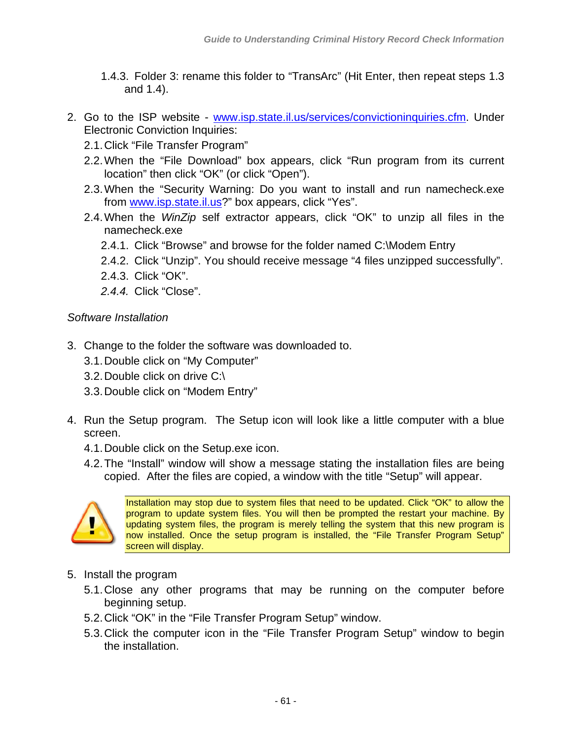- 1.4.3. Folder 3: rename this folder to "TransArc" (Hit Enter, then repeat steps 1.3 and 1.4).
- 2. Go to the ISP website [www.isp.state.il.us/services/convictioninquiries.cfm.](http://www.isp.state.il.us/services/convictioninquiries.cfm) Under Electronic Conviction Inquiries:
	- 2.1.Click "File Transfer Program"
	- 2.2.When the "File Download" box appears, click "Run program from its current location" then click "OK" (or click "Open").
	- 2.3.When the "Security Warning: Do you want to install and run namecheck.exe from [www.isp.state.il.us?](http://www.isp.state.il.us/)" box appears, click "Yes".
	- 2.4.When the *WinZip* self extractor appears, click "OK" to unzip all files in the namecheck.exe
		- 2.4.1. Click "Browse" and browse for the folder named C:\Modem Entry
		- 2.4.2. Click "Unzip". You should receive message "4 files unzipped successfully".
		- 2.4.3. Click "OK".
		- *2.4.4.* Click "Close".

## *Software Installation*

- 3. Change to the folder the software was downloaded to.
	- 3.1.Double click on "My Computer"
	- 3.2.Double click on drive C:\
	- 3.3.Double click on "Modem Entry"
- 4. Run the Setup program. The Setup icon will look like a little computer with a blue screen.
	- 4.1.Double click on the Setup.exe icon.
	- 4.2.The "Install" window will show a message stating the installation files are being copied. After the files are copied, a window with the title "Setup" will appear.



Installation may stop due to system files that need to be updated. Click "OK" to allow the program to update system files. You will then be prompted the restart your machine. By updating system files, the program is merely telling the system that this new program is now installed. Once the setup program is installed, the "File Transfer Program Setup" screen will display.

- 5. Install the program
	- 5.1.Close any other programs that may be running on the computer before beginning setup.
	- 5.2.Click "OK" in the "File Transfer Program Setup" window.
	- 5.3.Click the computer icon in the "File Transfer Program Setup" window to begin the installation.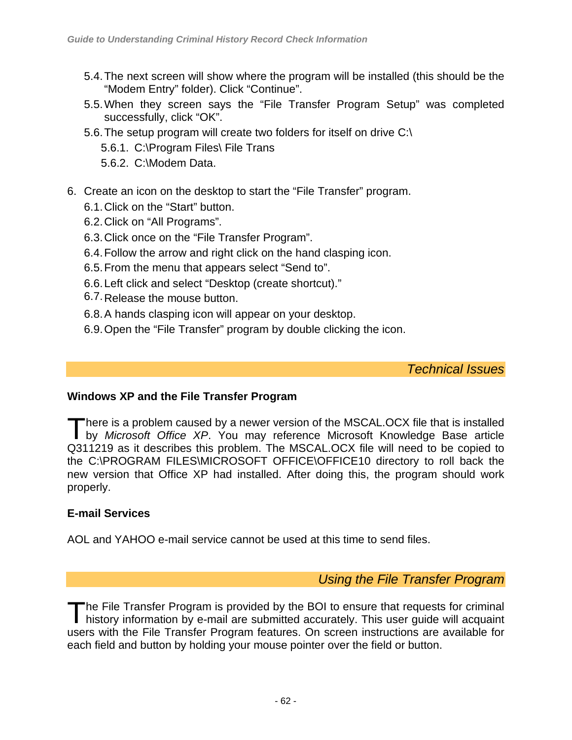- 5.4.The next screen will show where the program will be installed (this should be the "Modem Entry" folder). Click "Continue".
- 5.5.When they screen says the "File Transfer Program Setup" was completed successfully, click "OK".
- 5.6.The setup program will create two folders for itself on drive C:\
	- 5.6.1. C:\Program Files\ File Trans
	- 5.6.2. C:\Modem Data.
- 6. Create an icon on the desktop to start the "File Transfer" program.
	- 6.1.Click on the "Start" button.
	- 6.2.Click on "All Programs".
	- 6.3.Click once on the "File Transfer Program".
	- 6.4.Follow the arrow and right click on the hand clasping icon.
	- 6.5.From the menu that appears select "Send to".
	- 6.6.Left click and select "Desktop (create shortcut)."
	- 6.7.Release the mouse button.
	- 6.8.A hands clasping icon will appear on your desktop.
	- 6.9.Open the "File Transfer" program by double clicking the icon.

*Technical Issues*

# **Windows XP and the File Transfer Program**

here is a problem caused by a newer version of the MSCAL.OCX file that is installed There is a problem caused by a newer version of the MSCAL.OCX file that is installed<br>by *Microsoft Office XP*. You may reference Microsoft Knowledge Base article<br>2014/042.50 it describes this grablem. The MSCAL OOY file wi Q311219 as it describes this problem. The MSCAL.OCX file will need to be copied to the C:\PROGRAM FILES\MICROSOFT OFFICE\OFFICE10 directory to roll back the new version that Office XP had installed. After doing this, the program should work properly.

# **E-mail Services**

AOL and YAHOO e-mail service cannot be used at this time to send files.

# *Using the File Transfer Program*

he File Transfer Program is provided by the BOI to ensure that requests for criminal The File Transfer Program is provided by the BOI to ensure that requests for criminal history information by e-mail are submitted accurately. This user guide will acquaint were with the File Transfer Dreamen fectures. On e users with the File Transfer Program features. On screen instructions are available for each field and button by holding your mouse pointer over the field or button.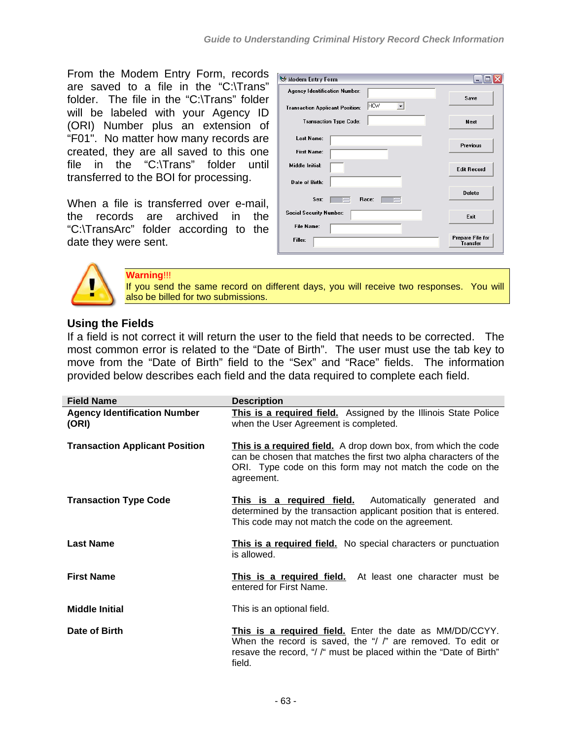From the Modem Entry Form, records are saved to a file in the "C:\Trans" folder. The file in the "C:\Trans" folder will be labeled with your Agency ID (ORI) Number plus an extension of "F01". No matter how many records are created, they are all saved to this one file in the "C:\Trans" folder until transferred to the BOI for processing.

When a file is transferred over e-mail, the records are archived in the "C:\TransArc" folder according to the date they were sent.

| Modem Entry Form                              | m.                           |
|-----------------------------------------------|------------------------------|
| Agency Identification Number:                 | Save                         |
| HCW<br><b>Transaction Applicant Position:</b> |                              |
| <b>Transaction Type Code:</b>                 | <b>Next</b>                  |
| Last Name:                                    | <b>Previous</b>              |
| <b>First Name:</b>                            |                              |
| <b>Middle Initial:</b>                        | <b>Edit Record</b>           |
| Date of Birth:                                |                              |
| Race:<br>Sex:<br>⋿                            | <b>Delete</b>                |
| <b>Social Security Number:</b>                | Exit                         |
| <b>File Name:</b>                             |                              |
| Filler:                                       | Prepare File for<br>Transfer |



#### **Warning**!!!

If you send the same record on different days, you will receive two responses. You will also be billed for two submissions.

### **Using the Fields**

If a field is not correct it will return the user to the field that needs to be corrected. The most common error is related to the "Date of Birth". The user must use the tab key to move from the "Date of Birth" field to the "Sex" and "Race" fields. The information provided below describes each field and the data required to complete each field.

| <b>Field Name</b>                            | <b>Description</b>                                                                                                                                                                                             |
|----------------------------------------------|----------------------------------------------------------------------------------------------------------------------------------------------------------------------------------------------------------------|
| <b>Agency Identification Number</b><br>(ORI) | This is a required field. Assigned by the Illinois State Police<br>when the User Agreement is completed.                                                                                                       |
| <b>Transaction Applicant Position</b>        | This is a required field. A drop down box, from which the code<br>can be chosen that matches the first two alpha characters of the<br>ORI. Type code on this form may not match the code on the<br>agreement.  |
| <b>Transaction Type Code</b>                 | This is a required field. Automatically generated and<br>determined by the transaction applicant position that is entered.<br>This code may not match the code on the agreement.                               |
| <b>Last Name</b>                             | This is a required field. No special characters or punctuation<br>is allowed.                                                                                                                                  |
| <b>First Name</b>                            | This is a required field. At least one character must be<br>entered for First Name.                                                                                                                            |
| <b>Middle Initial</b>                        | This is an optional field.                                                                                                                                                                                     |
| Date of Birth                                | This is a required field. Enter the date as MM/DD/CCYY.<br>When the record is saved, the "/ $\prime$ " are removed. To edit or<br>resave the record, "/ /" must be placed within the "Date of Birth"<br>field. |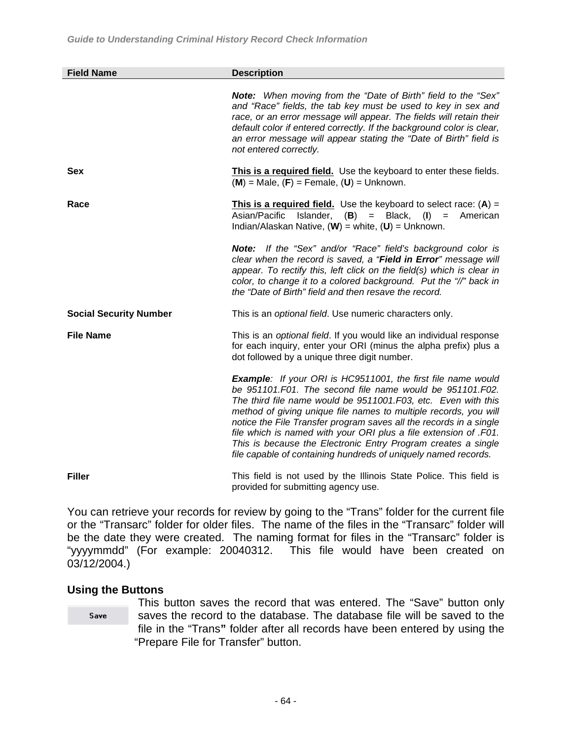| <b>Field Name</b>             | <b>Description</b>                                                                                                                                                                                                                                                                                                                                                                                                                                                                                                                                |
|-------------------------------|---------------------------------------------------------------------------------------------------------------------------------------------------------------------------------------------------------------------------------------------------------------------------------------------------------------------------------------------------------------------------------------------------------------------------------------------------------------------------------------------------------------------------------------------------|
|                               | <b>Note:</b> When moving from the "Date of Birth" field to the "Sex"<br>and "Race" fields, the tab key must be used to key in sex and<br>race, or an error message will appear. The fields will retain their<br>default color if entered correctly. If the background color is clear,<br>an error message will appear stating the "Date of Birth" field is<br>not entered correctly.                                                                                                                                                              |
| <b>Sex</b>                    | This is a required field. Use the keyboard to enter these fields.<br>$(M)$ = Male, $(F)$ = Female, $(U)$ = Unknown.                                                                                                                                                                                                                                                                                                                                                                                                                               |
| Race                          | This is a required field. Use the keyboard to select race: $(A)$ =<br>Asian/Pacific<br>Islander,<br>(B)<br>$=$ Black,<br>(I)<br>American<br>$=$<br>Indian/Alaskan Native, $(W)$ = white, $(U)$ = Unknown.                                                                                                                                                                                                                                                                                                                                         |
|                               | Note: If the "Sex" and/or "Race" field's background color is<br>clear when the record is saved, a "Field in Error" message will<br>appear. To rectify this, left click on the field(s) which is clear in<br>color, to change it to a colored background. Put the "//" back in<br>the "Date of Birth" field and then resave the record.                                                                                                                                                                                                            |
| <b>Social Security Number</b> | This is an optional field. Use numeric characters only.                                                                                                                                                                                                                                                                                                                                                                                                                                                                                           |
| <b>File Name</b>              | This is an optional field. If you would like an individual response<br>for each inquiry, enter your ORI (minus the alpha prefix) plus a<br>dot followed by a unique three digit number.                                                                                                                                                                                                                                                                                                                                                           |
|                               | <b>Example:</b> If your ORI is HC9511001, the first file name would<br>be 951101.F01. The second file name would be 951101.F02.<br>The third file name would be 9511001.F03, etc. Even with this<br>method of giving unique file names to multiple records, you will<br>notice the File Transfer program saves all the records in a single<br>file which is named with your ORI plus a file extension of .F01.<br>This is because the Electronic Entry Program creates a single<br>file capable of containing hundreds of uniquely named records. |
| <b>Filler</b>                 | This field is not used by the Illinois State Police. This field is<br>provided for submitting agency use.                                                                                                                                                                                                                                                                                                                                                                                                                                         |

You can retrieve your records for review by going to the "Trans" folder for the current file or the "Transarc" folder for older files. The name of the files in the "Transarc" folder will be the date they were created. The naming format for files in the "Transarc" folder is "yyyymmdd" (For example: 20040312. This file would have been created on 03/12/2004.)

### **Using the Buttons**

Save

This button saves the record that was entered. The "Save" button only saves the record to the database. The database file will be saved to the file in the "Trans**"** folder after all records have been entered by using the "Prepare File for Transfer" button.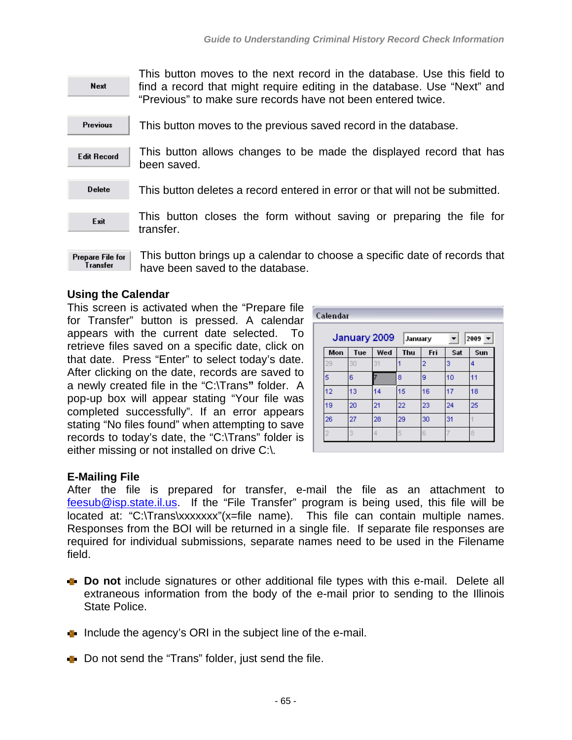This button moves to the next record in the database. Use this field to Next find a record that might require editing in the database. Use "Next" and "Previous" to make sure records have not been entered twice. Previous This button moves to the previous saved record in the database. This button allows changes to be made the displayed record that has **Edit Record** been saved. **Delete** This button deletes a record entered in error or that will not be submitted. This button closes the form without saving or preparing the file for Exit transfer.

This button brings up a calendar to choose a specific date of records that have been saved to the database.

# **Using the Calendar**

This screen is activated when the "Prepare file for Transfer" button is pressed. A calendar appears with the current date selected. To retrieve files saved on a specific date, click on that date. Press "Enter" to select today's date. After clicking on the date, records are saved to a newly created file in the "C:\Trans**"** folder. A pop-up box will appear stating "Your file was completed successfully". If an error appears stating "No files found" when attempting to save records to today's date, the "C:\Trans" folder is either missing or not installed on drive C:\.

| Calendar |              |     |         |     |     |      |
|----------|--------------|-----|---------|-----|-----|------|
|          | January 2009 |     | January |     |     | 2009 |
| Mon      | Tue          | Wed | Thu     | Fri | Sat | Sun  |
| 29       | 30           | 31  |         | 2   | 3   | 4    |
| 5        | 6            |     | 8       | 9   | 10  | 11   |
| 12       | 13           | 14  | 15      | 16  | 17  | 18   |
| 19       | 20           | 21  | 22      | 23  | 24  | 25   |
| 26       | 27           | 28  | 29      | 30  | 31  |      |
| 2        |              |     |         | R   |     | 8    |

# **E-Mailing File**

After the file is prepared for transfer, e-mail the file as an attachment to feesub@isp.state.il.us. If the "File Transfer" program is being used, this file will be located at: "C:\Trans\xxxxxxx"(x=file name). This file can contain multiple names. Responses from the BOI will be returned in a single file. If separate file responses are required for individual submissions, separate names need to be used in the Filename field.

- **Do not** include signatures or other additional file types with this e-mail. Delete all extraneous information from the body of the e-mail prior to sending to the Illinois State Police.
- Include the agency's ORI in the subject line of the e-mail.
- Do not send the "Trans" folder, just send the file.

Prepare File for Transfer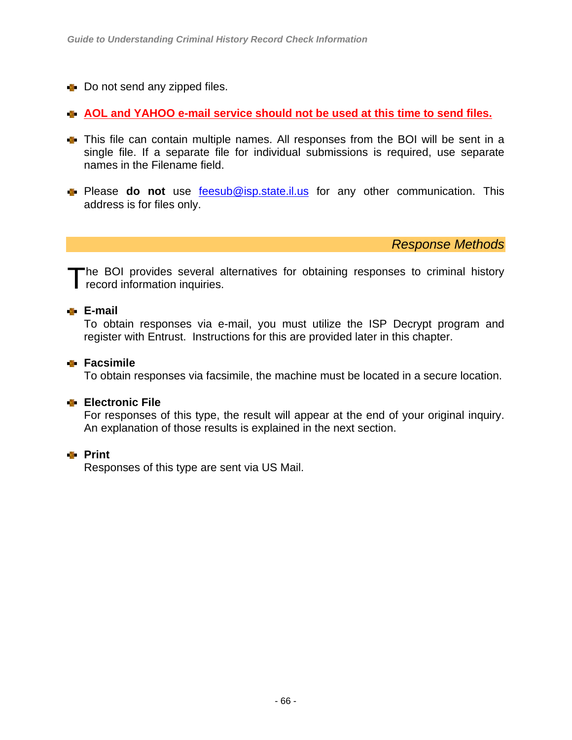- Do not send any zipped files.
- **AOL and YAHOO e-mail service should not be used at this time to send files.**
- This file can contain multiple names. All responses from the BOI will be sent in a single file. If a separate file for individual submissions is required, use separate names in the Filename field.
- **Please do not** use [feesub@isp.state.il.us](mailto:feesub@isp.state.il.us) for any other communication. This address is for files only.

*Response Methods*

The BOI provides several alternatives for obtaining responses to criminal history The BOI provides several a<br>record information inquiries.

#### **E-mail**

To obtain responses via e-mail, you must utilize the ISP Decrypt program and register with Entrust. Instructions for this are provided later in this chapter.

#### **Facsimile**

To obtain responses via facsimile, the machine must be located in a secure location.

#### **Electronic File**

For responses of this type, the result will appear at the end of your original inquiry. An explanation of those results is explained in the next section.

### **Print**

Responses of this type are sent via US Mail.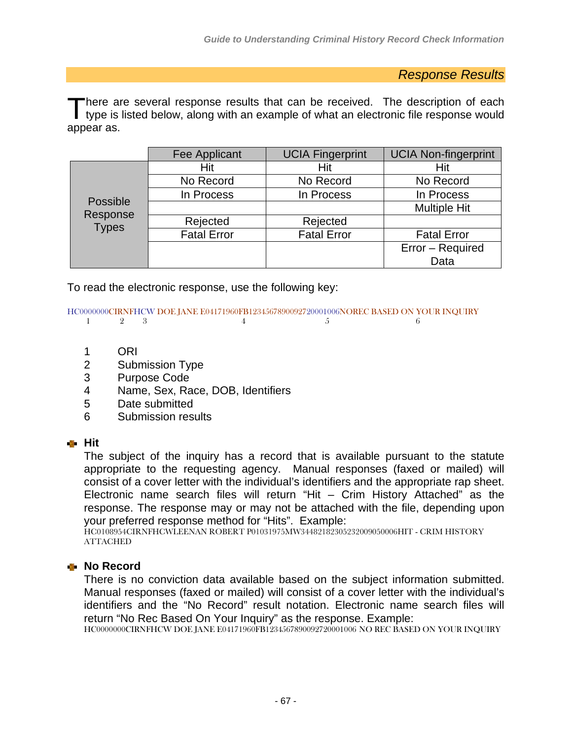*Response Results*

here are several response results that can be received. The description of each type is listed below, along with an example of what an electronic file response would appear as. T

|                                      | Fee Applicant      | <b>UCIA Fingerprint</b> | <b>UCIA Non-fingerprint</b> |
|--------------------------------------|--------------------|-------------------------|-----------------------------|
| Possible<br>Response<br><b>Types</b> | Hit                | Hit                     | Hit                         |
|                                      | No Record          | No Record               | No Record                   |
|                                      | In Process         | In Process              | In Process                  |
|                                      |                    |                         | <b>Multiple Hit</b>         |
|                                      | Rejected           | Rejected                |                             |
|                                      | <b>Fatal Error</b> | <b>Fatal Error</b>      | <b>Fatal Error</b>          |
|                                      |                    |                         | Error - Required            |
|                                      |                    |                         | Data                        |

To read the electronic response, use the following key:

HC0000000CIRNFHCW DOE JANE E04171960FB1234567890092720001006NOREC BASED ON YOUR INQUIRY 1 2 3  $1 \t2 \t3 \t4 \t5 \t6$ 

- 1 ORI
- 2 Submission Type
- 3 Purpose Code
- 4 Name, Sex, Race, DOB, Identifiers
- 5 Date submitted
- 6 Submission results

### **Hit**

The subject of the inquiry has a record that is available pursuant to the statute appropriate to the requesting agency. Manual responses (faxed or mailed) will consist of a cover letter with the individual's identifiers and the appropriate rap sheet. Electronic name search files will return "Hit – Crim History Attached" as the response. The response may or may not be attached with the file, depending upon your preferred response method for "Hits". Example:

HC0108954CIRNFHCWLEENAN ROBERT P01031975MW34482182305232009050006HIT - CRIM HISTORY **ATTACHED** 

### **No Record**

There is no conviction data available based on the subject information submitted. Manual responses (faxed or mailed) will consist of a cover letter with the individual's identifiers and the "No Record" result notation. Electronic name search files will return "No Rec Based On Your Inquiry" as the response. Example:

HC0000000CIRNFHCW DOE JANE E04171960FB1234567890092720001006 NO REC BASED ON YOUR INQUIRY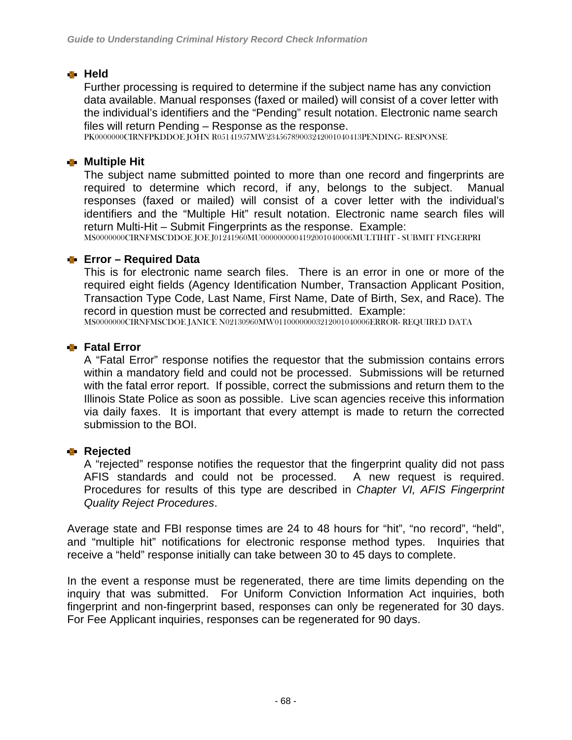#### **Held**

Further processing is required to determine if the subject name has any conviction data available. Manual responses (faxed or mailed) will consist of a cover letter with the individual's identifiers and the "Pending" result notation. Electronic name search files will return Pending – Response as the response.

PK0000000CIRNFPKDDOE JOHN R05141957MW23456789003242001040413PENDING- RESPONSE

### **Multiple Hit**

The subject name submitted pointed to more than one record and fingerprints are required to determine which record, if any, belongs to the subject. Manual responses (faxed or mailed) will consist of a cover letter with the individual's identifiers and the "Multiple Hit" result notation. Electronic name search files will return Multi-Hit – Submit Fingerprints as the response. Example:

MS0000000CIRNFMSCDDOE JOE J01241960MU0000000004192001040006MULTIHIT - SUBMIT FINGERPRI

#### **Error – Required Data**

This is for electronic name search files. There is an error in one or more of the required eight fields (Agency Identification Number, Transaction Applicant Position, Transaction Type Code, Last Name, First Name, Date of Birth, Sex, and Race). The record in question must be corrected and resubmitted. Example:

MS0000000CIRNFMSCDOE JANICE N02130960MW01100000003212001040006ERROR- REQUIRED DATA

### **Fatal Error**

A "Fatal Error" response notifies the requestor that the submission contains errors within a mandatory field and could not be processed. Submissions will be returned with the fatal error report. If possible, correct the submissions and return them to the Illinois State Police as soon as possible. Live scan agencies receive this information via daily faxes. It is important that every attempt is made to return the corrected submission to the BOI.

## **Rejected**

A "rejected" response notifies the requestor that the fingerprint quality did not pass AFIS standards and could not be processed. A new request is required. Procedures for results of this type are described in *Chapter VI, AFIS Fingerprint Quality Reject Procedures*.

Average state and FBI response times are 24 to 48 hours for "hit", "no record", "held", and "multiple hit" notifications for electronic response method types. Inquiries that receive a "held" response initially can take between 30 to 45 days to complete.

In the event a response must be regenerated, there are time limits depending on the inquiry that was submitted. For Uniform Conviction Information Act inquiries, both fingerprint and non-fingerprint based, responses can only be regenerated for 30 days. For Fee Applicant inquiries, responses can be regenerated for 90 days.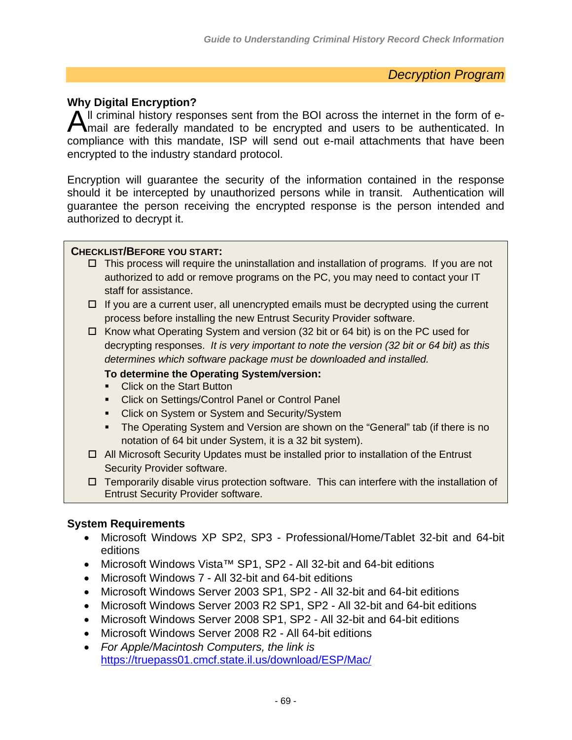## *Decryption Program*

## **Why Digital Encryption?**

All criminal history responses sent from the BOI across the internet in the form of e-<br>
Amail are federally mandated to be encrypted and users to be authenticated. In mail are federally mandated to be encrypted and users to be authenticated. In compliance with this mandate, ISP will send out e-mail attachments that have been encrypted to the industry standard protocol.

Encryption will guarantee the security of the information contained in the response should it be intercepted by unauthorized persons while in transit. Authentication will guarantee the person receiving the encrypted response is the person intended and authorized to decrypt it.

#### **CHECKLIST/BEFORE YOU START:**

- $\Box$  This process will require the uninstallation and installation of programs. If you are not authorized to add or remove programs on the PC, you may need to contact your IT staff for assistance.
- $\Box$  If you are a current user, all unencrypted emails must be decrypted using the current process before installing the new Entrust Security Provider software.
- $\Box$  Know what Operating System and version (32 bit or 64 bit) is on the PC used for decrypting responses. *It is very important to note the version (32 bit or 64 bit) as this determines which software package must be downloaded and installed.*

### **To determine the Operating System/version:**

- Click on the Start Button
- **EXECLICE ON Settings/Control Panel or Control Panel**
- **EXECUTE:** Click on System or System and Security/System
- The Operating System and Version are shown on the "General" tab (if there is no notation of 64 bit under System, it is a 32 bit system).
- $\Box$  All Microsoft Security Updates must be installed prior to installation of the Entrust Security Provider software.
- $\Box$  Temporarily disable virus protection software. This can interfere with the installation of Entrust Security Provider software.

## **System Requirements**

- Microsoft Windows XP SP2, SP3 Professional/Home/Tablet 32-bit and 64-bit editions
- Microsoft Windows Vista™ SP1, SP2 All 32-bit and 64-bit editions
- Microsoft Windows 7 All 32-bit and 64-bit editions
- Microsoft Windows Server 2003 SP1, SP2 All 32-bit and 64-bit editions
- Microsoft Windows Server 2003 R2 SP1, SP2 All 32-bit and 64-bit editions
- Microsoft Windows Server 2008 SP1, SP2 All 32-bit and 64-bit editions
- Microsoft Windows Server 2008 R2 All 64-bit editions
- *For Apple/Macintosh Computers, the link is*  [https://truepass01.cmcf.state.il.us/download/ESP/Mac/](https://truepass01.cmcf.state.il.us/download/ESP/Mac/_)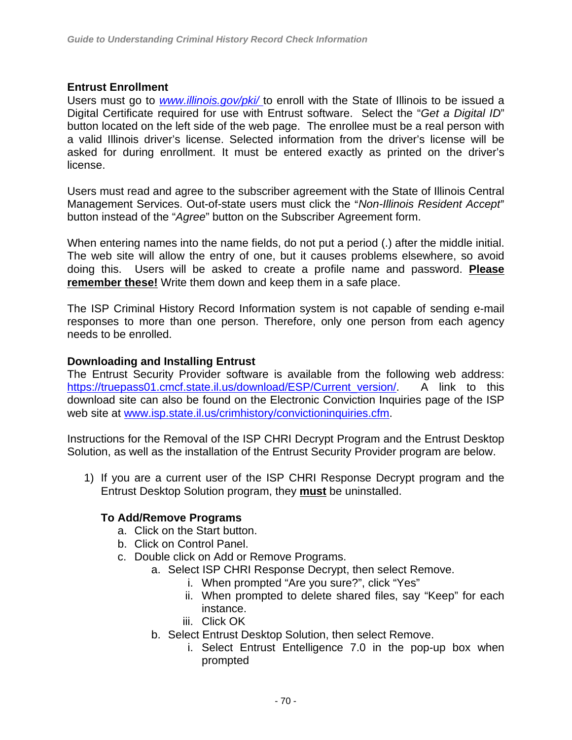## **Entrust Enrollment**

Users must go to *[www.illinois.gov/pki/](http://www.illinois.gov/pki/)* to enroll with the State of Illinois to be issued a Digital Certificate required for use with Entrust software. Select the "*Get a Digital ID*" button located on the left side of the web page. The enrollee must be a real person with a valid Illinois driver's license. Selected information from the driver's license will be asked for during enrollment. It must be entered exactly as printed on the driver's license.

Users must read and agree to the subscriber agreement with the State of Illinois Central Management Services. Out-of-state users must click the "*Non-Illinois Resident Accept*" button instead of the "*Agree*" button on the Subscriber Agreement form.

When entering names into the name fields, do not put a period (.) after the middle initial. The web site will allow the entry of one, but it causes problems elsewhere, so avoid doing this. Users will be asked to create a profile name and password. **Please remember these!** Write them down and keep them in a safe place.

The ISP Criminal History Record Information system is not capable of sending e-mail responses to more than one person. Therefore, only one person from each agency needs to be enrolled.

## **Downloading and Installing Entrust**

The Entrust Security Provider software is available from the following web address: [https://truepass01.cmcf.state.il.us/download/ESP/Current\\_version/.](https://truepass01.cmcf.state.il.us/download/ESP/Current_version/) A link to this download site can also be found on the Electronic Conviction Inquiries page of the ISP web site at [www.isp.state.il.us/crimhistory/convictioninquiries.cfm.](http://www.isp.state.il.us/crimhistory/convictioninquiries.cfm)

Instructions for the Removal of the ISP CHRI Decrypt Program and the Entrust Desktop Solution, as well as the installation of the Entrust Security Provider program are below.

1) If you are a current user of the ISP CHRI Response Decrypt program and the Entrust Desktop Solution program, they **must** be uninstalled.

## **To Add/Remove Programs**

- a. Click on the Start button.
- b. Click on Control Panel.
- c. Double click on Add or Remove Programs.
	- a. Select ISP CHRI Response Decrypt, then select Remove.
		- i. When prompted "Are you sure?", click "Yes"
		- ii. When prompted to delete shared files, say "Keep" for each instance.
		- iii. Click OK
	- b. Select Entrust Desktop Solution, then select Remove.
		- i. Select Entrust Entelligence 7.0 in the pop-up box when prompted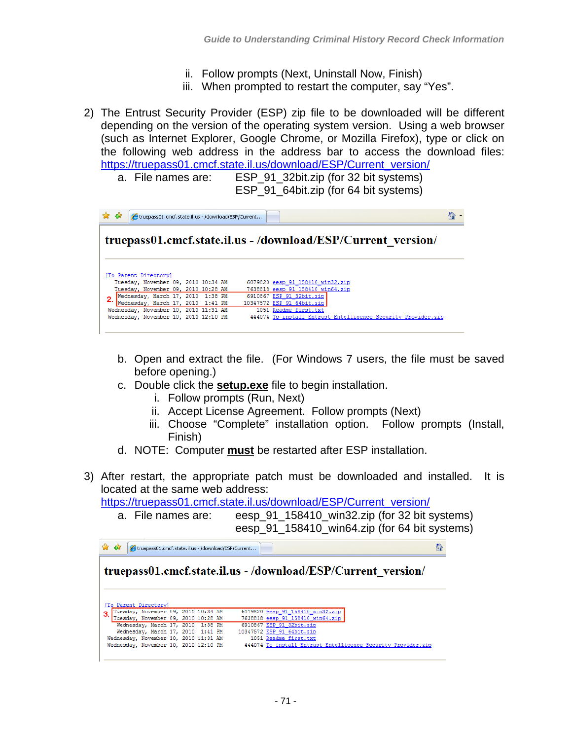- ii. Follow prompts (Next, Uninstall Now, Finish)
- iii. When prompted to restart the computer, say "Yes".
- 2) The Entrust Security Provider (ESP) zip file to be downloaded will be different depending on the version of the operating system version. Using a web browser (such as Internet Explorer, Google Chrome, or Mozilla Firefox), type or click on the following web address in the address bar to access the download files: [https://truepass01.cmcf.state.il.us/download/ESP/Current\\_version/](https://truepass01.cmcf.state.il.us/download/ESP/Current_version/)
	- a. File names are: ESP\_91\_32bit.zip (for 32 bit systems) ESP 91 64 bit.zip (for 64 bit systems)

| ☆ ☆ | truepass01.cmcf.state.il.us - /download/ESP/Current |  |                                                              |
|-----|-----------------------------------------------------|--|--------------------------------------------------------------|
|     |                                                     |  | truepass01.cmcf.state.il.us - /download/ESP/Current version/ |
|     |                                                     |  |                                                              |
|     | [To Parent Directory]                               |  |                                                              |
|     | Tuesday, November 09, 2010 10:34 AM                 |  | 6079820 eesp 91 158410 win32.zip                             |
|     | Tuesday, November 09, 2010 10:28 AM                 |  | 7638818 eesp 91 158410 win64.zip                             |
| 2.  | Wednesday, March 17, 2010 1:38 PM                   |  | 6910867 ESP 91 32bit.zip                                     |
|     | Wednesday, March 17, 2010 1:41 PM                   |  | 10347572 ESP 91 64bit.zip                                    |
|     | Wednesday, November 10, 2010 11:31 AM               |  | 1051 Readme first.txt                                        |
|     | Wednesday, November 10, 2010 12:10 PM               |  | 444074 To install Entrust Entelligence Security Provider.zip |
|     |                                                     |  |                                                              |
|     |                                                     |  |                                                              |

- b. Open and extract the file. (For Windows 7 users, the file must be saved before opening.)
- c. Double click the **setup.exe** file to begin installation.
	- i. Follow prompts (Run, Next)
	- ii. Accept License Agreement. Follow prompts (Next)
	- iii. Choose "Complete" installation option. Follow prompts (Install, Finish)
- d. NOTE: Computer **must** be restarted after ESP installation.
- 3) After restart, the appropriate patch must be downloaded and installed. It is located at the same web address:

[https://truepass01.cmcf.state.il.us/download/ESP/Current\\_version/](https://truepass01.cmcf.state.il.us/download/ESP/Current_version/)

a. File names are: eesp 91 158410 win32.zip (for 32 bit systems) eesp\_91\_158410\_win64.zip (for 64 bit systems)

| $\rightarrow$                                                        |                                                                          |  | etruepass01.cmcf.state.il.us - /download/ESP/Current | 合                                                            |
|----------------------------------------------------------------------|--------------------------------------------------------------------------|--|------------------------------------------------------|--------------------------------------------------------------|
|                                                                      |                                                                          |  |                                                      | truepass01.cmcf.state.il.us - /download/ESP/Current version/ |
|                                                                      |                                                                          |  |                                                      |                                                              |
|                                                                      |                                                                          |  |                                                      |                                                              |
|                                                                      |                                                                          |  |                                                      |                                                              |
|                                                                      |                                                                          |  |                                                      |                                                              |
|                                                                      | Tuesday, November 09, 2010 10:34 AM                                      |  |                                                      | 6079820 eesp 91 158410 win32.zip                             |
|                                                                      | Tuesday, November 09, 2010 10:28 AM<br>Wednesday, March 17, 2010 1:38 PM |  |                                                      | 7638818 eesp 91 158410 win64.zip<br>6910867 ESP 91 32bit.zip |
|                                                                      | Wednesday, March 17, 2010 1:41 PM                                        |  |                                                      | 10347572 ESP 91 64bit.zip                                    |
| [To Parent Directory]<br>3.<br>Wednesday, November 10, 2010 11:31 AM |                                                                          |  |                                                      | 1051 Readme first.txt                                        |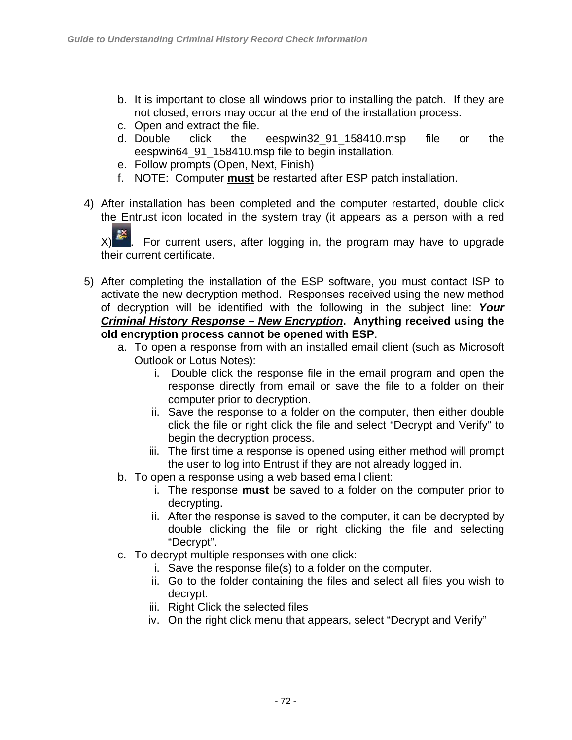- b. It is important to close all windows prior to installing the patch. If they are not closed, errors may occur at the end of the installation process.
- c. Open and extract the file.
- d. Double click the eespwin32\_91\_158410.msp file or the eespwin64\_91\_158410.msp file to begin installation.
- e. Follow prompts (Open, Next, Finish)
- f. NOTE: Computer **must** be restarted after ESP patch installation.
- 4) After installation has been completed and the computer restarted, double click the Entrust icon located in the system tray (it appears as a person with a red

 $X$ )  $\rightarrow$   $\rightarrow$  For current users, after logging in, the program may have to upgrade their current certificate.

- 5) After completing the installation of the ESP software, you must contact ISP to activate the new decryption method. Responses received using the new method of decryption will be identified with the following in the subject line: *Your Criminal History Response – New Encryption***. Anything received using the old encryption process cannot be opened with ESP**.
	- a. To open a response from with an installed email client (such as Microsoft Outlook or Lotus Notes):
		- i. Double click the response file in the email program and open the response directly from email or save the file to a folder on their computer prior to decryption.
		- ii. Save the response to a folder on the computer, then either double click the file or right click the file and select "Decrypt and Verify" to begin the decryption process.
		- iii. The first time a response is opened using either method will prompt the user to log into Entrust if they are not already logged in.
	- b. To open a response using a web based email client:
		- i. The response **must** be saved to a folder on the computer prior to decrypting.
		- ii. After the response is saved to the computer, it can be decrypted by double clicking the file or right clicking the file and selecting "Decrypt".
	- c. To decrypt multiple responses with one click:
		- i. Save the response file(s) to a folder on the computer.
		- ii. Go to the folder containing the files and select all files you wish to decrypt.
		- iii. Right Click the selected files
		- iv. On the right click menu that appears, select "Decrypt and Verify"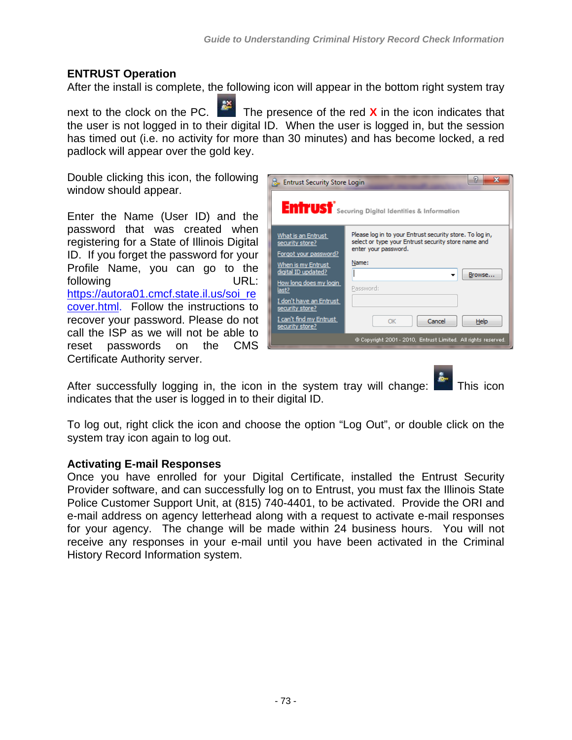## **ENTRUST Operation**

After the install is complete, the following icon will appear in the bottom right system tray

next to the clock on the PC. The presence of the red **X** in the icon indicates that the user is not logged in to their digital ID. When the user is logged in, but the session has timed out (i.e. no activity for more than 30 minutes) and has become locked, a red padlock will appear over the gold key.

Double clicking this icon, the following window should appear.

Enter the Name (User ID) and the password that was created when registering for a State of Illinois Digital ID. If you forget the password for your Profile Name, you can go to the following URL: [https://autora01.cmcf.state.il.us/soi\\_re](https://autora01.cmcf.state.il.us/soi_recover.html) [cover.html.](https://autora01.cmcf.state.il.us/soi_recover.html) Follow the instructions to recover your password. Please do not call the ISP as we will not be able to reset passwords on the CMS Certificate Authority server.

| <b>Entrust Security Store Login</b>                                                                                                                                                          | x                                                                                                                                                                       |  |  |  |  |  |
|----------------------------------------------------------------------------------------------------------------------------------------------------------------------------------------------|-------------------------------------------------------------------------------------------------------------------------------------------------------------------------|--|--|--|--|--|
| <b>Entrust</b> Securing Digital Identities & Information                                                                                                                                     |                                                                                                                                                                         |  |  |  |  |  |
| What is an Entrust<br>security store?<br>Forgot your password?<br>When is my Entrust<br>digital ID updated?<br>How long does my login<br>last?<br>I don't have an Entrust<br>security store? | Please log in to your Entrust security store. To log in,<br>select or type your Entrust security store name and<br>enter your password.<br>Name:<br>Browse<br>Password: |  |  |  |  |  |
| I can't find my Entrust<br>security store?                                                                                                                                                   | Cancel<br>OK<br>Help                                                                                                                                                    |  |  |  |  |  |
|                                                                                                                                                                                              | © Copyright 2001 - 2010, Entrust Limited. All rights reserved.                                                                                                          |  |  |  |  |  |

After successfully logging in, the icon in the system tray will change: This icon indicates that the user is logged in to their digital ID.

To log out, right click the icon and choose the option "Log Out", or double click on the system tray icon again to log out.

## **Activating E-mail Responses**

Once you have enrolled for your Digital Certificate, installed the Entrust Security Provider software, and can successfully log on to Entrust, you must fax the Illinois State Police Customer Support Unit, at (815) 740-4401, to be activated. Provide the ORI and e-mail address on agency letterhead along with a request to activate e-mail responses for your agency. The change will be made within 24 business hours. You will not receive any responses in your e-mail until you have been activated in the Criminal History Record Information system.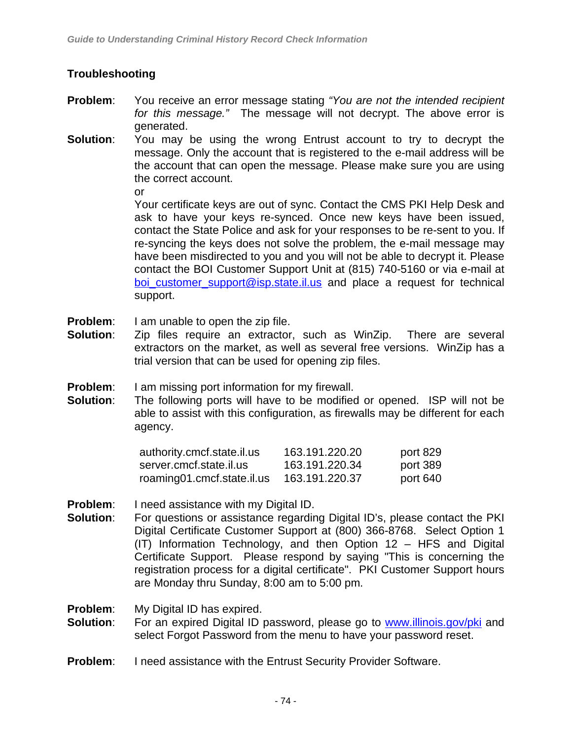## **Troubleshooting**

- **Problem**: You receive an error message stating *"You are not the intended recipient for this message."* The message will not decrypt. The above error is generated.
- **Solution:** You may be using the wrong Entrust account to try to decrypt the message. Only the account that is registered to the e-mail address will be the account that can open the message. Please make sure you are using the correct account.

or

Your certificate keys are out of sync. Contact the CMS PKI Help Desk and ask to have your keys re-synced. Once new keys have been issued, contact the State Police and ask for your responses to be re-sent to you. If re-syncing the keys does not solve the problem, the e-mail message may have been misdirected to you and you will not be able to decrypt it. Please contact the BOI Customer Support Unit at (815) 740-5160 or via e-mail at [boi\\_customer\\_support@isp.state.il.us](mailto:boi_customer_support@isp.state.il.us) and place a request for technical support.

- **Problem:** I am unable to open the zip file.
- **Solution**: Zip files require an extractor, such as WinZip. There are several extractors on the market, as well as several free versions. WinZip has a trial version that can be used for opening zip files.
- **Problem:** I am missing port information for my firewall.
- **Solution**: The following ports will have to be modified or opened. ISP will not be able to assist with this configuration, as firewalls may be different for each agency.

| authority.cmcf.state.il.us | 163.191.220.20 | port 829 |
|----------------------------|----------------|----------|
| server.cmcf.state.il.us    | 163.191.220.34 | port 389 |
| roaming01.cmcf.state.il.us | 163.191.220.37 | port 640 |

- **Problem**: I need assistance with my Digital ID.
- **Solution:** For questions or assistance regarding Digital ID's, please contact the PKI Digital Certificate Customer Support at (800) 366-8768. Select Option 1 (IT) Information Technology, and then Option 12 – HFS and Digital Certificate Support. Please respond by saying "This is concerning the registration process for a digital certificate". PKI Customer Support hours are Monday thru Sunday, 8:00 am to 5:00 pm.

**Problem:** My Digital ID has expired.

- **Solution:** For an expired Digital ID password, please go to [www.illinois.gov/pki](http://www.illinois.gov/pki) and select Forgot Password from the menu to have your password reset.
- **Problem:** I need assistance with the Entrust Security Provider Software.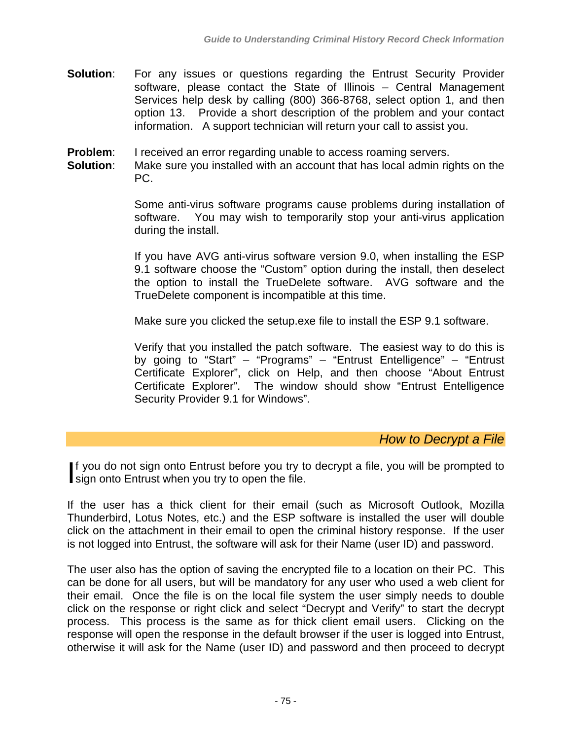**Solution:** For any issues or questions regarding the Entrust Security Provider software, please contact the State of Illinois – Central Management Services help desk by calling (800) 366-8768, select option 1, and then option 13. Provide a short description of the problem and your contact information. A support technician will return your call to assist you.

**Problem:** I received an error regarding unable to access roaming servers.

**Solution:** Make sure you installed with an account that has local admin rights on the PC.

> Some anti-virus software programs cause problems during installation of software. You may wish to temporarily stop your anti-virus application during the install.

> If you have AVG anti-virus software version 9.0, when installing the ESP 9.1 software choose the "Custom" option during the install, then deselect the option to install the TrueDelete software. AVG software and the TrueDelete component is incompatible at this time.

Make sure you clicked the setup.exe file to install the ESP 9.1 software.

Verify that you installed the patch software. The easiest way to do this is by going to "Start" – "Programs" – "Entrust Entelligence" – "Entrust Certificate Explorer", click on Help, and then choose "About Entrust Certificate Explorer". The window should show "Entrust Entelligence Security Provider 9.1 for Windows".

## *How to Decrypt a File*

f you do not sign onto Entrust before you try to decrypt a file, you will be prompted to If you do not sign onto Entrust before you try to sign onto Entrust when you try to open the file.

If the user has a thick client for their email (such as Microsoft Outlook, Mozilla Thunderbird, Lotus Notes, etc.) and the ESP software is installed the user will double click on the attachment in their email to open the criminal history response. If the user is not logged into Entrust, the software will ask for their Name (user ID) and password.

The user also has the option of saving the encrypted file to a location on their PC. This can be done for all users, but will be mandatory for any user who used a web client for their email. Once the file is on the local file system the user simply needs to double click on the response or right click and select "Decrypt and Verify" to start the decrypt process. This process is the same as for thick client email users. Clicking on the response will open the response in the default browser if the user is logged into Entrust, otherwise it will ask for the Name (user ID) and password and then proceed to decrypt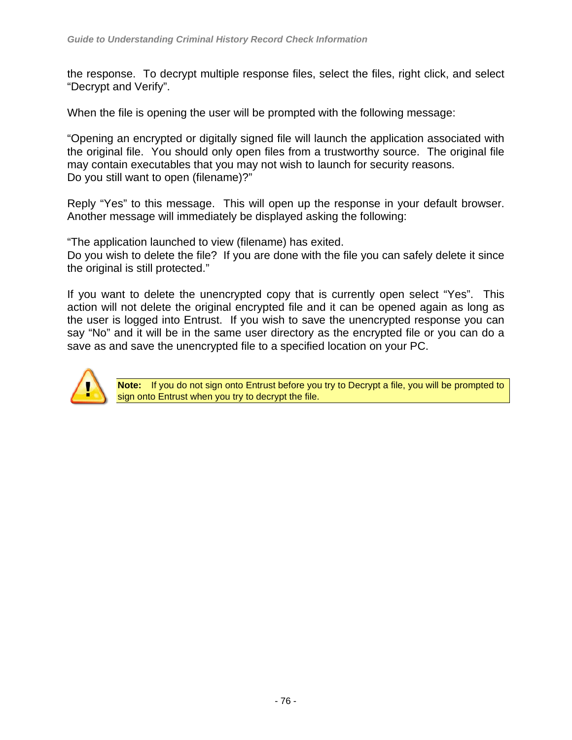the response. To decrypt multiple response files, select the files, right click, and select "Decrypt and Verify".

When the file is opening the user will be prompted with the following message:

"Opening an encrypted or digitally signed file will launch the application associated with the original file. You should only open files from a trustworthy source. The original file may contain executables that you may not wish to launch for security reasons. Do you still want to open (filename)?"

Reply "Yes" to this message. This will open up the response in your default browser. Another message will immediately be displayed asking the following:

"The application launched to view (filename) has exited.

Do you wish to delete the file? If you are done with the file you can safely delete it since the original is still protected."

If you want to delete the unencrypted copy that is currently open select "Yes". This action will not delete the original encrypted file and it can be opened again as long as the user is logged into Entrust. If you wish to save the unencrypted response you can say "No" and it will be in the same user directory as the encrypted file or you can do a save as and save the unencrypted file to a specified location on your PC.



**Note:** If you do not sign onto Entrust before you try to Decrypt a file, you will be prompted to sign onto Entrust when you try to decrypt the file.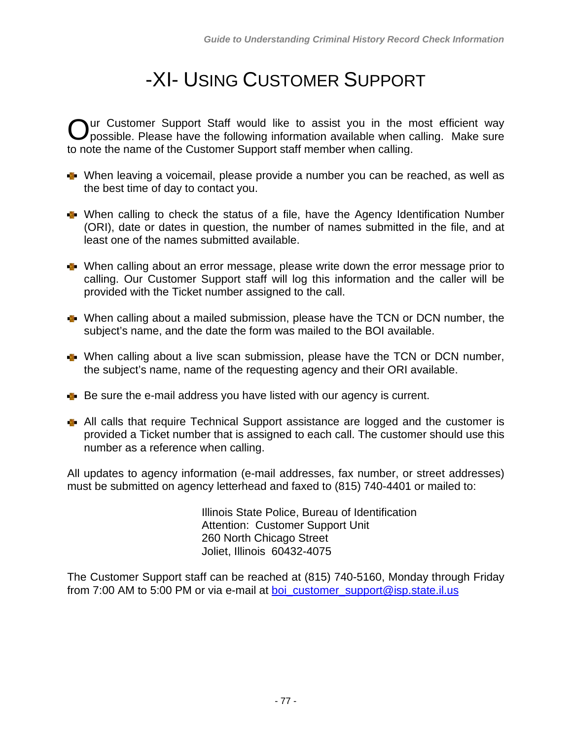## -XI- USING CUSTOMER SUPPORT

ur Customer Support Staff would like to assist you in the most efficient way Our Customer Support Staff would like to assist you in the most efficient way<br>possible. Please have the following information available when calling. Make sure to note the name of the Customer Support staff member when calling.

- When leaving a voicemail, please provide a number you can be reached, as well as the best time of day to contact you.
- When calling to check the status of a file, have the Agency Identification Number (ORI), date or dates in question, the number of names submitted in the file, and at least one of the names submitted available.
- When calling about an error message, please write down the error message prior to calling. Our Customer Support staff will log this information and the caller will be provided with the Ticket number assigned to the call.
- When calling about a mailed submission, please have the TCN or DCN number, the subject's name, and the date the form was mailed to the BOI available.
- When calling about a live scan submission, please have the TCN or DCN number, the subject's name, name of the requesting agency and their ORI available.
- Be sure the e-mail address you have listed with our agency is current.
- All calls that require Technical Support assistance are logged and the customer is provided a Ticket number that is assigned to each call. The customer should use this number as a reference when calling.

All updates to agency information (e-mail addresses, fax number, or street addresses) must be submitted on agency letterhead and faxed to (815) 740-4401 or mailed to:

> Illinois State Police, Bureau of Identification Attention: Customer Support Unit 260 North Chicago Street Joliet, Illinois 60432-4075

The Customer Support staff can be reached at (815) 740-5160, Monday through Friday from 7:00 AM to 5:00 PM or via e-mail at [boi\\_customer\\_support@isp.state.il.us](mailto:boi_customer_support@isp.state.il.us)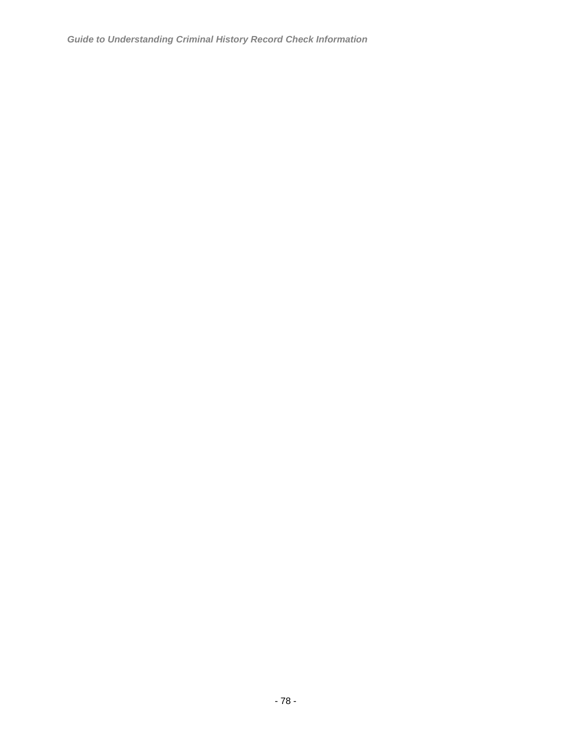*Guide to Understanding Criminal History Record Check Information*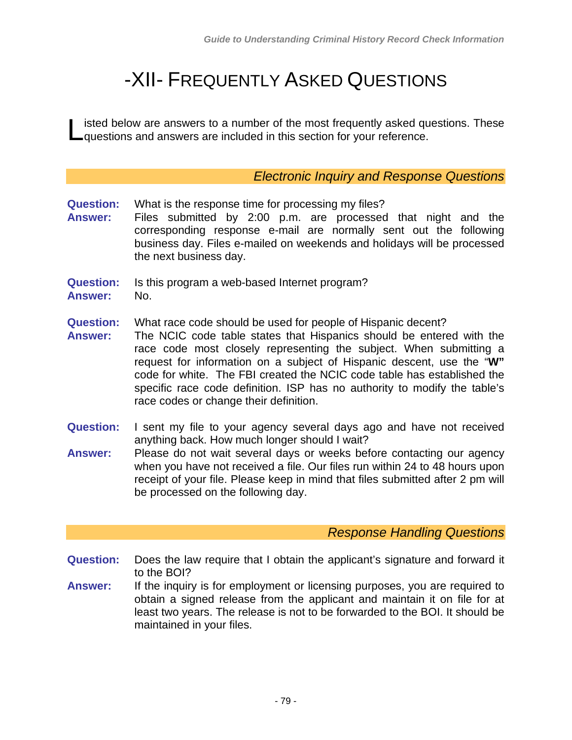## -XII- FREQUENTLY ASKED QUESTIONS

isted below are answers to a number of the most frequently asked questions. These listed below are answers to a number of the most frequently asked quality and answers are included in this section for your reference.

## *Electronic Inquiry and Response Questions*

**Question:** What is the response time for processing my files?

- **Answer:** Files submitted by 2:00 p.m. are processed that night and the corresponding response e-mail are normally sent out the following business day. Files e-mailed on weekends and holidays will be processed the next business day.
- **Question:** Is this program a web-based Internet program?
- **Answer:** No.
- **Question:** What race code should be used for people of Hispanic decent?
- **Answer:** The NCIC code table states that Hispanics should be entered with the race code most closely representing the subject. When submitting a request for information on a subject of Hispanic descent, use the "**W"** code for white. The FBI created the NCIC code table has established the specific race code definition. ISP has no authority to modify the table's race codes or change their definition.
- **Question:** I sent my file to your agency several days ago and have not received anything back. How much longer should I wait?
- **Answer:** Please do not wait several days or weeks before contacting our agency when you have not received a file. Our files run within 24 to 48 hours upon receipt of your file. Please keep in mind that files submitted after 2 pm will be processed on the following day.

## *Response Handling Questions*

- **Question:** Does the law require that I obtain the applicant's signature and forward it to the BOI?
- **Answer:** If the inquiry is for employment or licensing purposes, you are required to obtain a signed release from the applicant and maintain it on file for at least two years. The release is not to be forwarded to the BOI. It should be maintained in your files.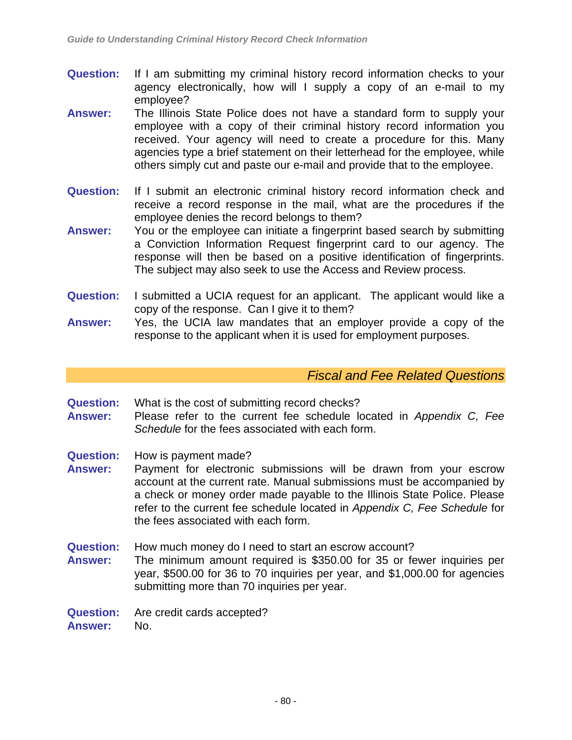- **Question:** If I am submitting my criminal history record information checks to your agency electronically, how will I supply a copy of an e-mail to my employee?
- **Answer:** The Illinois State Police does not have a standard form to supply your employee with a copy of their criminal history record information you received. Your agency will need to create a procedure for this. Many agencies type a brief statement on their letterhead for the employee, while others simply cut and paste our e-mail and provide that to the employee.
- **Question:** If I submit an electronic criminal history record information check and receive a record response in the mail, what are the procedures if the employee denies the record belongs to them?
- **Answer:** You or the employee can initiate a fingerprint based search by submitting a Conviction Information Request fingerprint card to our agency. The response will then be based on a positive identification of fingerprints. The subject may also seek to use the Access and Review process.
- **Question:** I submitted a UCIA request for an applicant. The applicant would like a copy of the response. Can I give it to them?
- **Answer:** Yes, the UCIA law mandates that an employer provide a copy of the response to the applicant when it is used for employment purposes.

*Fiscal and Fee Related Questions*

- **Question:** What is the cost of submitting record checks?
- **Answer:** Please refer to the current fee schedule located in *Appendix C, Fee Schedule* for the fees associated with each form.
- **Question:** How is payment made?
- **Answer:** Payment for electronic submissions will be drawn from your escrow account at the current rate. Manual submissions must be accompanied by a check or money order made payable to the Illinois State Police. Please refer to the current fee schedule located in *Appendix C, Fee Schedule* for the fees associated with each form.
- **Question:** How much money do I need to start an escrow account?
- **Answer:** The minimum amount required is \$350.00 for 35 or fewer inquiries per year, \$500.00 for 36 to 70 inquiries per year, and \$1,000.00 for agencies submitting more than 70 inquiries per year.

**Question:** Are credit cards accepted?

**Answer:** No.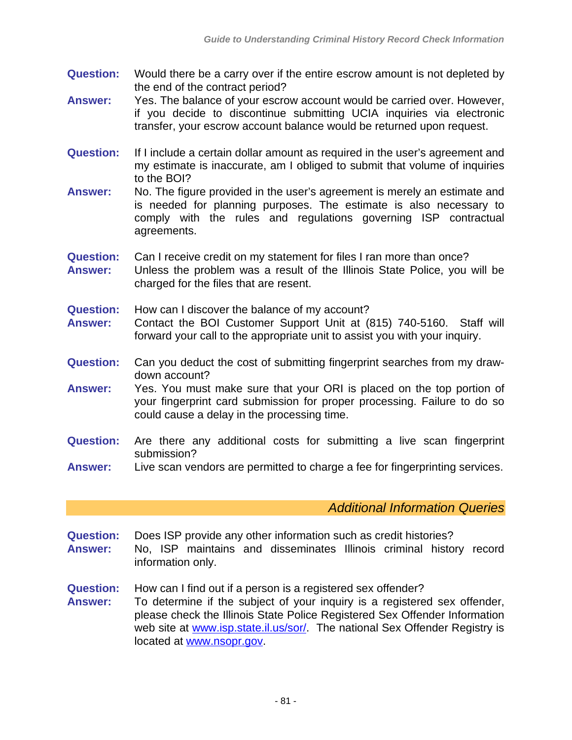- **Question:** Would there be a carry over if the entire escrow amount is not depleted by the end of the contract period?
- **Answer:** Yes. The balance of your escrow account would be carried over. However, if you decide to discontinue submitting UCIA inquiries via electronic transfer, your escrow account balance would be returned upon request.
- **Question:** If I include a certain dollar amount as required in the user's agreement and my estimate is inaccurate, am I obliged to submit that volume of inquiries to the BOI?
- **Answer:** No. The figure provided in the user's agreement is merely an estimate and is needed for planning purposes. The estimate is also necessary to comply with the rules and regulations governing ISP contractual agreements.
- **Question:** Can I receive credit on my statement for files I ran more than once?
- **Answer:** Unless the problem was a result of the Illinois State Police, you will be charged for the files that are resent.
- **Question:** How can I discover the balance of my account?
- **Answer:** Contact the BOI Customer Support Unit at (815) 740-5160. Staff will forward your call to the appropriate unit to assist you with your inquiry.
- **Question:** Can you deduct the cost of submitting fingerprint searches from my drawdown account?
- **Answer:** Yes. You must make sure that your ORI is placed on the top portion of your fingerprint card submission for proper processing. Failure to do so could cause a delay in the processing time.
- **Question:** Are there any additional costs for submitting a live scan fingerprint submission?
- **Answer:** Live scan vendors are permitted to charge a fee for fingerprinting services.

*Additional Information Queries*

- **Question:** Does ISP provide any other information such as credit histories?
- **Answer:** No, ISP maintains and disseminates Illinois criminal history record information only.
- **Question:** How can I find out if a person is a registered sex offender?
- **Answer:** To determine if the subject of your inquiry is a registered sex offender, please check the Illinois State Police Registered Sex Offender Information web site at [www.isp.state.il.us/sor/.](http://www.isp.state.il.us/sor/) The national Sex Offender Registry is located at [www.nsopr.gov.](http://www.nsopr.gov/)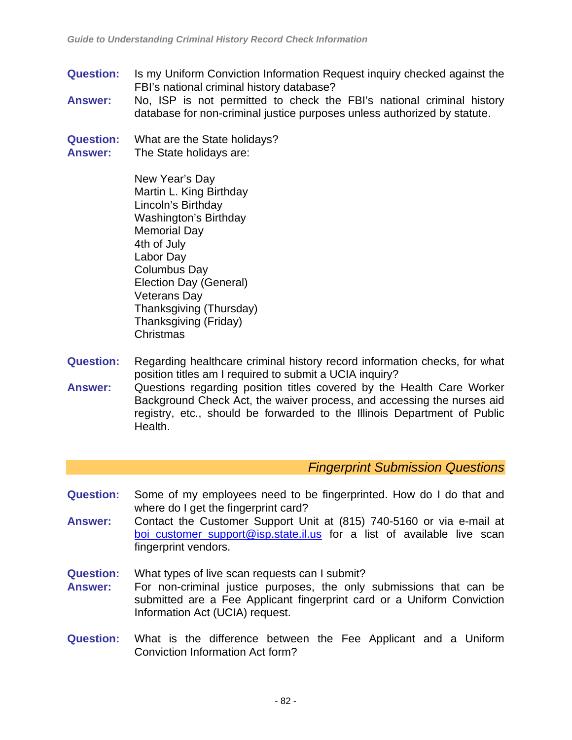- **Question:** Is my Uniform Conviction Information Request inquiry checked against the FBI's national criminal history database?
- **Answer:** No, ISP is not permitted to check the FBI's national criminal history database for non-criminal justice purposes unless authorized by statute.
- **Question:** What are the State holidays?
- **Answer:** The State holidays are:

New Year's Day Martin L. King Birthday Lincoln's Birthday Washington's Birthday Memorial Day 4th of July Labor Day Columbus Day Election Day (General) Veterans Day Thanksgiving (Thursday) Thanksgiving (Friday) Christmas

- **Question:** Regarding healthcare criminal history record information checks, for what position titles am I required to submit a UCIA inquiry?
- **Answer:** Questions regarding position titles covered by the Health Care Worker Background Check Act, the waiver process, and accessing the nurses aid registry, etc., should be forwarded to the Illinois Department of Public Health.

## *Fingerprint Submission Questions*

- **Question:** Some of my employees need to be fingerprinted. How do I do that and where do I get the fingerprint card?
- **Answer:** Contact the Customer Support Unit at (815) 740-5160 or via e-mail at boi customer support@isp.state.il.us for a list of available live scan fingerprint vendors.
- **Question:** What types of live scan requests can I submit?
- **Answer:** For non-criminal justice purposes, the only submissions that can be submitted are a Fee Applicant fingerprint card or a Uniform Conviction Information Act (UCIA) request.
- **Question:** What is the difference between the Fee Applicant and a Uniform Conviction Information Act form?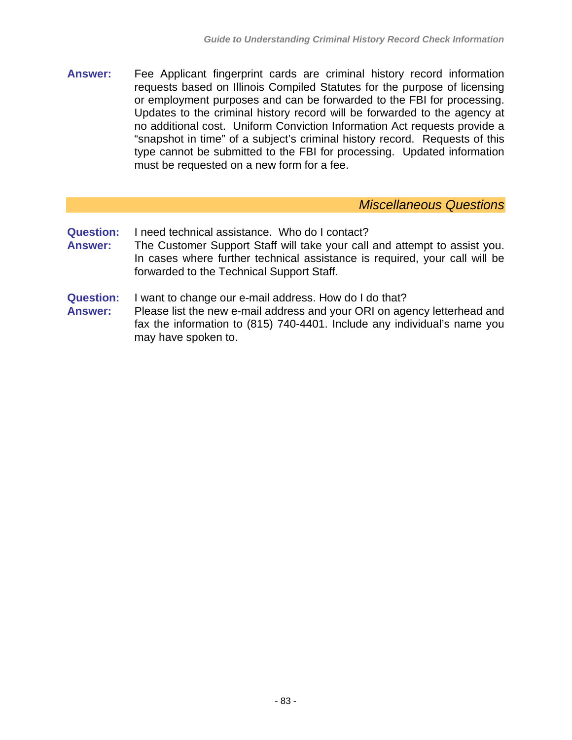**Answer:** Fee Applicant fingerprint cards are criminal history record information requests based on Illinois Compiled Statutes for the purpose of licensing or employment purposes and can be forwarded to the FBI for processing. Updates to the criminal history record will be forwarded to the agency at no additional cost. Uniform Conviction Information Act requests provide a "snapshot in time" of a subject's criminal history record. Requests of this type cannot be submitted to the FBI for processing. Updated information must be requested on a new form for a fee.

## *Miscellaneous Questions*

- **Question:** I need technical assistance. Who do I contact?
- **Answer:** The Customer Support Staff will take your call and attempt to assist you. In cases where further technical assistance is required, your call will be forwarded to the Technical Support Staff.
- **Question:** I want to change our e-mail address. How do I do that?
- **Answer:** Please list the new e-mail address and your ORI on agency letterhead and fax the information to (815) 740-4401. Include any individual's name you may have spoken to.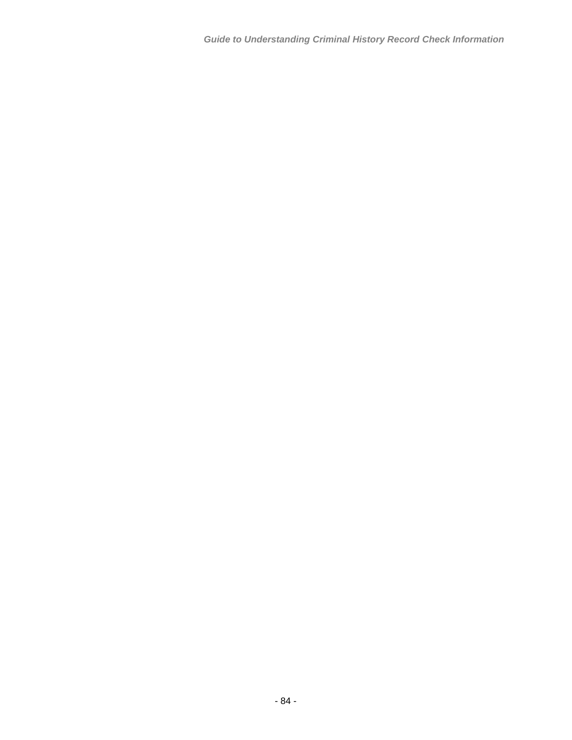*Guide to Understanding Criminal History Record Check Information*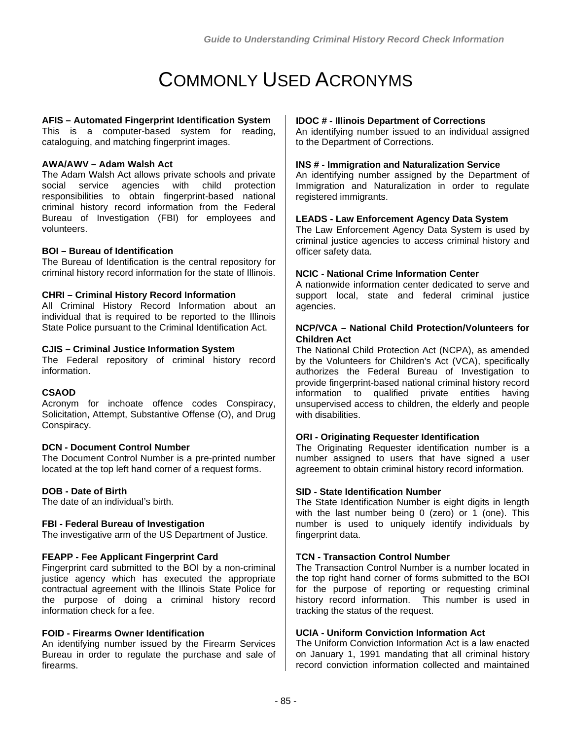## COMMONLY USED ACRONYMS

#### **AFIS – Automated Fingerprint Identification System**

This is a computer-based system for reading, cataloguing, and matching fingerprint images.

#### **AWA/AWV – Adam Walsh Act**

The Adam Walsh Act allows private schools and private social service agencies with child protection responsibilities to obtain fingerprint-based national criminal history record information from the Federal Bureau of Investigation (FBI) for employees and volunteers.

#### **BOI – Bureau of Identification**

The Bureau of Identification is the central repository for criminal history record information for the state of Illinois.

#### **CHRI – Criminal History Record Information**

All Criminal History Record Information about an individual that is required to be reported to the Illinois State Police pursuant to the Criminal Identification Act.

#### **CJIS – Criminal Justice Information System**

The Federal repository of criminal history record information.

#### **CSAOD**

Acronym for inchoate offence codes Conspiracy, Solicitation, Attempt, Substantive Offense (O), and Drug Conspiracy.

#### **DCN - Document Control Number**

The Document Control Number is a pre-printed number located at the top left hand corner of a request forms.

#### **DOB - Date of Birth**

The date of an individual's birth.

#### **FBI - Federal Bureau of Investigation**

The investigative arm of the US Department of Justice.

#### **FEAPP - Fee Applicant Fingerprint Card**

Fingerprint card submitted to the BOI by a non-criminal justice agency which has executed the appropriate contractual agreement with the Illinois State Police for the purpose of doing a criminal history record information check for a fee.

#### **FOID - Firearms Owner Identification**

An identifying number issued by the Firearm Services Bureau in order to regulate the purchase and sale of firearms.

#### **IDOC # - Illinois Department of Corrections**

An identifying number issued to an individual assigned to the Department of Corrections.

#### **INS # - Immigration and Naturalization Service**

An identifying number assigned by the Department of Immigration and Naturalization in order to regulate registered immigrants.

#### **LEADS - Law Enforcement Agency Data System**

The Law Enforcement Agency Data System is used by criminal justice agencies to access criminal history and officer safety data.

#### **NCIC - National Crime Information Center**

A nationwide information center dedicated to serve and support local, state and federal criminal justice agencies.

#### **NCP/VCA – National Child Protection/Volunteers for Children Act**

The National Child Protection Act (NCPA), as amended by the Volunteers for Children's Act (VCA), specifically authorizes the Federal Bureau of Investigation to provide fingerprint-based national criminal history record information to qualified private entities having unsupervised access to children, the elderly and people with disabilities.

#### **ORI - Originating Requester Identification**

The Originating Requester identification number is a number assigned to users that have signed a user agreement to obtain criminal history record information.

#### **SID - State Identification Number**

The State Identification Number is eight digits in length with the last number being 0 (zero) or 1 (one). This number is used to uniquely identify individuals by fingerprint data.

#### **TCN - Transaction Control Number**

The Transaction Control Number is a number located in the top right hand corner of forms submitted to the BOI for the purpose of reporting or requesting criminal history record information. This number is used in tracking the status of the request.

#### **UCIA - Uniform Conviction Information Act**

The Uniform Conviction Information Act is a law enacted on January 1, 1991 mandating that all criminal history record conviction information collected and maintained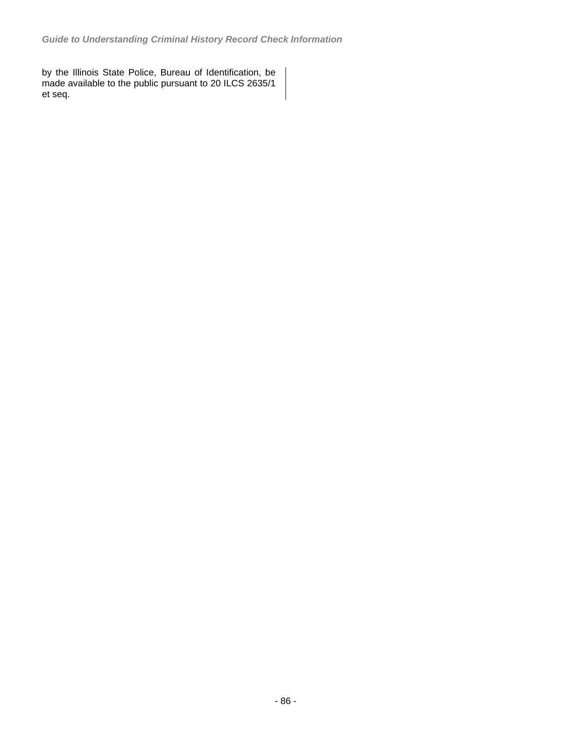by the Illinois State Police, Bureau of Identification, be made available to the public pursuant to 20 ILCS 2635/1 et seq.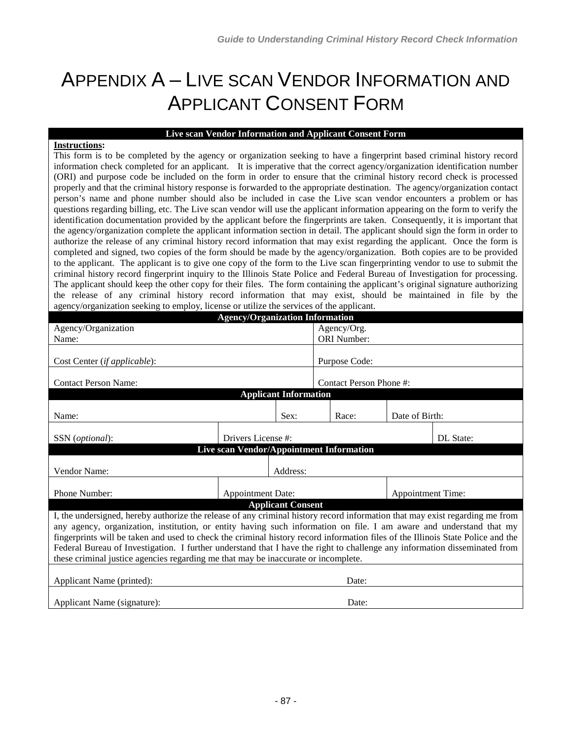## APPENDIX A – LIVE SCAN VENDOR INFORMATION AND APPLICANT CONSENT FORM

#### **Live scan Vendor Information and Applicant Consent Form**

#### **Instructions:**

This form is to be completed by the agency or organization seeking to have a fingerprint based criminal history record information check completed for an applicant. It is imperative that the correct agency/organization identification number (ORI) and purpose code be included on the form in order to ensure that the criminal history record check is processed properly and that the criminal history response is forwarded to the appropriate destination. The agency/organization contact person's name and phone number should also be included in case the Live scan vendor encounters a problem or has questions regarding billing, etc. The Live scan vendor will use the applicant information appearing on the form to verify the identification documentation provided by the applicant before the fingerprints are taken. Consequently, it is important that the agency/organization complete the applicant information section in detail. The applicant should sign the form in order to authorize the release of any criminal history record information that may exist regarding the applicant. Once the form is completed and signed, two copies of the form should be made by the agency/organization. Both copies are to be provided to the applicant. The applicant is to give one copy of the form to the Live scan fingerprinting vendor to use to submit the criminal history record fingerprint inquiry to the Illinois State Police and Federal Bureau of Investigation for processing. The applicant should keep the other copy for their files. The form containing the applicant's original signature authorizing the release of any criminal history record information that may exist, should be maintained in file by the agency/organization seeking to employ, license or utilize the services of the applicant.

| <b>Agency/Organization Information</b>                                                                                          |                                          |                              |                          |                         |                |           |
|---------------------------------------------------------------------------------------------------------------------------------|------------------------------------------|------------------------------|--------------------------|-------------------------|----------------|-----------|
| Agency/Organization                                                                                                             |                                          |                              |                          | Agency/Org.             |                |           |
| Name:                                                                                                                           |                                          |                              |                          | ORI Number:             |                |           |
|                                                                                                                                 |                                          |                              |                          |                         |                |           |
| Cost Center (if applicable):                                                                                                    |                                          |                              |                          | Purpose Code:           |                |           |
|                                                                                                                                 |                                          |                              |                          |                         |                |           |
| <b>Contact Person Name:</b>                                                                                                     |                                          |                              |                          | Contact Person Phone #: |                |           |
|                                                                                                                                 |                                          | <b>Applicant Information</b> |                          |                         |                |           |
| Name:                                                                                                                           |                                          | Sex:                         |                          | Race:                   | Date of Birth: |           |
|                                                                                                                                 |                                          |                              |                          |                         |                |           |
| SSN (optional):                                                                                                                 | Drivers License #:                       |                              |                          |                         |                | DL State: |
|                                                                                                                                 | Live scan Vendor/Appointment Information |                              |                          |                         |                |           |
|                                                                                                                                 |                                          |                              |                          |                         |                |           |
| Vendor Name:                                                                                                                    |                                          | Address:                     |                          |                         |                |           |
|                                                                                                                                 |                                          |                              |                          |                         |                |           |
| Phone Number:                                                                                                                   | Appointment Date:                        |                              | <b>Appointment Time:</b> |                         |                |           |
|                                                                                                                                 |                                          | <b>Applicant Consent</b>     |                          |                         |                |           |
| I, the undersigned, hereby authorize the release of any criminal history record information that may exist regarding me from    |                                          |                              |                          |                         |                |           |
| any agency, organization, institution, or entity having such information on file. I am aware and understand that my             |                                          |                              |                          |                         |                |           |
| fingerprints will be taken and used to check the criminal history record information files of the Illinois State Police and the |                                          |                              |                          |                         |                |           |
| Federal Bureau of Investigation. I further understand that I have the right to challenge any information disseminated from      |                                          |                              |                          |                         |                |           |
| these criminal justice agencies regarding me that may be inaccurate or incomplete.                                              |                                          |                              |                          |                         |                |           |
|                                                                                                                                 |                                          |                              |                          |                         |                |           |
| Applicant Name (printed):                                                                                                       |                                          |                              |                          | Date:                   |                |           |
|                                                                                                                                 |                                          |                              |                          |                         |                |           |
| Applicant Name (signature):                                                                                                     |                                          |                              |                          | Date:                   |                |           |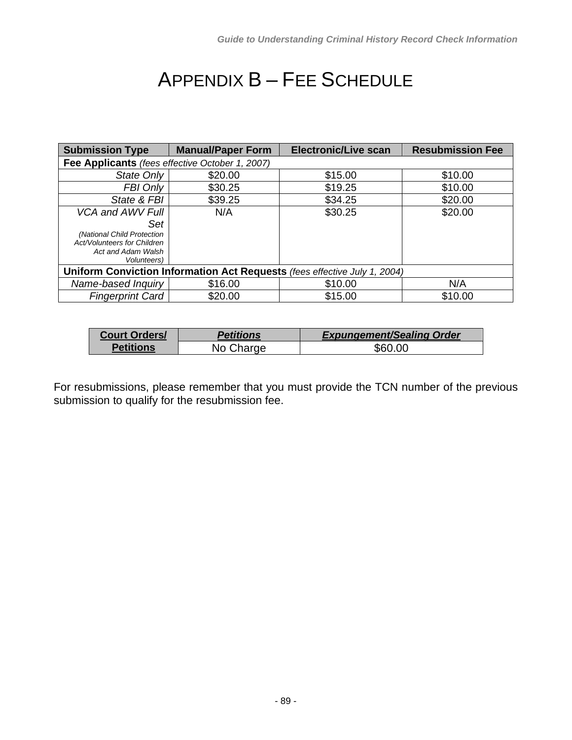# APPENDIX B – FEE SCHEDULE

| <b>Submission Type</b>                                                                                                           | <b>Manual/Paper Form</b> | <b>Electronic/Live scan</b> | <b>Resubmission Fee</b> |  |  |  |
|----------------------------------------------------------------------------------------------------------------------------------|--------------------------|-----------------------------|-------------------------|--|--|--|
| Fee Applicants (fees effective October 1, 2007)                                                                                  |                          |                             |                         |  |  |  |
| State Only                                                                                                                       | \$20.00                  | \$15.00                     | \$10.00                 |  |  |  |
| FBI Only                                                                                                                         | \$30.25                  | \$19.25                     | \$10.00                 |  |  |  |
| State & FBI                                                                                                                      | \$39.25                  | \$34.25                     | \$20.00                 |  |  |  |
| VCA and AWV Full<br>Set<br>(National Child Protection<br><b>Act/Volunteers for Children</b><br>Act and Adam Walsh<br>Volunteers) | N/A                      | \$30.25                     | \$20.00                 |  |  |  |
| Uniform Conviction Information Act Requests (fees effective July 1, 2004)                                                        |                          |                             |                         |  |  |  |
| Name-based Inquiry                                                                                                               | \$16.00                  | \$10.00                     | N/A                     |  |  |  |
| <b>Fingerprint Card</b>                                                                                                          | \$20.00                  | \$15.00                     | \$10.00                 |  |  |  |

| <b>Court Orders/</b> | Petitions | <b>Expungement/Sealing Order</b> |
|----------------------|-----------|----------------------------------|
| <b>Petitions</b>     | No Charge | \$60,00                          |

For resubmissions, please remember that you must provide the TCN number of the previous submission to qualify for the resubmission fee.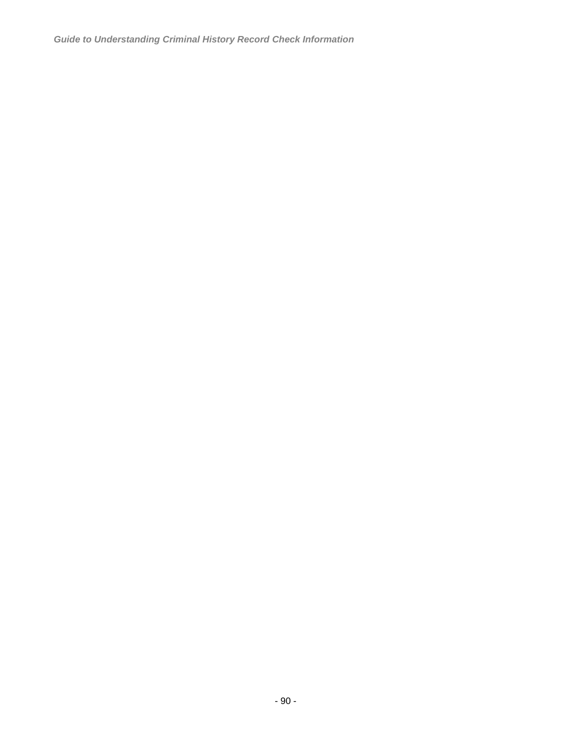*Guide to Understanding Criminal History Record Check Information*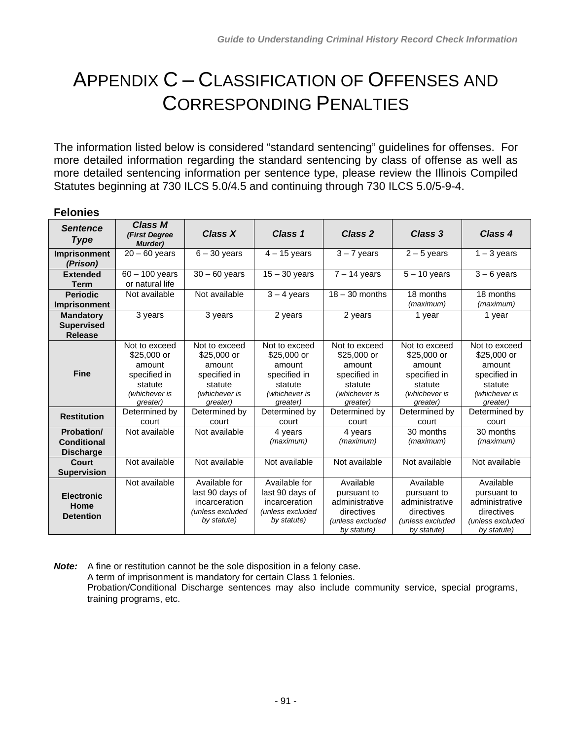## APPENDIX C – CLASSIFICATION OF OFFENSES AND CORRESPONDING PENALTIES

The information listed below is considered "standard sentencing" guidelines for offenses. For more detailed information regarding the standard sentencing by class of offense as well as more detailed sentencing information per sentence type, please review the Illinois Compiled Statutes beginning at 730 ILCS 5.0/4.5 and continuing through 730 ILCS 5.0/5-9-4.

**Felonies**

| <b>Felonies</b>                                         |                                                                                                                          |                                                                                                                          |                                                                                                                          |                                                                                                                          |                                                                                                                          |                                                                                                                          |
|---------------------------------------------------------|--------------------------------------------------------------------------------------------------------------------------|--------------------------------------------------------------------------------------------------------------------------|--------------------------------------------------------------------------------------------------------------------------|--------------------------------------------------------------------------------------------------------------------------|--------------------------------------------------------------------------------------------------------------------------|--------------------------------------------------------------------------------------------------------------------------|
| <b>Sentence</b><br><b>Type</b>                          | <b>Class M</b><br>(First Degree<br><b>Murder</b> )                                                                       | <b>Class X</b>                                                                                                           | Class 1                                                                                                                  | Class <sub>2</sub>                                                                                                       | Class 3                                                                                                                  | Class 4                                                                                                                  |
| <b>Imprisonment</b><br>(Prison)                         | $20 - 60$ years                                                                                                          | $6 - 30$ years                                                                                                           | $3 - 7$ years<br>$4 - 15$ years                                                                                          |                                                                                                                          | $2 - 5$ years                                                                                                            | $1 - 3$ years                                                                                                            |
| <b>Extended</b><br><b>Term</b>                          | $60 - 100$ years<br>or natural life                                                                                      | $30 - 60$ years                                                                                                          | $\overline{15} - 30$ years                                                                                               | $7 - 14$ years                                                                                                           | $5 - 10$ years                                                                                                           | $3 - 6$ years                                                                                                            |
| <b>Periodic</b><br><b>Imprisonment</b>                  | Not available                                                                                                            | Not available<br>$3 - 4$ years                                                                                           |                                                                                                                          | $18 - 30$ months                                                                                                         | 18 months<br>(maximum)                                                                                                   | 18 months<br>(maximum)                                                                                                   |
| <b>Mandatory</b><br><b>Supervised</b><br><b>Release</b> | 3 years                                                                                                                  | 3 years                                                                                                                  | 2 years                                                                                                                  | 2 years                                                                                                                  | 1 year                                                                                                                   | 1 year                                                                                                                   |
| <b>Fine</b><br><b>Restitution</b>                       | Not to exceed<br>\$25,000 or<br>amount<br>specified in<br>statute<br>(whichever is<br>greater)<br>Determined by<br>court | Not to exceed<br>\$25,000 or<br>amount<br>specified in<br>statute<br>(whichever is<br>greater)<br>Determined by<br>court | Not to exceed<br>\$25,000 or<br>amount<br>specified in<br>statute<br>(whichever is<br>greater)<br>Determined by<br>court | Not to exceed<br>\$25,000 or<br>amount<br>specified in<br>statute<br>(whichever is<br>greater)<br>Determined by<br>court | Not to exceed<br>\$25,000 or<br>amount<br>specified in<br>statute<br>(whichever is<br>greater)<br>Determined by<br>court | Not to exceed<br>\$25,000 or<br>amount<br>specified in<br>statute<br>(whichever is<br>greater)<br>Determined by<br>court |
| Probation/<br><b>Conditional</b><br><b>Discharge</b>    | Not available                                                                                                            | Not available                                                                                                            | 4 years<br>(maximum)                                                                                                     | 4 years<br>(maximum)                                                                                                     | 30 months<br>(maximum)                                                                                                   | 30 months<br>(maximum)                                                                                                   |
| Court<br><b>Supervision</b>                             | Not available                                                                                                            | Not available                                                                                                            | Not available                                                                                                            | Not available                                                                                                            | Not available                                                                                                            | Not available                                                                                                            |
| <b>Electronic</b><br>Home<br><b>Detention</b>           | Not available                                                                                                            | Available for<br>last 90 days of<br>incarceration<br>(unless excluded<br>by statute)                                     | Available for<br>last 90 days of<br>incarceration<br>(unless excluded<br>by statute)                                     | Available<br>pursuant to<br>administrative<br>directives<br>(unless excluded<br>by statute)                              | Available<br>pursuant to<br>administrative<br>directives<br>(unless excluded<br>by statute)                              | Available<br>pursuant to<br>administrative<br>directives<br>(unless excluded<br>by statute)                              |

*Note:* A fine or restitution cannot be the sole disposition in a felony case. A term of imprisonment is mandatory for certain Class 1 felonies. Probation/Conditional Discharge sentences may also include community service, special programs, training programs, etc.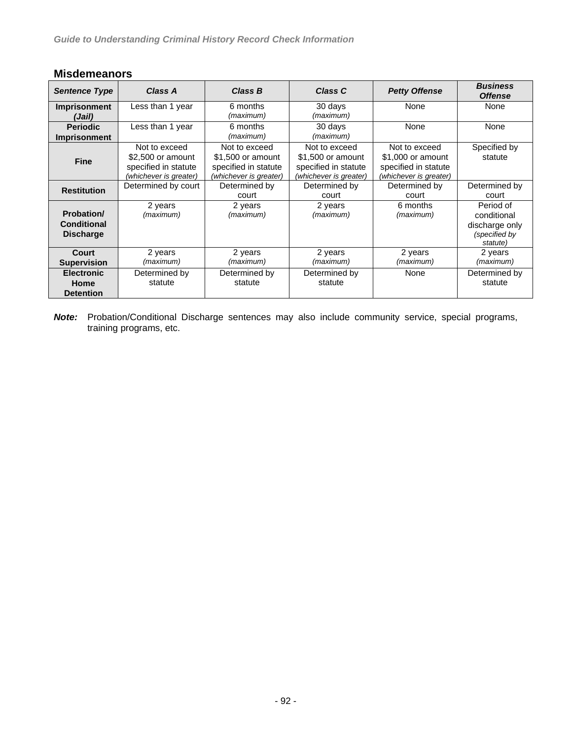| <b>Sentence Type</b>                                        | Class A                                                                              | Class B                                                                              | Class C                                                                              | <b>Petty Offense</b>                                                                 | <b>Business</b><br><b>Offense</b>                                       |
|-------------------------------------------------------------|--------------------------------------------------------------------------------------|--------------------------------------------------------------------------------------|--------------------------------------------------------------------------------------|--------------------------------------------------------------------------------------|-------------------------------------------------------------------------|
| Imprisonment<br>(Jail)                                      | Less than 1 year                                                                     | 6 months<br>(maximum)                                                                | 30 days<br>(maximum)                                                                 | None                                                                                 | None                                                                    |
| <b>Periodic</b><br><b>Imprisonment</b>                      | Less than 1 year                                                                     | 6 months<br>(maximum)                                                                | 30 days<br>(maximum)                                                                 | None                                                                                 | None                                                                    |
| <b>Fine</b>                                                 | Not to exceed<br>\$2,500 or amount<br>specified in statute<br>(whichever is greater) | Not to exceed<br>\$1,500 or amount<br>specified in statute<br>(whichever is greater) | Not to exceed<br>\$1,500 or amount<br>specified in statute<br>(whichever is greater) | Not to exceed<br>\$1,000 or amount<br>specified in statute<br>(whichever is greater) | Specified by<br>statute                                                 |
| <b>Restitution</b>                                          | Determined by court                                                                  | Determined by<br>court                                                               | Determined by<br>court                                                               | Determined by<br>court                                                               | Determined by<br>court                                                  |
| <b>Probation/</b><br><b>Conditional</b><br><b>Discharge</b> | 2 years<br>(maximum)                                                                 | 2 years<br>(maximum)                                                                 | 2 years<br>(maximum)                                                                 | 6 months<br>(maximum)                                                                | Period of<br>conditional<br>discharge only<br>(specified by<br>statute) |
| Court<br><b>Supervision</b>                                 | 2 years<br>(maximum)                                                                 | 2 years<br>(maximum)                                                                 | 2 years<br>(maximum)                                                                 | 2 years<br>(maximum)                                                                 | 2 years<br>(maximum)                                                    |
| <b>Electronic</b><br>Home<br><b>Detention</b>               | Determined by<br>statute                                                             | Determined by<br>statute                                                             | Determined by<br>statute                                                             | None                                                                                 | Determined by<br>statute                                                |

## **Misdemeanors**

*Note:* Probation/Conditional Discharge sentences may also include community service, special programs, training programs, etc.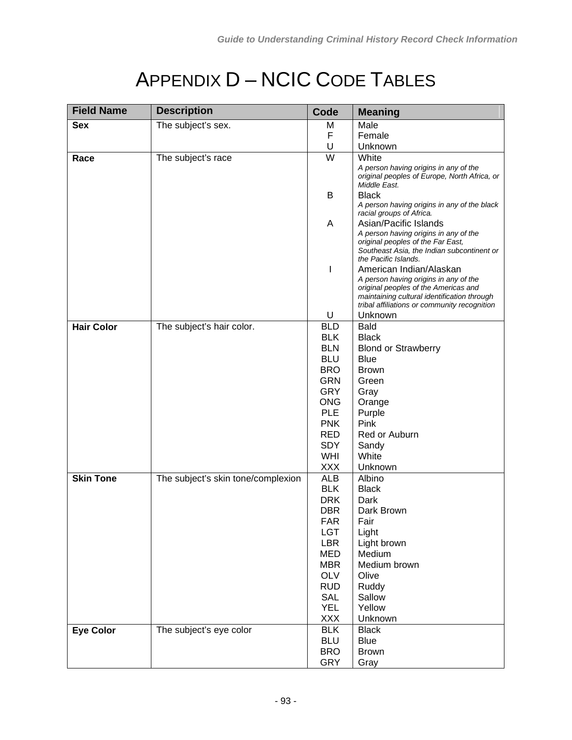# APPENDIX D – NCIC CODE TABLES

| <b>Field Name</b> | <b>Description</b>                 | Code                     | <b>Meaning</b>                                                                                                                                                               |
|-------------------|------------------------------------|--------------------------|------------------------------------------------------------------------------------------------------------------------------------------------------------------------------|
| <b>Sex</b>        | The subject's sex.                 | M                        | Male                                                                                                                                                                         |
|                   |                                    | F                        | Female                                                                                                                                                                       |
|                   |                                    | U                        | Unknown                                                                                                                                                                      |
| Race              | The subject's race                 | $\overline{W}$           | White                                                                                                                                                                        |
|                   |                                    |                          | A person having origins in any of the<br>original peoples of Europe, North Africa, or<br>Middle East.                                                                        |
|                   |                                    | B                        | <b>Black</b><br>A person having origins in any of the black                                                                                                                  |
|                   |                                    |                          | racial groups of Africa.                                                                                                                                                     |
|                   |                                    | A                        | Asian/Pacific Islands                                                                                                                                                        |
|                   |                                    |                          | A person having origins in any of the<br>original peoples of the Far East,<br>Southeast Asia, the Indian subcontinent or                                                     |
|                   |                                    |                          | the Pacific Islands.                                                                                                                                                         |
|                   |                                    | I                        | American Indian/Alaskan                                                                                                                                                      |
|                   |                                    |                          | A person having origins in any of the<br>original peoples of the Americas and<br>maintaining cultural identification through<br>tribal affiliations or community recognition |
|                   |                                    | U                        | Unknown                                                                                                                                                                      |
| <b>Hair Color</b> | The subject's hair color.          | <b>BLD</b>               | <b>Bald</b>                                                                                                                                                                  |
|                   |                                    | <b>BLK</b>               | <b>Black</b>                                                                                                                                                                 |
|                   |                                    | <b>BLN</b>               | <b>Blond or Strawberry</b>                                                                                                                                                   |
|                   |                                    | <b>BLU</b>               | <b>Blue</b>                                                                                                                                                                  |
|                   |                                    | <b>BRO</b>               | <b>Brown</b>                                                                                                                                                                 |
|                   |                                    | <b>GRN</b>               | Green                                                                                                                                                                        |
|                   |                                    | <b>GRY</b>               | Gray                                                                                                                                                                         |
|                   |                                    | <b>ONG</b>               | Orange                                                                                                                                                                       |
|                   |                                    | PLE                      | Purple                                                                                                                                                                       |
|                   |                                    | <b>PNK</b>               | Pink                                                                                                                                                                         |
|                   |                                    | <b>RED</b>               | Red or Auburn                                                                                                                                                                |
|                   |                                    | <b>SDY</b>               | Sandy                                                                                                                                                                        |
|                   |                                    | WHI                      | White                                                                                                                                                                        |
|                   |                                    | <b>XXX</b>               | Unknown                                                                                                                                                                      |
| <b>Skin Tone</b>  | The subject's skin tone/complexion | <b>ALB</b>               | Albino                                                                                                                                                                       |
|                   |                                    | <b>BLK</b>               | <b>Black</b>                                                                                                                                                                 |
|                   |                                    | <b>DRK</b>               | Dark                                                                                                                                                                         |
|                   |                                    | <b>DBR</b>               | Dark Brown                                                                                                                                                                   |
|                   |                                    | <b>FAR</b>               | Fair                                                                                                                                                                         |
|                   |                                    | <b>LGT</b>               | Light                                                                                                                                                                        |
|                   |                                    | <b>LBR</b>               | Light brown                                                                                                                                                                  |
|                   |                                    | <b>MED</b>               | Medium                                                                                                                                                                       |
|                   |                                    | <b>MBR</b>               | Medium brown                                                                                                                                                                 |
|                   |                                    | <b>OLV</b>               | Olive                                                                                                                                                                        |
|                   |                                    | <b>RUD</b>               | Ruddy                                                                                                                                                                        |
|                   |                                    | <b>SAL</b>               | Sallow<br>Yellow                                                                                                                                                             |
|                   |                                    | <b>YEL</b>               |                                                                                                                                                                              |
|                   |                                    | XXX                      | Unknown                                                                                                                                                                      |
| Eye Color         | The subject's eye color            | <b>BLK</b><br><b>BLU</b> | <b>Black</b><br><b>Blue</b>                                                                                                                                                  |
|                   |                                    | <b>BRO</b>               | <b>Brown</b>                                                                                                                                                                 |
|                   |                                    | <b>GRY</b>               | Gray                                                                                                                                                                         |
|                   |                                    |                          |                                                                                                                                                                              |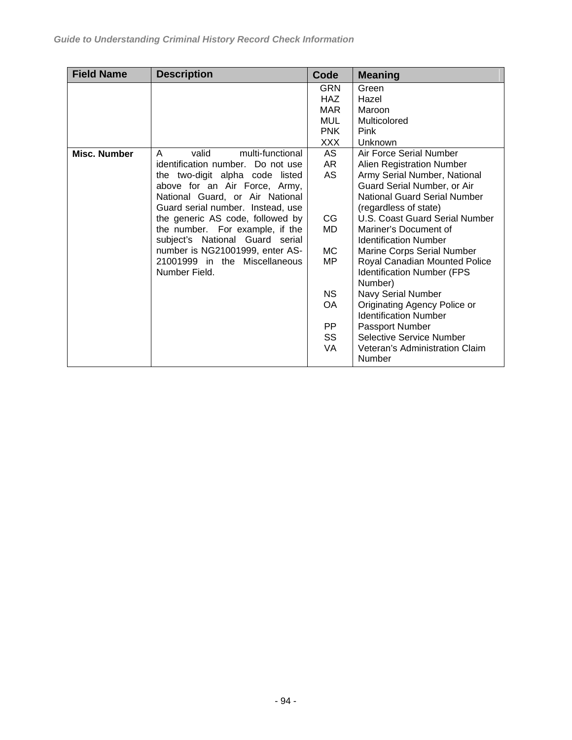| <b>Field Name</b> | <b>Description</b>                   | Code       | <b>Meaning</b>                    |
|-------------------|--------------------------------------|------------|-----------------------------------|
|                   |                                      | <b>GRN</b> | Green                             |
|                   |                                      | <b>HAZ</b> | Hazel                             |
|                   |                                      | <b>MAR</b> | Maroon                            |
|                   |                                      | <b>MUL</b> | Multicolored                      |
|                   |                                      | <b>PNK</b> | <b>Pink</b>                       |
|                   |                                      | <b>XXX</b> | Unknown                           |
| Misc. Number      | valid<br>multi-functional<br>A       | AS         | Air Force Serial Number           |
|                   | identification number.<br>Do not use | AR.        | <b>Alien Registration Number</b>  |
|                   | the two-digit alpha code listed      | AS         | Army Serial Number, National      |
|                   | above for an Air Force, Army,        |            | Guard Serial Number, or Air       |
|                   | National Guard, or Air National      |            | National Guard Serial Number      |
|                   | Guard serial number. Instead, use    |            | (regardless of state)             |
|                   | the generic AS code, followed by     | CG         | U.S. Coast Guard Serial Number    |
|                   | the number. For example, if the      | MD         | Mariner's Document of             |
|                   | subject's National Guard serial      |            | <b>Identification Number</b>      |
|                   | number is NG21001999, enter AS-      | <b>MC</b>  | Marine Corps Serial Number        |
|                   | 21001999 in the Miscellaneous        | <b>MP</b>  | Royal Canadian Mounted Police     |
|                   | Number Field.                        |            | <b>Identification Number (FPS</b> |
|                   |                                      |            | Number)                           |
|                   |                                      | <b>NS</b>  | Navy Serial Number                |
|                   |                                      | OA.        | Originating Agency Police or      |
|                   |                                      |            | <b>Identification Number</b>      |
|                   |                                      | PP.        | Passport Number                   |
|                   |                                      | SS         | <b>Selective Service Number</b>   |
|                   |                                      | <b>VA</b>  | Veteran's Administration Claim    |
|                   |                                      |            | Number                            |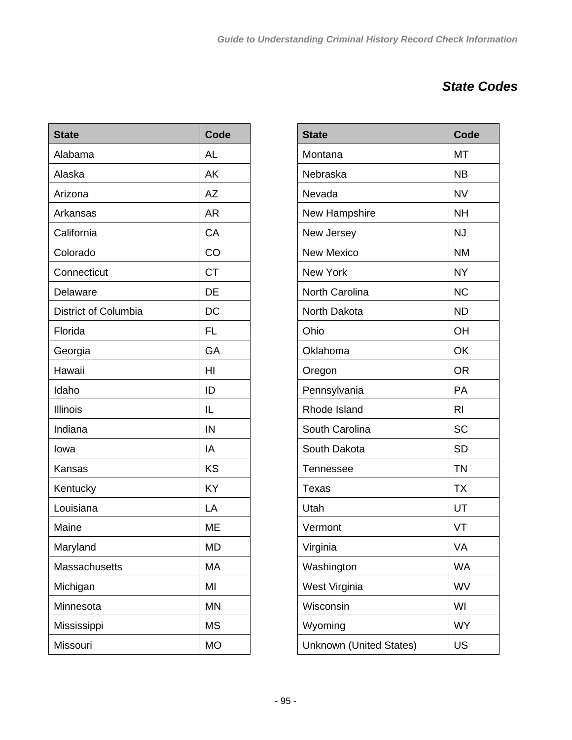## *State Codes*

| <b>State</b>                | Code      |
|-----------------------------|-----------|
| Alabama                     | AL        |
| Alaska                      | AK        |
| Arizona                     | AZ        |
| Arkansas                    | <b>AR</b> |
| California                  | CA        |
| Colorado                    | CO        |
| Connecticut                 | <b>CT</b> |
| Delaware                    | DE        |
| <b>District of Columbia</b> | DC        |
| Florida                     | FL        |
| Georgia                     | GA        |
| Hawaii                      | HI        |
| Idaho                       | ID        |
| Illinois                    | IL        |
| Indiana                     | IN        |
| Iowa                        | IA        |
| Kansas                      | KS        |
| Kentucky                    | KY        |
| Louisiana                   | LA        |
| Maine                       | ME        |
| Maryland                    | <b>MD</b> |
| Massachusetts               | MA        |
| Michigan                    | MI        |
| Minnesota                   | <b>MN</b> |
| Mississippi                 | <b>MS</b> |
| Missouri                    | <b>MO</b> |

| <b>State</b>                   | Code      |
|--------------------------------|-----------|
| Montana                        | МT        |
| Nebraska                       | <b>NB</b> |
| Nevada                         | <b>NV</b> |
| <b>New Hampshire</b>           | <b>NH</b> |
| New Jersey                     | <b>NJ</b> |
| <b>New Mexico</b>              | <b>NM</b> |
| <b>New York</b>                | <b>NY</b> |
| <b>North Carolina</b>          | <b>NC</b> |
| North Dakota                   | <b>ND</b> |
| Ohio                           | OH        |
| Oklahoma                       | ΟK        |
| Oregon                         | <b>OR</b> |
| Pennsylvania                   | PA        |
| Rhode Island                   | <b>RI</b> |
| South Carolina                 | SC        |
| South Dakota                   | <b>SD</b> |
| Tennessee                      | <b>TN</b> |
| Texas                          | <b>TX</b> |
| Utah                           | UT        |
| Vermont                        | VT        |
| Virginia                       | <b>VA</b> |
| Washington                     | <b>WA</b> |
| West Virginia                  | <b>WV</b> |
| Wisconsin                      | WI        |
| Wyoming                        | <b>WY</b> |
| <b>Unknown (United States)</b> | US        |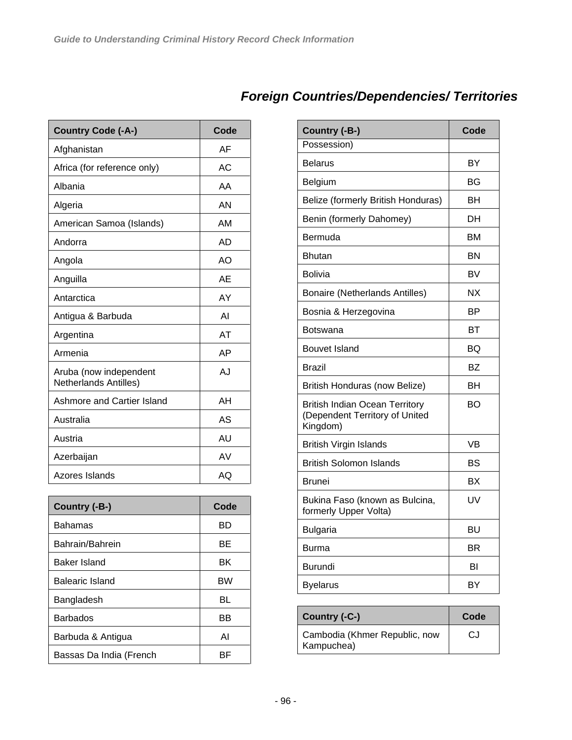| <b>Country Code (-A-)</b>                              | Code |
|--------------------------------------------------------|------|
| Afghanistan                                            | AF   |
| Africa (for reference only)                            | AC.  |
| Albania                                                | AA   |
| Algeria                                                | AN   |
| American Samoa (Islands)                               | AM   |
| Andorra                                                | AD   |
| Angola                                                 | AO   |
| Anguilla                                               | AE   |
| Antarctica                                             | AY   |
| Antigua & Barbuda                                      | ΑI   |
| Argentina                                              | AT   |
| Armenia                                                | AP   |
| Aruba (now independent<br><b>Netherlands Antilles)</b> | AJ   |
| Ashmore and Cartier Island                             | AH   |
| Australia                                              | AS   |
| Austria                                                | AU   |
| Azerbaijan                                             | AV   |
| Azores Islands                                         | AQ   |

| Country (-B-)           | Code |
|-------------------------|------|
| <b>Bahamas</b>          | BD   |
| Bahrain/Bahrein         | ВE   |
| Baker Island            | ВK   |
| Balearic Island         | вw   |
| Bangladesh              | BL   |
| <b>Barbados</b>         | ВB   |
| Barbuda & Antigua       | ΑI   |
| Bassas Da India (French | ĸь   |

## *Foreign Countries/Dependencies/ Territories*

| Country (-B-)                                                                       | Code      |
|-------------------------------------------------------------------------------------|-----------|
| Possession)                                                                         |           |
| Belarus                                                                             | BY        |
| Belgium                                                                             | BG        |
| Belize (formerly British Honduras)                                                  | BН        |
| Benin (formerly Dahomey)                                                            | DН        |
| Bermuda                                                                             | BM        |
| Bhutan                                                                              | BN        |
| <b>Bolivia</b>                                                                      | BV        |
| <b>Bonaire (Netherlands Antilles)</b>                                               | NX        |
| Bosnia & Herzegovina                                                                | <b>BP</b> |
| Botswana                                                                            | BТ        |
| Bouvet Island                                                                       | BQ        |
| <b>Brazil</b>                                                                       | BZ        |
| British Honduras (now Belize)                                                       | ВH        |
| <b>British Indian Ocean Territory</b><br>(Dependent Territory of United<br>Kingdom) | BO        |
| <b>British Virgin Islands</b>                                                       | VB        |
| <b>British Solomon Islands</b>                                                      | BS        |
| Brunei                                                                              | BX        |
| Bukina Faso (known as Bulcina,<br>formerly Upper Volta)                             | UV        |
| <b>Bulgaria</b>                                                                     | BU        |
| <b>Burma</b>                                                                        | <b>BR</b> |
| Burundi                                                                             | BI        |
| <b>Byelarus</b>                                                                     | BY        |
|                                                                                     |           |
| Country (-C-)                                                                       | Code      |
| Cambodia (Khmer Republic, now                                                       | CJ        |

Kampuchea)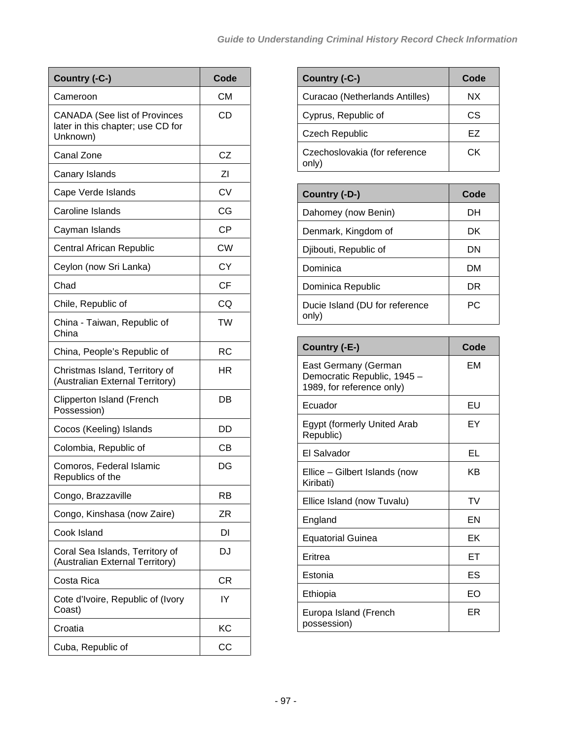| Country (-C-)                                                                         | Code      |
|---------------------------------------------------------------------------------------|-----------|
| Cameroon                                                                              | СM        |
| <b>CANADA (See list of Provinces</b><br>later in this chapter; use CD for<br>Unknown) | <b>CD</b> |
| Canal Zone                                                                            | CZ        |
| Canary Islands                                                                        | ΖI        |
| Cape Verde Islands                                                                    | <b>CV</b> |
| Caroline Islands                                                                      | CG        |
| Cayman Islands                                                                        | СP        |
| Central African Republic                                                              | <b>CW</b> |
| Ceylon (now Sri Lanka)                                                                | <b>CY</b> |
| Chad                                                                                  | CF        |
| Chile, Republic of                                                                    | CQ        |
| China - Taiwan, Republic of<br>China                                                  | <b>TW</b> |
| China, People's Republic of                                                           | <b>RC</b> |
| Christmas Island, Territory of<br>(Australian External Territory)                     | НR        |
| Clipperton Island (French<br>Possession)                                              | DB        |
| Cocos (Keeling) Islands                                                               | DD        |
| Colombia, Republic of                                                                 | CВ        |
| Comoros, Federal Islamic<br>Republics of the                                          | DG        |
| Congo, Brazzaville                                                                    | RB        |
| Congo, Kinshasa (now Zaire)                                                           | ΖR        |
| Cook Island                                                                           | DI        |
| Coral Sea Islands, Territory of<br>(Australian External Territory)                    | DJ        |
| Costa Rica                                                                            | <b>CR</b> |
| Cote d'Ivoire, Republic of (Ivory<br>Coast)                                           | IY        |
| Croatia                                                                               | KC        |
| Cuba, Republic of                                                                     | CC        |

| Country (-C-)                          | Code |
|----------------------------------------|------|
| Curacao (Netherlands Antilles)         | NX.  |
| Cyprus, Republic of                    | CS   |
| <b>Czech Republic</b>                  | FZ.  |
| Czechoslovakia (for reference<br>only) | CК   |

| Country (-D-)                           | Code |
|-----------------------------------------|------|
| Dahomey (now Benin)                     | DН   |
| Denmark, Kingdom of                     | DK   |
| Djibouti, Republic of                   | DN   |
| Dominica                                | DМ   |
| Dominica Republic                       | DR   |
| Ducie Island (DU for reference<br>only) | PC.  |

| Country (-E-)                                                                    | Code |
|----------------------------------------------------------------------------------|------|
| East Germany (German<br>Democratic Republic, 1945 -<br>1989, for reference only) | EM   |
| Ecuador                                                                          | EU   |
| <b>Egypt (formerly United Arab</b><br>Republic)                                  | EY   |
| El Salvador                                                                      | EL   |
| Ellice - Gilbert Islands (now<br>Kiribati)                                       | ΚB   |
| Ellice Island (now Tuvalu)                                                       | TV   |
| England                                                                          | ΕN   |
| <b>Equatorial Guinea</b>                                                         | ΕK   |
| Eritrea                                                                          | EТ   |
| Estonia                                                                          | ES   |
| Ethiopia                                                                         | EΟ   |
| Europa Island (French<br>possession)                                             | ER   |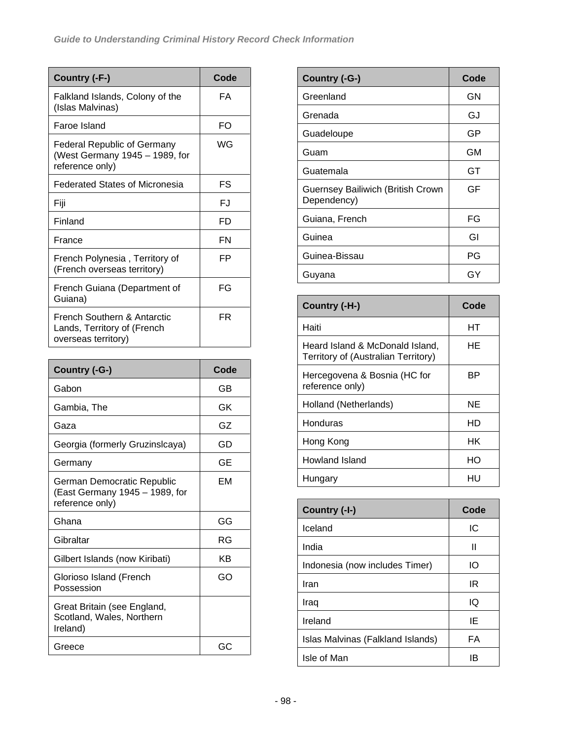| Country (-F-)                                                                                | Code |
|----------------------------------------------------------------------------------------------|------|
| Falkland Islands, Colony of the<br>(Islas Malvinas)                                          | FA   |
| Faroe Island                                                                                 | FO   |
| <b>Federal Republic of Germany</b><br>(West Germany 1945 - 1989, for<br>reference only)      | WG   |
| <b>Federated States of Micronesia</b>                                                        | FS   |
| Fiji                                                                                         | FJ   |
| Finland                                                                                      | FD   |
| France                                                                                       | FN   |
| French Polynesia, Territory of<br>(French overseas territory)                                | FP   |
| French Guiana (Department of<br>Guiana)                                                      | FG   |
| <b>French Southern &amp; Antarctic</b><br>Lands, Territory of (French<br>overseas territory) | FR   |

| Country (-G-)                                                                   | Code |
|---------------------------------------------------------------------------------|------|
| Gabon                                                                           | GВ   |
| Gambia, The                                                                     | GK   |
| Gaza                                                                            | GZ   |
| Georgia (formerly Gruzinslcaya)                                                 | GD   |
| Germany                                                                         | GE   |
| German Democratic Republic<br>(East Germany 1945 - 1989, for<br>reference only) | EМ   |
| Ghana                                                                           | GG   |
| Gibraltar                                                                       | RG   |
| Gilbert Islands (now Kiribati)                                                  | ΚB   |
| Glorioso Island (French<br>Possession                                           | GO   |
| Great Britain (see England,<br>Scotland, Wales, Northern<br>Ireland)            |      |
| Greece                                                                          | GC   |

| Country (-G-)                                    | Code |
|--------------------------------------------------|------|
| Greenland                                        | GN   |
| Grenada                                          | GJ   |
| Guadeloupe                                       | GP   |
| Guam                                             | GМ   |
| Guatemala                                        | GT   |
| Guernsey Bailiwich (British Crown<br>Dependency) | GF   |
| Guiana, French                                   | FG   |
| Guinea                                           | GI   |
| Guinea-Bissau                                    | PG   |
| Guyana                                           | GY   |

| Country (-H-)                                                          | Code |
|------------------------------------------------------------------------|------|
| Haiti                                                                  | нт   |
| Heard Island & McDonald Island,<br>Territory of (Australian Territory) | HE   |
| Hercegovena & Bosnia (HC for<br>reference only)                        | ВP   |
| Holland (Netherlands)                                                  | ΝE   |
| Honduras                                                               | HD   |
| Hong Kong                                                              | HК   |
| Howland Island                                                         | HО   |
| Hungary                                                                | HU.  |

| Country (-I-)                     | Code |
|-----------------------------------|------|
| Iceland                           | IC   |
| India                             | Ш    |
| Indonesia (now includes Timer)    | ΙO   |
| Iran                              | IR   |
| Iraq                              | IQ   |
| Ireland                           | ΙE   |
| Islas Malvinas (Falkland Islands) | FA   |
| Isle of Man                       | ΙB   |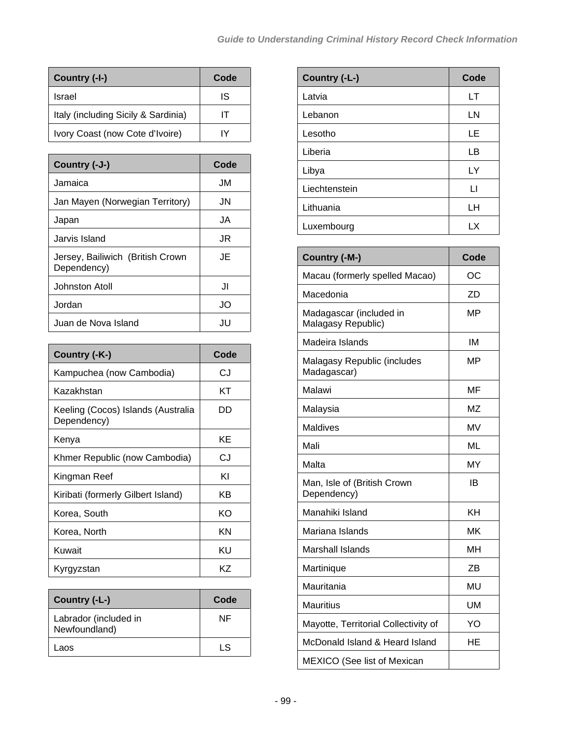| Country (-I-)                       | Code |
|-------------------------------------|------|
| <b>Israel</b>                       | IS   |
| Italy (including Sicily & Sardinia) |      |
| Ivory Coast (now Cote d'Ivoire)     |      |

| Country (-J-)                                   | Code |
|-------------------------------------------------|------|
| Jamaica                                         | JM.  |
| Jan Mayen (Norwegian Territory)                 | JN   |
| Japan                                           | JA   |
| Jarvis Island                                   | JR.  |
| Jersey, Bailiwich (British Crown<br>Dependency) | JE   |
| Johnston Atoll                                  | JI   |
| Jordan                                          | .IO  |
| Juan de Nova Island                             | JU   |

| Country (-K-)                                     | Code |
|---------------------------------------------------|------|
| Kampuchea (now Cambodia)                          | CJ.  |
| Kazakhstan                                        | KТ   |
| Keeling (Cocos) Islands (Australia<br>Dependency) | DD   |
| Kenya                                             | ΚE   |
| Khmer Republic (now Cambodia)                     | CJ.  |
| Kingman Reef                                      | KI   |
| Kiribati (formerly Gilbert Island)                | ΚB   |
| Korea, South                                      | KΟ   |
| Korea, North                                      | ΚN   |
| Kuwait                                            | ΚU   |
| Kyrgyzstan                                        | K7   |

| Country (-L-)                          | Code |
|----------------------------------------|------|
| Labrador (included in<br>Newfoundland) | NF   |
| Laos                                   | I S  |

| Country (-L-) | Code |
|---------------|------|
| Latvia        | LT   |
| Lebanon       | LN   |
| Lesotho       | LE   |
| Liberia       | LВ   |
| Libya         | LY   |
| Liechtenstein | П    |
| Lithuania     | LН   |
| Luxembourg    | LX   |

| Country (-M-)                                 | Code      |
|-----------------------------------------------|-----------|
| Macau (formerly spelled Macao)                | OC        |
| Macedonia                                     | ZD        |
| Madagascar (included in<br>Malagasy Republic) | МP        |
| Madeira Islands                               | IМ        |
| Malagasy Republic (includes<br>Madagascar)    | MP        |
| Malawi                                        | MF        |
| Malaysia                                      | ΜZ        |
| Maldives                                      | MV        |
| Mali                                          | <b>ML</b> |
| Malta                                         | MY        |
| Man, Isle of (British Crown<br>Dependency)    | IB        |
| Manahiki Island                               | KΗ        |
| Mariana Islands                               | МK        |
| Marshall Islands                              | MH        |
| Martinique                                    | ΖB        |
| Mauritania                                    | MU        |
| Mauritius                                     | <b>UM</b> |
| Mayotte, Territorial Collectivity of          | YO        |
| McDonald Island & Heard Island                | HЕ        |
| MEXICO (See list of Mexican                   |           |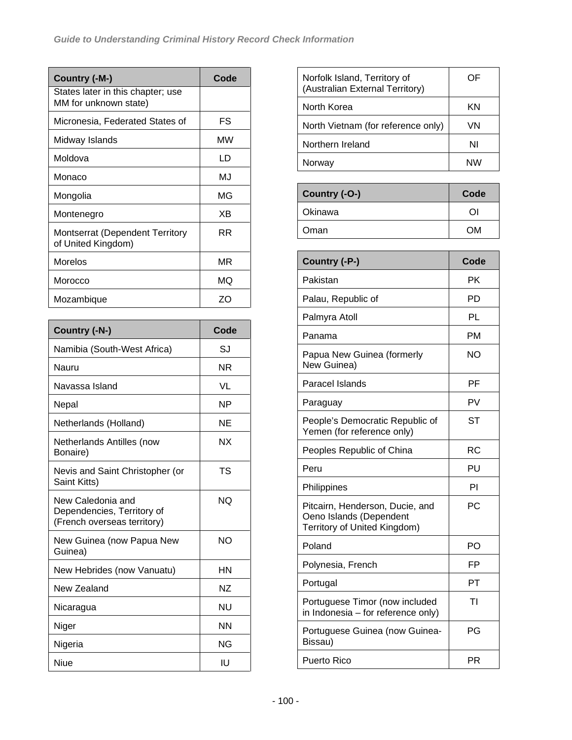| Country (-M-)                                                | Code                     |
|--------------------------------------------------------------|--------------------------|
| States later in this chapter; use<br>MM for unknown state)   |                          |
| Micronesia, Federated States of                              | FS                       |
| Midway Islands                                               | МW                       |
| Moldova                                                      | I D                      |
| Monaco                                                       | MJ                       |
| Mongolia                                                     | ΜG                       |
| Montenegro                                                   | ХB                       |
| <b>Montserrat (Dependent Territory</b><br>of United Kingdom) | RR                       |
| Morelos                                                      | ΜR                       |
| Morocco                                                      | MQ                       |
| Mozambique                                                   | $\overline{\phantom{a}}$ |

| Country (-N-)                                                                  | Code      |
|--------------------------------------------------------------------------------|-----------|
| Namibia (South-West Africa)                                                    | SJ        |
| Nauru                                                                          | <b>NR</b> |
| Navassa Island                                                                 | VL        |
| Nepal                                                                          | ΝP        |
| Netherlands (Holland)                                                          | ΝF        |
| Netherlands Antilles (now<br>Bonaire)                                          | NΧ        |
| Nevis and Saint Christopher (or<br>Saint Kitts)                                | TS        |
| New Caledonia and<br>Dependencies, Territory of<br>(French overseas territory) | <b>NO</b> |
| New Guinea (now Papua New<br>Guinea)                                           | NΟ        |
| New Hebrides (now Vanuatu)                                                     | НN        |
| New Zealand                                                                    | NZ        |
| Nicaragua                                                                      | <b>NU</b> |
| Niger                                                                          | <b>NN</b> |
| Nigeria                                                                        | ΝG        |
| Niue                                                                           | IU        |

| Norfolk Island, Territory of<br>(Australian External Territory)                            | OF        |
|--------------------------------------------------------------------------------------------|-----------|
| North Korea                                                                                | ΚN        |
| North Vietnam (for reference only)                                                         | VN        |
| Northern Ireland                                                                           | NI        |
| Norway                                                                                     | NW        |
|                                                                                            |           |
| Country (-O-)                                                                              | Code      |
| Okinawa                                                                                    | Οl        |
| Oman                                                                                       | <b>OM</b> |
|                                                                                            |           |
| Country (-P-)                                                                              | Code      |
| Pakistan                                                                                   | PK        |
| Palau, Republic of                                                                         | PD        |
| Palmyra Atoll                                                                              | PL        |
| Panama                                                                                     | PM        |
| Papua New Guinea (formerly<br>New Guinea)                                                  | ΝO        |
| Paracel Islands                                                                            | PF        |
| Paraguay                                                                                   | PV        |
| People's Democratic Republic of<br>Yemen (for reference only)                              | SТ        |
| Peoples Republic of China                                                                  | RC        |
| Peru                                                                                       | PU        |
| Philippines                                                                                | ΡI        |
| Pitcairn, Henderson, Ducie, and<br>Oeno Islands (Dependent<br>Territory of United Kingdom) | РC        |
| Poland                                                                                     | PO        |
| Polynesia, French                                                                          | FP        |
| Portugal                                                                                   | РT        |
| Portuguese Timor (now included<br>in Indonesia - for reference only)                       | ΤI        |
| Portuguese Guinea (now Guinea-<br>Bissau)                                                  | PG        |
| <b>Puerto Rico</b>                                                                         | PR        |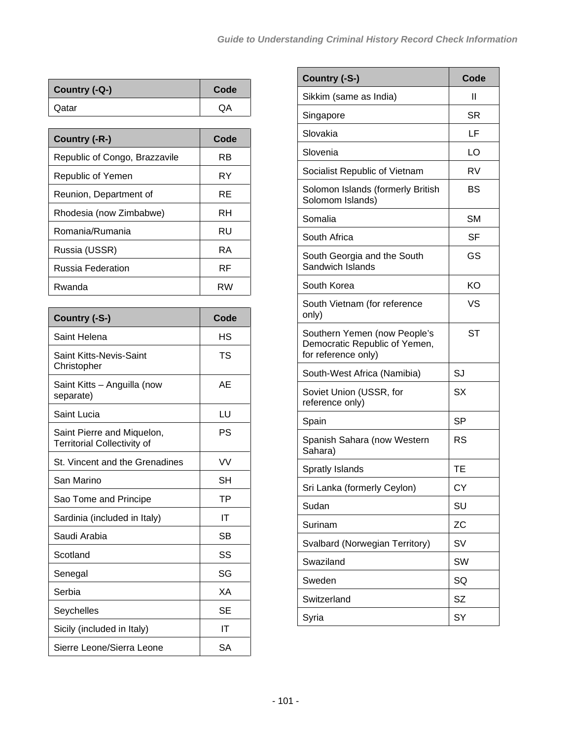| Country (-Q-) | Code |
|---------------|------|
| Qatar         | ЭA   |

| Country (-R-)                 | Code |
|-------------------------------|------|
| Republic of Congo, Brazzavile | RB   |
| Republic of Yemen             | RY   |
| Reunion, Department of        | RE   |
| Rhodesia (now Zimbabwe)       | RH   |
| Romania/Rumania               | RU   |
| Russia (USSR)                 | RA   |
| Russia Federation             | RF   |
| Rwanda                        | RW   |

| Country (-S-)                                                    | Code |
|------------------------------------------------------------------|------|
| Saint Helena                                                     | НS   |
| Saint Kitts-Nevis-Saint<br>Christopher                           | ΤS   |
| Saint Kitts - Anguilla (now<br>separate)                         | AE   |
| Saint Lucia                                                      | LU   |
| Saint Pierre and Miquelon,<br><b>Territorial Collectivity of</b> | PS   |
| St. Vincent and the Grenadines                                   | VV   |
| San Marino                                                       | SН   |
| Sao Tome and Principe                                            | ТP   |
| Sardinia (included in Italy)                                     | ΙT   |
| Saudi Arabia                                                     | SВ   |
| Scotland                                                         | SS   |
| Senegal                                                          | SG   |
| Serbia                                                           | XА   |
| Seychelles                                                       | SE   |
| Sicily (included in Italy)                                       | IΤ   |
| Sierre Leone/Sierra Leone                                        | SА   |

| Country (-S-)                                                                        | Code      |
|--------------------------------------------------------------------------------------|-----------|
| Sikkim (same as India)                                                               | Ш         |
| Singapore                                                                            | <b>SR</b> |
| Slovakia                                                                             | LF        |
| Slovenia                                                                             | LO        |
| Socialist Republic of Vietnam                                                        | RV        |
| Solomon Islands (formerly British<br>Solomom Islands)                                | BS        |
| Somalia                                                                              | SΜ        |
| South Africa                                                                         | <b>SF</b> |
| South Georgia and the South<br>Sandwich Islands                                      | GS        |
| South Korea                                                                          | ΚO        |
| South Vietnam (for reference<br>only)                                                | VS        |
| Southern Yemen (now People's<br>Democratic Republic of Yemen,<br>for reference only) | ST        |
| South-West Africa (Namibia)                                                          | SJ        |
| Soviet Union (USSR, for<br>reference only)                                           | <b>SX</b> |
| Spain                                                                                | <b>SP</b> |
| Spanish Sahara (now Western<br>Sahara)                                               | RS        |
| Spratly Islands                                                                      | TЕ        |
| Sri Lanka (formerly Ceylon)                                                          | CΥ        |
| Sudan                                                                                | SU        |
| Surinam                                                                              | ZC        |
| Svalbard (Norwegian Territory)                                                       | SV        |
| Swaziland                                                                            | SW        |
| Sweden                                                                               | SQ        |
| Switzerland                                                                          | <b>SZ</b> |
| Syria                                                                                | SY        |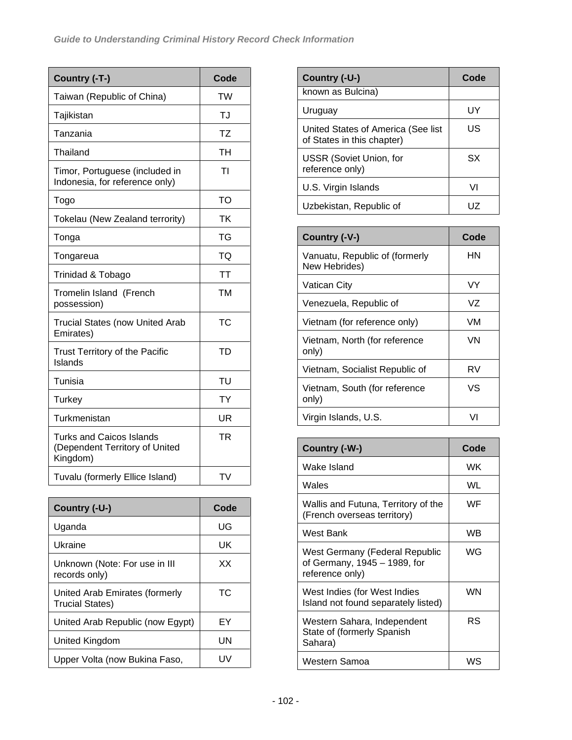| Country (-T-)                                                          | Code      |
|------------------------------------------------------------------------|-----------|
| Taiwan (Republic of China)                                             | <b>TW</b> |
| Tajikistan                                                             | TJ.       |
| Tanzania                                                               | TZ        |
| Thailand                                                               | TН        |
| Timor, Portuguese (included in<br>Indonesia, for reference only)       | ΤI        |
| Togo                                                                   | <b>TO</b> |
| Tokelau (New Zealand terrority)                                        | ТK        |
| Tonga                                                                  | TG        |
| Tongareua                                                              | TQ        |
| Trinidad & Tobago                                                      | TT        |
| Tromelin Island (French<br>possession)                                 | TM        |
| <b>Trucial States (now United Arab</b><br>Emirates)                    | тс        |
| <b>Trust Territory of the Pacific</b><br>Islands                       | <b>TD</b> |
| Tunisia                                                                | TU        |
| Turkey                                                                 | TY        |
| Turkmenistan                                                           | UR        |
| Turks and Caicos Islands<br>(Dependent Territory of United<br>Kingdom) | <b>TR</b> |
| Tuvalu (formerly Ellice Island)                                        | TV        |

| Country (-U-)                                     | Code |
|---------------------------------------------------|------|
| Uganda                                            | UG   |
| Ukraine                                           | UK   |
| Unknown (Note: For use in III<br>records only)    | xх   |
| United Arab Emirates (formerly<br>Trucial States) | ТC   |
| United Arab Republic (now Egypt)                  | FΥ   |
| United Kingdom                                    | UN   |
| Upper Volta (now Bukina Faso,                     | ١I٧  |

| Country (-U-)                                                    | Code      |
|------------------------------------------------------------------|-----------|
| known as Bulcina)                                                |           |
| Uruguay                                                          | UY        |
| United States of America (See list<br>of States in this chapter) | US        |
| <b>USSR (Soviet Union, for</b><br>reference only)                | <b>SX</b> |
| U.S. Virgin Islands                                              | VI        |
| Uzbekistan, Republic of                                          | UZ        |

| Country (-V-)                                   | Code |
|-------------------------------------------------|------|
| Vanuatu, Republic of (formerly<br>New Hebrides) | HN   |
| Vatican City                                    | VY   |
| Venezuela, Republic of                          | VZ   |
| Vietnam (for reference only)                    | VM   |
| Vietnam, North (for reference<br>only)          | VN   |
| Vietnam, Socialist Republic of                  | RV   |
| Vietnam, South (for reference<br>only)          | VS   |
| Virgin Islands, U.S.                            |      |

| Country (-W-)                                                                     | Code |
|-----------------------------------------------------------------------------------|------|
| Wake Island                                                                       | WK   |
| Wales                                                                             | WL   |
| Wallis and Futuna, Territory of the<br>(French overseas territory)                | WF   |
| West Bank                                                                         | WB   |
| West Germany (Federal Republic<br>of Germany, 1945 - 1989, for<br>reference only) | WG   |
| West Indies (for West Indies<br>Island not found separately listed)               | WN   |
| Western Sahara, Independent<br>State of (formerly Spanish<br>Sahara)              | RS   |
| Western Samoa                                                                     | WS   |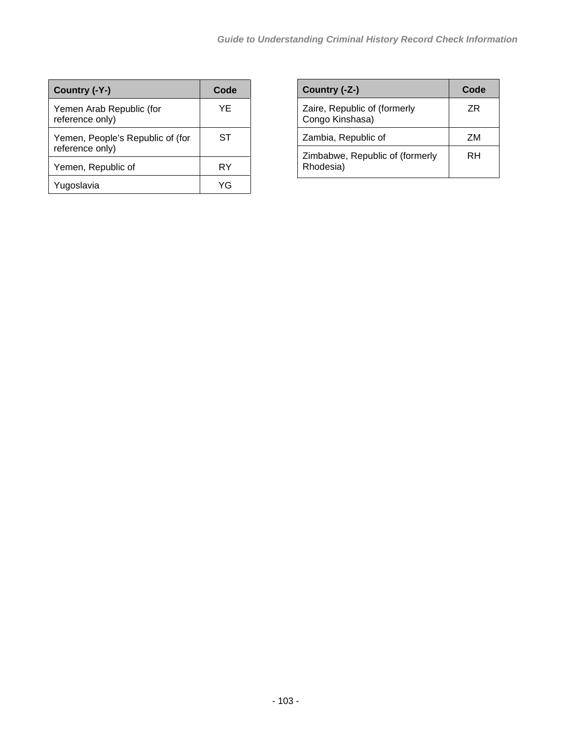| Country (-Y-)                                       | Code |
|-----------------------------------------------------|------|
| Yemen Arab Republic (for<br>reference only)         | YF   |
| Yemen, People's Republic of (for<br>reference only) | SТ   |
| Yemen, Republic of                                  | RY   |
| Yuqoslavia                                          |      |

| Country (-Z-)                                   | Code |
|-------------------------------------------------|------|
| Zaire, Republic of (formerly<br>Congo Kinshasa) | 7R   |
| Zambia, Republic of                             | 7M   |
| Zimbabwe, Republic of (formerly<br>Rhodesia)    | RH   |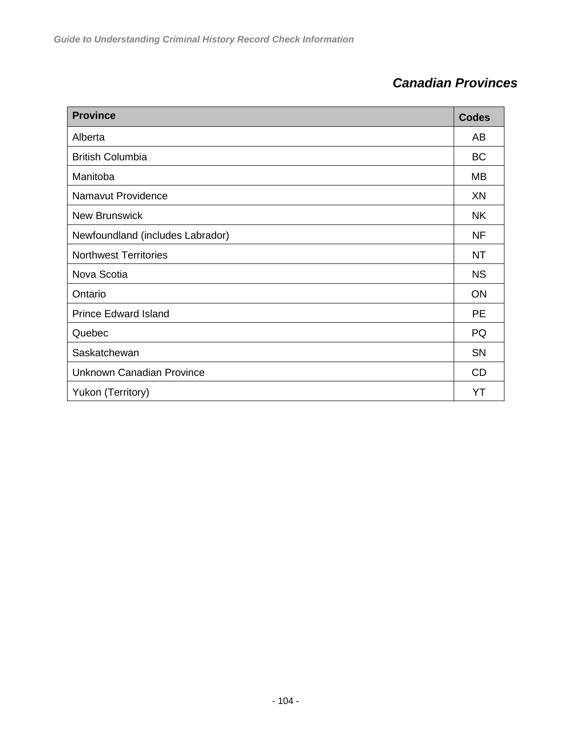## *Canadian Provinces*

| <b>Province</b>                  | <b>Codes</b> |
|----------------------------------|--------------|
| Alberta                          | AB           |
| <b>British Columbia</b>          | <b>BC</b>    |
| Manitoba                         | MВ           |
| Namavut Providence               | XN           |
| <b>New Brunswick</b>             | <b>NK</b>    |
| Newfoundland (includes Labrador) | <b>NF</b>    |
| <b>Northwest Territories</b>     | <b>NT</b>    |
| Nova Scotia                      | <b>NS</b>    |
| Ontario                          | ON           |
| <b>Prince Edward Island</b>      | <b>PE</b>    |
| Quebec                           | <b>PQ</b>    |
| Saskatchewan                     | SN           |
| <b>Unknown Canadian Province</b> | CD           |
| Yukon (Territory)                | YT           |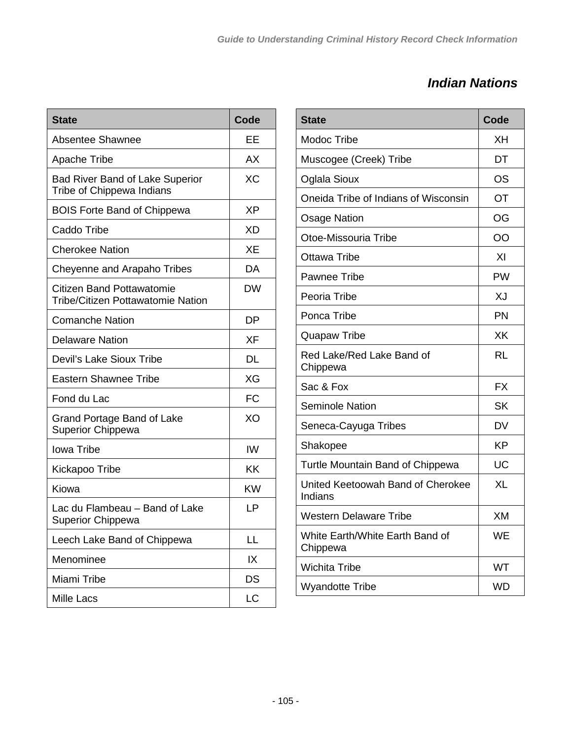## *Indian Nations*

| <b>State</b>                                                          | Code      |
|-----------------------------------------------------------------------|-----------|
| <b>Absentee Shawnee</b>                                               | EЕ        |
| <b>Apache Tribe</b>                                                   | <b>AX</b> |
| <b>Bad River Band of Lake Superior</b><br>Tribe of Chippewa Indians   | XC        |
| <b>BOIS Forte Band of Chippewa</b>                                    | <b>XP</b> |
| Caddo Tribe                                                           | XD        |
| <b>Cherokee Nation</b>                                                | XE        |
| Cheyenne and Arapaho Tribes                                           | DA        |
| <b>Citizen Band Pottawatomie</b><br>Tribe/Citizen Pottawatomie Nation | DW        |
| <b>Comanche Nation</b>                                                | DP        |
| <b>Delaware Nation</b>                                                | XF        |
| Devil's Lake Sioux Tribe                                              | DL        |
| <b>Eastern Shawnee Tribe</b>                                          | XG        |
| Fond du Lac                                                           | FC        |
| Grand Portage Band of Lake<br><b>Superior Chippewa</b>                | XO        |
| <b>Iowa Tribe</b>                                                     | IW        |
| Kickapoo Tribe                                                        | KK        |
| Kiowa                                                                 | <b>KW</b> |
| Lac du Flambeau - Band of Lake<br><b>Superior Chippewa</b>            | LР        |
| Leech Lake Band of Chippewa                                           | LL        |
| Menominee                                                             | IX        |
| Miami Tribe                                                           | DS        |
| Mille Lacs                                                            | LC        |

| <b>State</b>                                 | Code      |
|----------------------------------------------|-----------|
| Modoc Tribe                                  | <b>XH</b> |
| Muscogee (Creek) Tribe                       | DT        |
| Oglala Sioux                                 | OS        |
| Oneida Tribe of Indians of Wisconsin         | OT        |
| Osage Nation                                 | OG        |
| Otoe-Missouria Tribe                         | OO        |
| <b>Ottawa Tribe</b>                          | XI        |
| <b>Pawnee Tribe</b>                          | <b>PW</b> |
| Peoria Tribe                                 | XJ        |
| Ponca Tribe                                  | PN        |
| <b>Quapaw Tribe</b>                          | XK        |
| Red Lake/Red Lake Band of<br>Chippewa        | RL        |
| Sac & Fox                                    | <b>FX</b> |
| <b>Seminole Nation</b>                       | <b>SK</b> |
| Seneca-Cayuga Tribes                         | <b>DV</b> |
| Shakopee                                     | ΚP        |
| Turtle Mountain Band of Chippewa             | UC        |
| United Keetoowah Band of Cherokee<br>Indians | <b>XL</b> |
| <b>Western Delaware Tribe</b>                | <b>XM</b> |
| White Earth/White Earth Band of<br>Chippewa  | <b>WE</b> |
| <b>Wichita Tribe</b>                         | WT        |
| <b>Wyandotte Tribe</b>                       | WD        |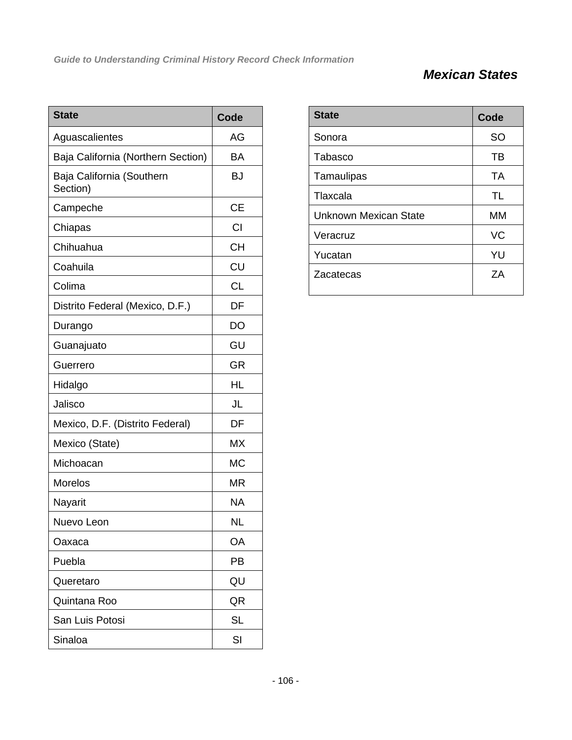## *Mexican States*

| <b>State</b>                          | Code      |
|---------------------------------------|-----------|
| Aguascalientes                        | AG        |
| Baja California (Northern Section)    | <b>BA</b> |
| Baja California (Southern<br>Section) | <b>BJ</b> |
| Campeche                              | <b>CE</b> |
| Chiapas                               | <b>CI</b> |
| Chihuahua                             | <b>CH</b> |
| Coahuila                              | CU        |
| Colima                                | <b>CL</b> |
| Distrito Federal (Mexico, D.F.)       | DF        |
| Durango                               | DO        |
| Guanajuato                            | GU        |
| Guerrero                              | <b>GR</b> |
| Hidalgo                               | <b>HL</b> |
| Jalisco                               | JL        |
| Mexico, D.F. (Distrito Federal)       | DF        |
| Mexico (State)                        | <b>MX</b> |
| Michoacan                             | <b>MC</b> |
| <b>Morelos</b>                        | ΜR        |
| Nayarit                               | <b>NA</b> |
| Nuevo Leon                            | <b>NL</b> |
| Oaxaca                                | OA        |
| Puebla                                | PB        |
| Queretaro                             | QU        |
| Quintana Roo                          | QR        |
| San Luis Potosi                       | <b>SL</b> |
| Sinaloa                               | SI        |

| <b>State</b>          | Code      |
|-----------------------|-----------|
| Sonora                | <b>SO</b> |
| Tabasco               | ТB        |
| Tamaulipas            | <b>TA</b> |
| Tlaxcala              | TL        |
| Unknown Mexican State | ΜМ        |
| Veracruz              | <b>VC</b> |
| Yucatan               | YU        |
| Zacatecas             | 7A        |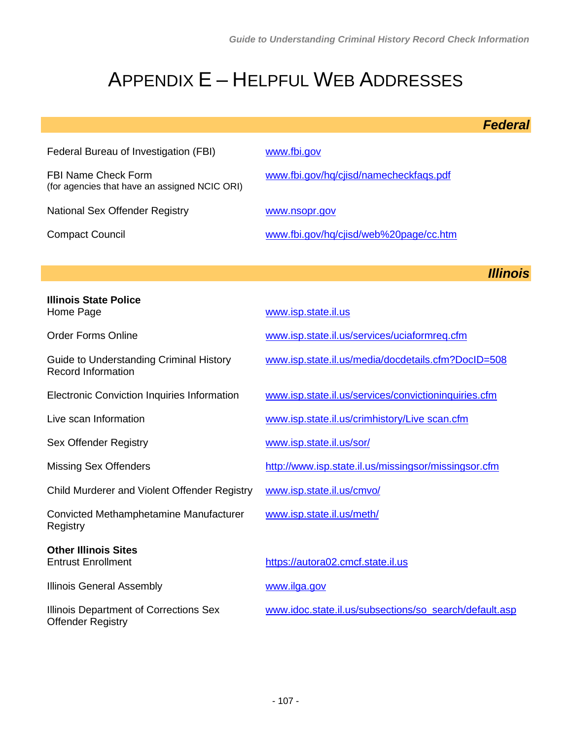## APPENDIX E – HELPFUL WEB ADDRESSES

|                                                                             | <b>Federal</b>                                         |
|-----------------------------------------------------------------------------|--------------------------------------------------------|
| Federal Bureau of Investigation (FBI)                                       | www.fbi.gov                                            |
| <b>FBI Name Check Form</b><br>(for agencies that have an assigned NCIC ORI) | www.fbi.gov/hq/cjisd/namecheckfaqs.pdf                 |
| National Sex Offender Registry                                              | www.nsopr.gov                                          |
| <b>Compact Council</b>                                                      | www.fbi.gov/hq/cjisd/web%20page/cc.htm                 |
|                                                                             |                                                        |
|                                                                             | <i><b>Illinois</b></i>                                 |
| <b>Illinois State Police</b><br>Home Page                                   | www.isp.state.il.us                                    |
| <b>Order Forms Online</b>                                                   | www.isp.state.il.us/services/uciaformreq.cfm           |
| Guide to Understanding Criminal History<br><b>Record Information</b>        | www.isp.state.il.us/media/docdetails.cfm?DocID=508     |
| Electronic Conviction Inquiries Information                                 | www.isp.state.il.us/services/convictioninquiries.cfm   |
| Live scan Information                                                       | www.isp.state.il.us/crimhistory/Live scan.cfm          |
| Sex Offender Registry                                                       | www.isp.state.il.us/sor/                               |
| <b>Missing Sex Offenders</b>                                                | http://www.isp.state.il.us/missingsor/missingsor.cfm   |
| Child Murderer and Violent Offender Registry                                | www.isp.state.il.us/cmvo/                              |
| Convicted Methamphetamine Manufacturer<br>Registry                          | www.isp.state.il.us/meth/                              |
| <b>Other Illinois Sites</b><br><b>Entrust Enrollment</b>                    | https://autora02.cmcf.state.il.us                      |
| <b>Illinois General Assembly</b>                                            | www.ilga.gov                                           |
| Illinois Department of Corrections Sex<br><b>Offender Registry</b>          | www.idoc.state.il.us/subsections/so search/default.asp |